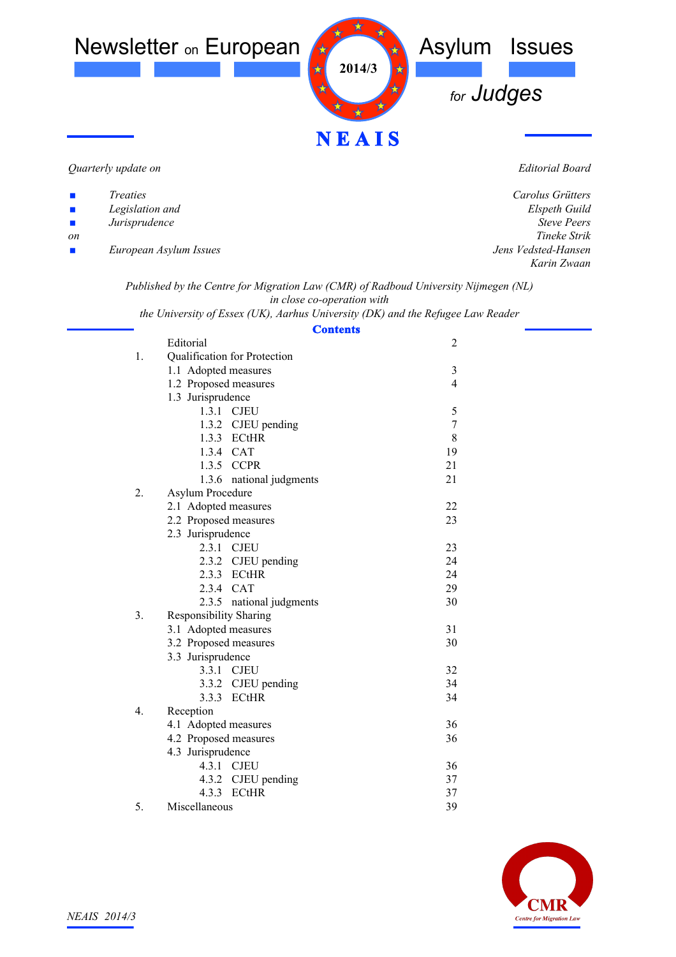

*Quarterly update on*

*Editorial Board*

| $\mathbf{r}$                | Treaties               | Carolus Grütters    |
|-----------------------------|------------------------|---------------------|
| $\mathcal{L}_{\mathcal{A}}$ | Legislation and        | Elspeth Guild       |
| $\mathcal{L}_{\mathcal{A}}$ | Jurisprudence          | <b>Steve Peers</b>  |
| on                          |                        | Tineke Strik        |
| $\mathbf{r}$                | European Asylum Issues | Jens Vedsted-Hansen |
|                             |                        | Karin Zwaan         |
|                             |                        |                     |

*Published by the Centre for Migration Law (CMR) of Radboud University Nijmegen (NL) in close co-operation with*

*the University of Essex (UK), Aarhus University (DK) and the Refugee Law Reader*

| <b>Contents</b>                                 |                  |  |
|-------------------------------------------------|------------------|--|
| Editorial                                       | $\overline{2}$   |  |
| Qualification for Protection<br>1.              |                  |  |
| 1.1 Adopted measures                            | 3                |  |
| 1.2 Proposed measures                           | $\overline{4}$   |  |
| 1.3 Jurisprudence                               |                  |  |
| 1.3.1 CJEU                                      | 5                |  |
| 1.3.2 CJEU pending                              | $\boldsymbol{7}$ |  |
| 1.3.3 ECtHR                                     | 8                |  |
| 1.3.4 CAT                                       | 19               |  |
| 1.3.5 CCPR                                      | 21               |  |
| 1.3.6 national judgments                        | 21               |  |
| 2.<br>Asylum Procedure                          |                  |  |
| 2.1 Adopted measures                            | 22               |  |
| 2.2 Proposed measures                           | 23               |  |
| 2.3 Jurisprudence                               |                  |  |
| 2.3.1 CJEU                                      | 23               |  |
| 2.3.2 CJEU pending                              | 24               |  |
| 2.3.3 ECtHR                                     | 24               |  |
| 2.3.4 CAT                                       | 29               |  |
| 2.3.5 national judgments                        | 30               |  |
| 3 <sub>1</sub><br><b>Responsibility Sharing</b> |                  |  |
| 3.1 Adopted measures                            | 31               |  |
| 3.2 Proposed measures                           | 30               |  |
| 3.3 Jurisprudence                               |                  |  |
| 3.3.1 CJEU                                      | 32               |  |
| 3.3.2 CJEU pending                              | 34               |  |
| 3.3.3 ECtHR                                     | 34               |  |
| 4.<br>Reception                                 |                  |  |
| 4.1 Adopted measures                            | 36               |  |
| 4.2 Proposed measures                           | 36               |  |
| 4.3 Jurisprudence                               |                  |  |
| 4.3.1 CJEU                                      | 36               |  |
| 4.3.2 CJEU pending                              | 37               |  |
| 4.3.3 ECtHR                                     | 37               |  |
| 5.<br>Miscellaneous                             | 39               |  |

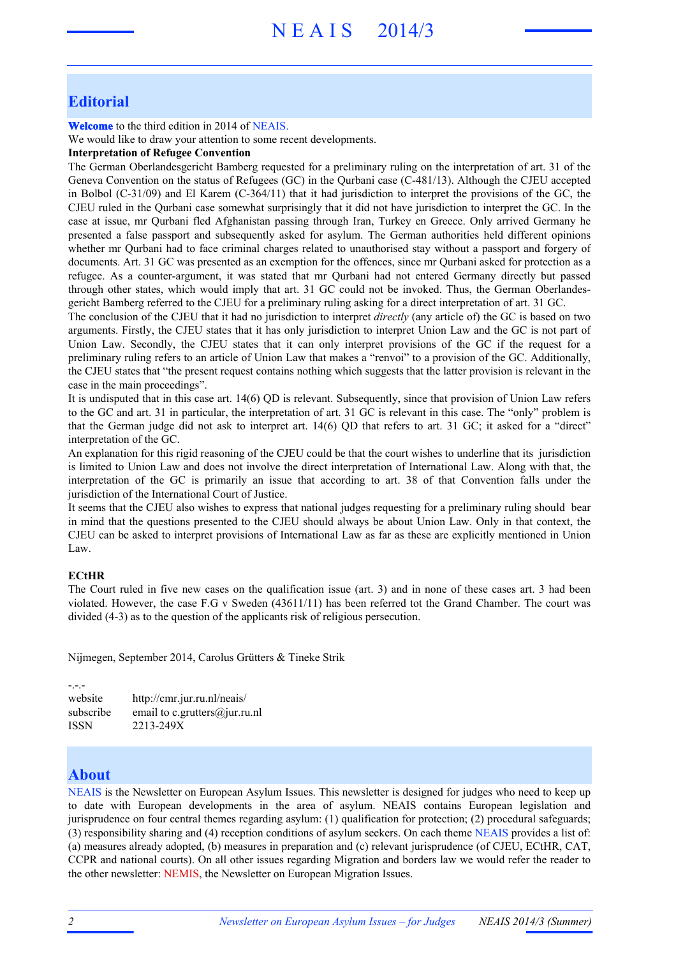# N E A I S 2014/3

# **Editorial**

**Welcome** to the third edition in 2014 of NEAIS.

We would like to draw your attention to some recent developments.

#### **Interpretation of Refugee Convention**

The German Oberlandesgericht Bamberg requested for a preliminary ruling on the interpretation of art. 31 of the Geneva Convention on the status of Refugees (GC) in the Qurbani case (C-481/13). Although the CJEU accepted in Bolbol (C-31/09) and El Karem (C-364/11) that it had jurisdiction to interpret the provisions of the GC, the CJEU ruled in the Qurbani case somewhat surprisingly that it did not have jurisdiction to interpret the GC. In the case at issue, mr Qurbani fled Afghanistan passing through Iran, Turkey en Greece. Only arrived Germany he presented a false passport and subsequently asked for asylum. The German authorities held different opinions whether mr Qurbani had to face criminal charges related to unauthorised stay without a passport and forgery of documents. Art. 31 GC was presented as an exemption for the offences, since mr Qurbani asked for protection as a refugee. As a counter-argument, it was stated that mr Qurbani had not entered Germany directly but passed through other states, which would imply that art. 31 GC could not be invoked. Thus, the German Oberlandesgericht Bamberg referred to the CJEU for a preliminary ruling asking for a direct interpretation of art. 31 GC.

The conclusion of the CJEU that it had no jurisdiction to interpret *directly* (any article of) the GC is based on two arguments. Firstly, the CJEU states that it has only jurisdiction to interpret Union Law and the GC is not part of Union Law. Secondly, the CJEU states that it can only interpret provisions of the GC if the request for a preliminary ruling refers to an article of Union Law that makes a "renvoi" to a provision of the GC. Additionally, the CJEU states that "the present request contains nothing which suggests that the latter provision is relevant in the case in the main proceedings".

It is undisputed that in this case art. 14(6) QD is relevant. Subsequently, since that provision of Union Law refers to the GC and art. 31 in particular, the interpretation of art. 31 GC is relevant in this case. The "only" problem is that the German judge did not ask to interpret art. 14(6) QD that refers to art. 31 GC; it asked for a "direct" interpretation of the GC.

An explanation for this rigid reasoning of the CJEU could be that the court wishes to underline that its jurisdiction is limited to Union Law and does not involve the direct interpretation of International Law. Along with that, the interpretation of the GC is primarily an issue that according to art. 38 of that Convention falls under the jurisdiction of the International Court of Justice.

It seems that the CJEU also wishes to express that national judges requesting for a preliminary ruling should bear in mind that the questions presented to the CJEU should always be about Union Law. Only in that context, the CJEU can be asked to interpret provisions of International Law as far as these are explicitly mentioned in Union Law.

#### **ECtHR**

The Court ruled in five new cases on the qualification issue (art. 3) and in none of these cases art. 3 had been violated. However, the case F.G v Sweden (43611/11) has been referred tot the Grand Chamber. The court was divided (4-3) as to the question of the applicants risk of religious persecution.

Nijmegen, September 2014, Carolus Grütters & Tineke Strik

-.-. website http://cmr.jur.ru.nl/neais/ subscribe email to c.grutters@jur.ru.nl ISSN 2213-249X

# **About**

NEAIS is the Newsletter on European Asylum Issues. This newsletter is designed for judges who need to keep up to date with European developments in the area of asylum. NEAIS contains European legislation and jurisprudence on four central themes regarding asylum: (1) qualification for protection; (2) procedural safeguards; (3) responsibility sharing and (4) reception conditions of asylum seekers. On each theme NEAIS provides a list of: (a) measures already adopted, (b) measures in preparation and (c) relevant jurisprudence (of CJEU, ECtHR, CAT, CCPR and national courts). On all other issues regarding Migration and borders law we would refer the reader to the other newsletter: NEMIS, the Newsletter on European Migration Issues.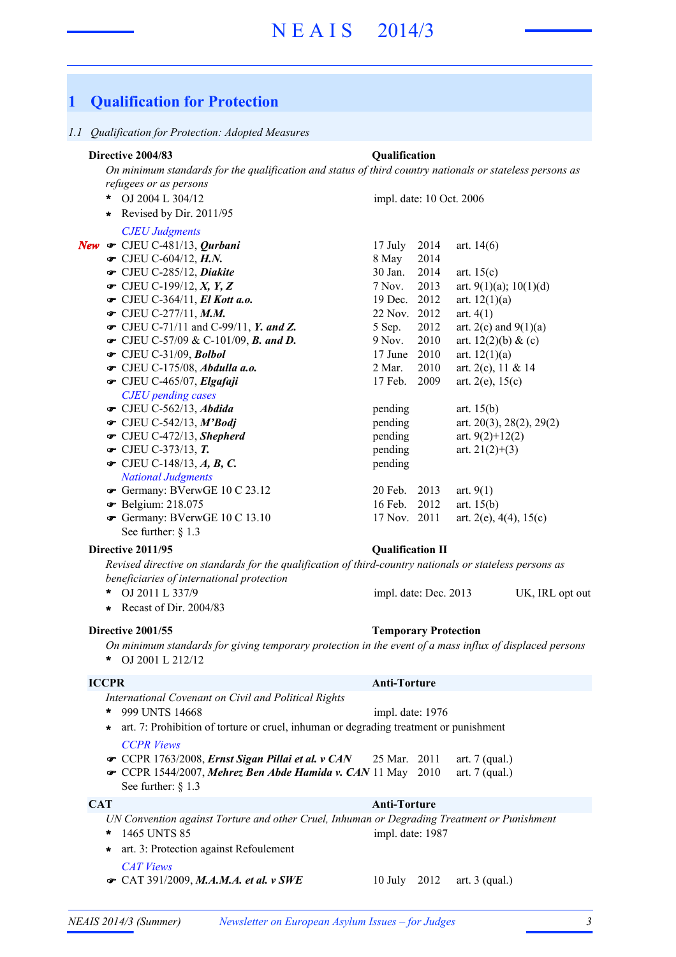# **1 Qualification for Protection**

#### *1.1 Qualification for Protection: Adopted Measures*

# **Directive 2004/83 Qualification**

*New*

*On minimum standards for the qualification and status of third country nationals or stateless persons as refugees or as persons*

| *<br>OJ 2004 L 304/12                         | impl. date: 10 Oct. 2006 |                           |
|-----------------------------------------------|--------------------------|---------------------------|
| Revised by Dir. 2011/95<br>$\star$            |                          |                           |
| <b>CJEU Judgments</b>                         |                          |                           |
| $\bullet$ CJEU C-481/13, Qurbani              | 2014<br>17 July          | art. $14(6)$              |
| $\bullet$ CJEU C-604/12, H.N.                 | 8 May<br>2014            |                           |
| CJEU C-285/12, Diakite                        | 30 Jan.<br>2014          | art. $15(c)$              |
| $\bullet$ CJEU C-199/12, X, Y, Z              | 2013<br>7 Nov.           | art. 9(1)(a); 10(1)(d)    |
| $\bullet$ CJEU C-364/11, El Kott a.o.         | 19 Dec.<br>2012          | art. $12(1)(a)$           |
| • CJEU C-277/11, M.M.                         | 22 Nov.<br>2012          | art. $4(1)$               |
| $\bullet$ CJEU C-71/11 and C-99/11, Y. and Z. | 2012<br>5 Sep.           | art. $2(c)$ and $9(1)(a)$ |
| $\bullet$ CJEU C-57/09 & C-101/09, B. and D.  | 9 Nov.<br>2010           | art. $12(2)(b) \& (c)$    |
| $\bullet$ CJEU C-31/09, Bolbol                | 2010<br>17 June          | art. $12(1)(a)$           |
| $\bullet$ CJEU C-175/08, Abdulla a.o.         | 2010<br>2 Mar.           | art. 2(c), 11 & 14        |
| CJEU C-465/07, Elgafaji                       | 17 Feb.<br>2009          | art. $2(e)$ , $15(c)$     |
| <b>CJEU</b> pending cases                     |                          |                           |
| $\bullet$ CJEU C-562/13, Abdida               | pending                  | art. $15(b)$              |
| $\bullet$ CJEU C-542/13, M'Bodj               | pending                  | art. 20(3), 28(2), 29(2)  |
| $\bullet$ CJEU C-472/13, Shepherd             | pending                  | art. $9(2)+12(2)$         |
| $\bullet$ CJEU C-373/13, T.                   | pending                  | art. $21(2)+(3)$          |
| $\bullet$ CJEU C-148/13, A, B, C.             | pending                  |                           |
| <b>National Judgments</b>                     |                          |                           |
| Germany: BVerwGE 10 C 23.12                   | $20$ Feb.<br>2013        | art. $9(1)$               |
| <b>•</b> Belgium: 218.075                     | 16 Feb.<br>2012          | art. $15(b)$              |
| Germany: BVerwGE 10 C 13.10                   | 17 Nov. 2011             | art. 2(e), 4(4), $15(c)$  |
| See further: $§ 1.3$                          |                          |                           |

### **Directive 2011/95 Qualification II**

*Revised directive on standards for the qualification of third-country nationals or stateless persons as beneficiaries of international protection*

OJ 2011 L 337/9 UK, IRL opt out **\*** impl. date: Dec. 2013

**\*** Recast of Dir. 2004/83

#### **Directive 2001/55 Temporary Protection**

*On minimum standards for giving temporary protection in the event of a mass influx of displaced persons* OJ 2001 L 212/12 **\***

# **ICCPR Anti-Torture**

- *International Covenant on Civil and Political Rights*
- *CCPR Views* **\*** art. 7: Prohibition of torture or cruel, inhuman or degrading treatment or punishment
- **CCPR** 1763/2008, *Ernst Sigan Pillai et al. v CAN* 25 Mar. 2011 art. 7 (qual.)
- **CCPR** 1544/2007, Mehrez Ben Abde Hamida v. CAN 11 May 2010 art. 7 (qual.)
- See further: § 1.3

999 UNTS 14668 **\***

# **CAT Anti-Torture**

impl. date: 1976

*UN Convention against Torture and other Cruel, Inhuman or Degrading Treatment or Punishment* 1465 UNTS 85 **\*** impl. date: 1987

*CAT Views* **☞** CAT 391/2009, *M.A.M.A. et al. v SWE* 10 July 2012 art. 3 (qual.) **\*** art. 3: Protection against Refoulement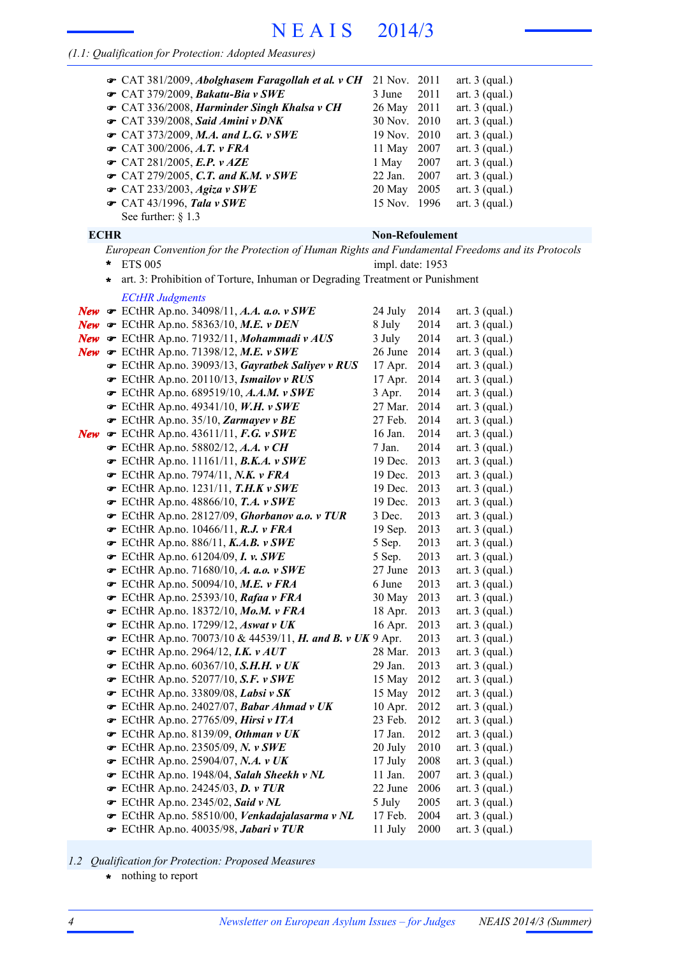# N E A I S 2014/3

# *(1.1: Qualification for Protection: Adopted Measures)*

| The CAT 381/2009, Abolghasem Faragollah et al. v CH<br>$\bullet$ CAT 379/2009, Bakatu-Bia v SWE<br>Gramman CAT 336/2008, Harminder Singh Khalsa v CH<br>G CAT 339/2008, Said Amini v DNK<br>$\bullet$ CAT 373/2009, M.A. and L.G. v SWE<br>$\bullet$ CAT 300/2006, A.T. v FRA<br>$\bullet$ CAT 281/2005, E.P. v AZE<br>$\bullet$ CAT 279/2005, C.T. and K.M. v SWE<br>$\bullet$ CAT 233/2003, Agiza v SWE<br>$\bullet$ CAT 43/1996, Tala v SWE<br>See further: $\S$ 1.3 | 21 Nov.<br>3 June<br>11 May<br>1 May<br>22 Jan.<br>20 May                                                                                                                                                                                                                                                                                                                                                                                                                                                                                                                                                                                                                                                                                                                                                                                                                                                                                                                                                                                                                                                                                                                                                                                                              | 2011<br>2011<br>2011<br>2007<br>2007<br>2007<br>2005                                                                                                                                                                                                                                         | art. $3$ (qual.)<br>art. $3$ (qual.)<br>art. $3$ (qual.)<br>art. $3$ (qual.)<br>art. $3$ (qual.)<br>art. $3$ (qual.)<br>art. $3$ (qual.)<br>art. $3$ (qual.)<br>art. $3$ (qual.)<br>art. $3$ (qual.)                                                                                                                                                                                                                                                                                                                 |
|-------------------------------------------------------------------------------------------------------------------------------------------------------------------------------------------------------------------------------------------------------------------------------------------------------------------------------------------------------------------------------------------------------------------------------------------------------------------------|------------------------------------------------------------------------------------------------------------------------------------------------------------------------------------------------------------------------------------------------------------------------------------------------------------------------------------------------------------------------------------------------------------------------------------------------------------------------------------------------------------------------------------------------------------------------------------------------------------------------------------------------------------------------------------------------------------------------------------------------------------------------------------------------------------------------------------------------------------------------------------------------------------------------------------------------------------------------------------------------------------------------------------------------------------------------------------------------------------------------------------------------------------------------------------------------------------------------------------------------------------------------|----------------------------------------------------------------------------------------------------------------------------------------------------------------------------------------------------------------------------------------------------------------------------------------------|----------------------------------------------------------------------------------------------------------------------------------------------------------------------------------------------------------------------------------------------------------------------------------------------------------------------------------------------------------------------------------------------------------------------------------------------------------------------------------------------------------------------|
|                                                                                                                                                                                                                                                                                                                                                                                                                                                                         |                                                                                                                                                                                                                                                                                                                                                                                                                                                                                                                                                                                                                                                                                                                                                                                                                                                                                                                                                                                                                                                                                                                                                                                                                                                                        |                                                                                                                                                                                                                                                                                              |                                                                                                                                                                                                                                                                                                                                                                                                                                                                                                                      |
| *<br><b>ETS 005</b><br>÷                                                                                                                                                                                                                                                                                                                                                                                                                                                |                                                                                                                                                                                                                                                                                                                                                                                                                                                                                                                                                                                                                                                                                                                                                                                                                                                                                                                                                                                                                                                                                                                                                                                                                                                                        |                                                                                                                                                                                                                                                                                              |                                                                                                                                                                                                                                                                                                                                                                                                                                                                                                                      |
|                                                                                                                                                                                                                                                                                                                                                                                                                                                                         |                                                                                                                                                                                                                                                                                                                                                                                                                                                                                                                                                                                                                                                                                                                                                                                                                                                                                                                                                                                                                                                                                                                                                                                                                                                                        |                                                                                                                                                                                                                                                                                              |                                                                                                                                                                                                                                                                                                                                                                                                                                                                                                                      |
|                                                                                                                                                                                                                                                                                                                                                                                                                                                                         |                                                                                                                                                                                                                                                                                                                                                                                                                                                                                                                                                                                                                                                                                                                                                                                                                                                                                                                                                                                                                                                                                                                                                                                                                                                                        |                                                                                                                                                                                                                                                                                              | art. $3$ (qual.)                                                                                                                                                                                                                                                                                                                                                                                                                                                                                                     |
|                                                                                                                                                                                                                                                                                                                                                                                                                                                                         |                                                                                                                                                                                                                                                                                                                                                                                                                                                                                                                                                                                                                                                                                                                                                                                                                                                                                                                                                                                                                                                                                                                                                                                                                                                                        |                                                                                                                                                                                                                                                                                              | art. $3$ (qual.)                                                                                                                                                                                                                                                                                                                                                                                                                                                                                                     |
|                                                                                                                                                                                                                                                                                                                                                                                                                                                                         |                                                                                                                                                                                                                                                                                                                                                                                                                                                                                                                                                                                                                                                                                                                                                                                                                                                                                                                                                                                                                                                                                                                                                                                                                                                                        |                                                                                                                                                                                                                                                                                              | art. $3$ (qual.)<br>art. $3$ (qual.)                                                                                                                                                                                                                                                                                                                                                                                                                                                                                 |
|                                                                                                                                                                                                                                                                                                                                                                                                                                                                         |                                                                                                                                                                                                                                                                                                                                                                                                                                                                                                                                                                                                                                                                                                                                                                                                                                                                                                                                                                                                                                                                                                                                                                                                                                                                        |                                                                                                                                                                                                                                                                                              | art. $3$ (qual.)                                                                                                                                                                                                                                                                                                                                                                                                                                                                                                     |
|                                                                                                                                                                                                                                                                                                                                                                                                                                                                         |                                                                                                                                                                                                                                                                                                                                                                                                                                                                                                                                                                                                                                                                                                                                                                                                                                                                                                                                                                                                                                                                                                                                                                                                                                                                        |                                                                                                                                                                                                                                                                                              | art. $3$ (qual.)                                                                                                                                                                                                                                                                                                                                                                                                                                                                                                     |
|                                                                                                                                                                                                                                                                                                                                                                                                                                                                         |                                                                                                                                                                                                                                                                                                                                                                                                                                                                                                                                                                                                                                                                                                                                                                                                                                                                                                                                                                                                                                                                                                                                                                                                                                                                        |                                                                                                                                                                                                                                                                                              | art. $3$ (qual.)                                                                                                                                                                                                                                                                                                                                                                                                                                                                                                     |
|                                                                                                                                                                                                                                                                                                                                                                                                                                                                         |                                                                                                                                                                                                                                                                                                                                                                                                                                                                                                                                                                                                                                                                                                                                                                                                                                                                                                                                                                                                                                                                                                                                                                                                                                                                        |                                                                                                                                                                                                                                                                                              | art. $3$ (qual.)                                                                                                                                                                                                                                                                                                                                                                                                                                                                                                     |
|                                                                                                                                                                                                                                                                                                                                                                                                                                                                         |                                                                                                                                                                                                                                                                                                                                                                                                                                                                                                                                                                                                                                                                                                                                                                                                                                                                                                                                                                                                                                                                                                                                                                                                                                                                        |                                                                                                                                                                                                                                                                                              | art. $3$ (qual.)                                                                                                                                                                                                                                                                                                                                                                                                                                                                                                     |
|                                                                                                                                                                                                                                                                                                                                                                                                                                                                         |                                                                                                                                                                                                                                                                                                                                                                                                                                                                                                                                                                                                                                                                                                                                                                                                                                                                                                                                                                                                                                                                                                                                                                                                                                                                        |                                                                                                                                                                                                                                                                                              | art. $3$ (qual.)                                                                                                                                                                                                                                                                                                                                                                                                                                                                                                     |
|                                                                                                                                                                                                                                                                                                                                                                                                                                                                         |                                                                                                                                                                                                                                                                                                                                                                                                                                                                                                                                                                                                                                                                                                                                                                                                                                                                                                                                                                                                                                                                                                                                                                                                                                                                        |                                                                                                                                                                                                                                                                                              | art. $3$ (qual.)                                                                                                                                                                                                                                                                                                                                                                                                                                                                                                     |
|                                                                                                                                                                                                                                                                                                                                                                                                                                                                         |                                                                                                                                                                                                                                                                                                                                                                                                                                                                                                                                                                                                                                                                                                                                                                                                                                                                                                                                                                                                                                                                                                                                                                                                                                                                        |                                                                                                                                                                                                                                                                                              | art. $3$ (qual.)                                                                                                                                                                                                                                                                                                                                                                                                                                                                                                     |
|                                                                                                                                                                                                                                                                                                                                                                                                                                                                         |                                                                                                                                                                                                                                                                                                                                                                                                                                                                                                                                                                                                                                                                                                                                                                                                                                                                                                                                                                                                                                                                                                                                                                                                                                                                        |                                                                                                                                                                                                                                                                                              | art. $3$ (qual.)                                                                                                                                                                                                                                                                                                                                                                                                                                                                                                     |
|                                                                                                                                                                                                                                                                                                                                                                                                                                                                         |                                                                                                                                                                                                                                                                                                                                                                                                                                                                                                                                                                                                                                                                                                                                                                                                                                                                                                                                                                                                                                                                                                                                                                                                                                                                        |                                                                                                                                                                                                                                                                                              | art. $3$ (qual.)                                                                                                                                                                                                                                                                                                                                                                                                                                                                                                     |
|                                                                                                                                                                                                                                                                                                                                                                                                                                                                         |                                                                                                                                                                                                                                                                                                                                                                                                                                                                                                                                                                                                                                                                                                                                                                                                                                                                                                                                                                                                                                                                                                                                                                                                                                                                        |                                                                                                                                                                                                                                                                                              | art. $3$ (qual.)                                                                                                                                                                                                                                                                                                                                                                                                                                                                                                     |
|                                                                                                                                                                                                                                                                                                                                                                                                                                                                         |                                                                                                                                                                                                                                                                                                                                                                                                                                                                                                                                                                                                                                                                                                                                                                                                                                                                                                                                                                                                                                                                                                                                                                                                                                                                        |                                                                                                                                                                                                                                                                                              | art. $3$ (qual.)                                                                                                                                                                                                                                                                                                                                                                                                                                                                                                     |
|                                                                                                                                                                                                                                                                                                                                                                                                                                                                         |                                                                                                                                                                                                                                                                                                                                                                                                                                                                                                                                                                                                                                                                                                                                                                                                                                                                                                                                                                                                                                                                                                                                                                                                                                                                        |                                                                                                                                                                                                                                                                                              | art. $3$ (qual.)                                                                                                                                                                                                                                                                                                                                                                                                                                                                                                     |
|                                                                                                                                                                                                                                                                                                                                                                                                                                                                         |                                                                                                                                                                                                                                                                                                                                                                                                                                                                                                                                                                                                                                                                                                                                                                                                                                                                                                                                                                                                                                                                                                                                                                                                                                                                        |                                                                                                                                                                                                                                                                                              | art. $3$ (qual.)                                                                                                                                                                                                                                                                                                                                                                                                                                                                                                     |
|                                                                                                                                                                                                                                                                                                                                                                                                                                                                         |                                                                                                                                                                                                                                                                                                                                                                                                                                                                                                                                                                                                                                                                                                                                                                                                                                                                                                                                                                                                                                                                                                                                                                                                                                                                        |                                                                                                                                                                                                                                                                                              | art. $3$ (qual.)                                                                                                                                                                                                                                                                                                                                                                                                                                                                                                     |
|                                                                                                                                                                                                                                                                                                                                                                                                                                                                         |                                                                                                                                                                                                                                                                                                                                                                                                                                                                                                                                                                                                                                                                                                                                                                                                                                                                                                                                                                                                                                                                                                                                                                                                                                                                        |                                                                                                                                                                                                                                                                                              | art. $3$ (qual.)                                                                                                                                                                                                                                                                                                                                                                                                                                                                                                     |
|                                                                                                                                                                                                                                                                                                                                                                                                                                                                         |                                                                                                                                                                                                                                                                                                                                                                                                                                                                                                                                                                                                                                                                                                                                                                                                                                                                                                                                                                                                                                                                                                                                                                                                                                                                        |                                                                                                                                                                                                                                                                                              | art. $3$ (qual.)                                                                                                                                                                                                                                                                                                                                                                                                                                                                                                     |
|                                                                                                                                                                                                                                                                                                                                                                                                                                                                         |                                                                                                                                                                                                                                                                                                                                                                                                                                                                                                                                                                                                                                                                                                                                                                                                                                                                                                                                                                                                                                                                                                                                                                                                                                                                        |                                                                                                                                                                                                                                                                                              | art. $3$ (qual.)                                                                                                                                                                                                                                                                                                                                                                                                                                                                                                     |
|                                                                                                                                                                                                                                                                                                                                                                                                                                                                         |                                                                                                                                                                                                                                                                                                                                                                                                                                                                                                                                                                                                                                                                                                                                                                                                                                                                                                                                                                                                                                                                                                                                                                                                                                                                        |                                                                                                                                                                                                                                                                                              | art. $3$ (qual.)                                                                                                                                                                                                                                                                                                                                                                                                                                                                                                     |
|                                                                                                                                                                                                                                                                                                                                                                                                                                                                         | 16 Apr.                                                                                                                                                                                                                                                                                                                                                                                                                                                                                                                                                                                                                                                                                                                                                                                                                                                                                                                                                                                                                                                                                                                                                                                                                                                                | 2013                                                                                                                                                                                                                                                                                         | art. $3$ (qual.)                                                                                                                                                                                                                                                                                                                                                                                                                                                                                                     |
|                                                                                                                                                                                                                                                                                                                                                                                                                                                                         |                                                                                                                                                                                                                                                                                                                                                                                                                                                                                                                                                                                                                                                                                                                                                                                                                                                                                                                                                                                                                                                                                                                                                                                                                                                                        |                                                                                                                                                                                                                                                                                              | art. $3$ (qual.)                                                                                                                                                                                                                                                                                                                                                                                                                                                                                                     |
| $\bullet$ ECtHR Ap.no. 2964/12, I.K. $vAUT$                                                                                                                                                                                                                                                                                                                                                                                                                             | 28 Mar.                                                                                                                                                                                                                                                                                                                                                                                                                                                                                                                                                                                                                                                                                                                                                                                                                                                                                                                                                                                                                                                                                                                                                                                                                                                                |                                                                                                                                                                                                                                                                                              | art. $3$ (qual.)                                                                                                                                                                                                                                                                                                                                                                                                                                                                                                     |
|                                                                                                                                                                                                                                                                                                                                                                                                                                                                         | 29 Jan.                                                                                                                                                                                                                                                                                                                                                                                                                                                                                                                                                                                                                                                                                                                                                                                                                                                                                                                                                                                                                                                                                                                                                                                                                                                                | 2013                                                                                                                                                                                                                                                                                         | art. $3$ (qual.)                                                                                                                                                                                                                                                                                                                                                                                                                                                                                                     |
|                                                                                                                                                                                                                                                                                                                                                                                                                                                                         | 15 May                                                                                                                                                                                                                                                                                                                                                                                                                                                                                                                                                                                                                                                                                                                                                                                                                                                                                                                                                                                                                                                                                                                                                                                                                                                                 | 2012                                                                                                                                                                                                                                                                                         | art. $3$ (qual.)                                                                                                                                                                                                                                                                                                                                                                                                                                                                                                     |
| $\mathcal$ ECtHR Ap.no. 33809/08, Labsi v SK                                                                                                                                                                                                                                                                                                                                                                                                                            | 15 May                                                                                                                                                                                                                                                                                                                                                                                                                                                                                                                                                                                                                                                                                                                                                                                                                                                                                                                                                                                                                                                                                                                                                                                                                                                                 | 2012                                                                                                                                                                                                                                                                                         | art. $3$ (qual.)                                                                                                                                                                                                                                                                                                                                                                                                                                                                                                     |
| ECtHR Ap.no. 24027/07, Babar Ahmad v UK                                                                                                                                                                                                                                                                                                                                                                                                                                 | $10$ Apr.                                                                                                                                                                                                                                                                                                                                                                                                                                                                                                                                                                                                                                                                                                                                                                                                                                                                                                                                                                                                                                                                                                                                                                                                                                                              | 2012                                                                                                                                                                                                                                                                                         | art. $3$ (qual.)                                                                                                                                                                                                                                                                                                                                                                                                                                                                                                     |
| $\bullet$ ECtHR Ap.no. 27765/09, Hirsi v ITA                                                                                                                                                                                                                                                                                                                                                                                                                            | 23 Feb.                                                                                                                                                                                                                                                                                                                                                                                                                                                                                                                                                                                                                                                                                                                                                                                                                                                                                                                                                                                                                                                                                                                                                                                                                                                                | 2012                                                                                                                                                                                                                                                                                         | art. $3$ (qual.)                                                                                                                                                                                                                                                                                                                                                                                                                                                                                                     |
| ECtHR Ap.no. 8139/09, Othman v UK                                                                                                                                                                                                                                                                                                                                                                                                                                       | 17 Jan.                                                                                                                                                                                                                                                                                                                                                                                                                                                                                                                                                                                                                                                                                                                                                                                                                                                                                                                                                                                                                                                                                                                                                                                                                                                                | 2012                                                                                                                                                                                                                                                                                         | art. $3$ (qual.)                                                                                                                                                                                                                                                                                                                                                                                                                                                                                                     |
| $\bullet$ ECtHR Ap.no. 23505/09, N. v SWE                                                                                                                                                                                                                                                                                                                                                                                                                               | 20 July                                                                                                                                                                                                                                                                                                                                                                                                                                                                                                                                                                                                                                                                                                                                                                                                                                                                                                                                                                                                                                                                                                                                                                                                                                                                | 2010                                                                                                                                                                                                                                                                                         | art. $3$ (qual.)                                                                                                                                                                                                                                                                                                                                                                                                                                                                                                     |
| $\bullet$ ECtHR Ap.no. 25904/07, N.A. v UK                                                                                                                                                                                                                                                                                                                                                                                                                              | 17 July                                                                                                                                                                                                                                                                                                                                                                                                                                                                                                                                                                                                                                                                                                                                                                                                                                                                                                                                                                                                                                                                                                                                                                                                                                                                | 2008                                                                                                                                                                                                                                                                                         | art. $3$ (qual.)                                                                                                                                                                                                                                                                                                                                                                                                                                                                                                     |
| ECtHR Ap.no. 1948/04, Salah Sheekh v NL                                                                                                                                                                                                                                                                                                                                                                                                                                 | $11$ Jan.                                                                                                                                                                                                                                                                                                                                                                                                                                                                                                                                                                                                                                                                                                                                                                                                                                                                                                                                                                                                                                                                                                                                                                                                                                                              | 2007                                                                                                                                                                                                                                                                                         | art. $3$ (qual.)                                                                                                                                                                                                                                                                                                                                                                                                                                                                                                     |
| $\bullet$ ECtHR Ap.no. 24245/03, D. v TUR                                                                                                                                                                                                                                                                                                                                                                                                                               | 22 June                                                                                                                                                                                                                                                                                                                                                                                                                                                                                                                                                                                                                                                                                                                                                                                                                                                                                                                                                                                                                                                                                                                                                                                                                                                                | 2006                                                                                                                                                                                                                                                                                         | art. $3$ (qual.)                                                                                                                                                                                                                                                                                                                                                                                                                                                                                                     |
| $\bullet$ ECtHR Ap.no. 2345/02, Said v NL                                                                                                                                                                                                                                                                                                                                                                                                                               | 5 July                                                                                                                                                                                                                                                                                                                                                                                                                                                                                                                                                                                                                                                                                                                                                                                                                                                                                                                                                                                                                                                                                                                                                                                                                                                                 | 2005                                                                                                                                                                                                                                                                                         | art. $3$ (qual.)                                                                                                                                                                                                                                                                                                                                                                                                                                                                                                     |
| ECtHR Ap.no. 58510/00, Venkadajalasarma v NL                                                                                                                                                                                                                                                                                                                                                                                                                            | 17 Feb.                                                                                                                                                                                                                                                                                                                                                                                                                                                                                                                                                                                                                                                                                                                                                                                                                                                                                                                                                                                                                                                                                                                                                                                                                                                                | 2004                                                                                                                                                                                                                                                                                         | art. $3$ (qual.)                                                                                                                                                                                                                                                                                                                                                                                                                                                                                                     |
| ECtHR Ap.no. 40035/98, Jabari v TUR                                                                                                                                                                                                                                                                                                                                                                                                                                     | 11 July                                                                                                                                                                                                                                                                                                                                                                                                                                                                                                                                                                                                                                                                                                                                                                                                                                                                                                                                                                                                                                                                                                                                                                                                                                                                | 2000                                                                                                                                                                                                                                                                                         | art. $3$ (qual.)                                                                                                                                                                                                                                                                                                                                                                                                                                                                                                     |
|                                                                                                                                                                                                                                                                                                                                                                                                                                                                         | <b>ECHR</b><br><b>ECtHR Judgments</b><br><b>New</b> $\bullet$ ECtHR Ap.no. 34098/11, A.A. a.o. v SWE<br>New $\bullet$ ECtHR Ap.no. 58363/10, M.E. v DEN<br><b>New</b> $\bullet$ ECtHR Ap.no. 71932/11, Mohammadi v AUS<br>New $\bullet$ ECtHR Ap.no. 71398/12, M.E. v SWE<br>ECtHR Ap.no. 39093/13, Gayratbek Saliyev v RUS<br>ECtHR Ap.no. 20110/13, Ismailov v RUS<br>ECtHR Ap.no. 689519/10, A.A.M. v SWE<br>$\bullet$ ECtHR Ap.no. 49341/10, W.H. v SWE<br>$\bullet$ ECtHR Ap.no. 35/10, Zarmayev v BE<br>ECtHR Ap.no. 43611/11, F.G. v SWE<br>ECtHR Ap.no. 58802/12, A.A. v CH<br>$\bullet$ ECtHR Ap.no. 11161/11, B.K.A. v SWE<br>ECtHR Ap.no. 7974/11, N.K. v FRA<br>ECtHR Ap.no. 1231/11, $T.H.K v SWE$<br>$\bullet$ ECtHR Ap.no. 48866/10, T.A. v SWE<br>ECtHR Ap.no. 28127/09, Ghorbanov a.o. v TUR<br>ECtHR Ap.no. 10466/11, R.J. v FRA<br>ECtHR Ap.no. 886/11, K.A.B. v SWE<br>$\bullet$ ECtHR Ap.no. 61204/09, I. v. SWE<br>ECtHR Ap.no. 71680/10, A. a.o. v SWE<br>$\bullet$ ECtHR Ap.no. 50094/10, M.E. v FRA<br>$\bullet$ ECtHR Ap.no. 25393/10, Rafaa v FRA<br>The ECtHR Ap.no. 18372/10, Mo.M. v FRA<br>$\bullet$ ECtHR Ap.no. 17299/12, Aswat v UK<br>ECtHR Ap.no. 60367/10, S.H.H. v UK<br>$\blacktriangleright$ ECtHR Ap.no. 52077/10, S.F. v SWE | 24 July<br>8 July<br>3 July<br>26 June<br>17 Apr.<br>17 Apr.<br>3 Apr.<br>27 Feb.<br>16 Jan.<br>7 Jan.<br>19 Dec.<br>19 Dec.<br>19 Dec.<br>19 Dec.<br>3 Dec.<br>19 Sep.<br>5 Sep.<br>5 Sep.<br>6 June<br>30 May<br>18 Apr.<br>ECtHR Ap.no. 70073/10 & 44539/11, <i>H. and B. v UK</i> 9 Apr. | 26 May<br>30 Nov. 2010<br>19 Nov. 2010<br>15 Nov. 1996<br><b>Non-Refoulement</b><br>European Convention for the Protection of Human Rights and Fundamental Freedoms and its Protocols<br>impl. date: 1953<br>art. 3: Prohibition of Torture, Inhuman or Degrading Treatment or Punishment<br>2014<br>2014<br>2014<br>2014<br>2014<br>2014<br>2014<br>27 Mar. 2014<br>2014<br>2014<br>2014<br>2013<br>2013<br>2013<br>2013<br>2013<br>2013<br>2013<br>2013<br>2013<br>27 June<br>2013<br>2013<br>2013<br>2013<br>2013 |

*1.2 Qualification for Protection: Proposed Measures*

**\*** nothing to report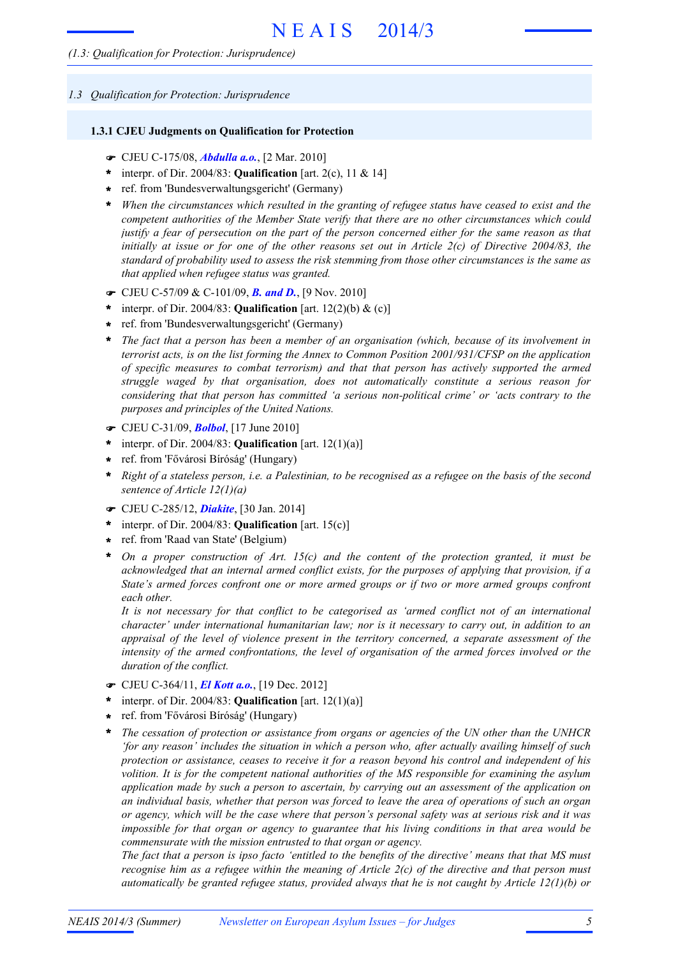*1.3 Qualification for Protection: Jurisprudence*

#### **1.3.1 CJEU Judgments on Qualification for Protection**

- ! CJEU C-175/08, *Abdulla a.o.*, [2 Mar. 2010]
- \* interpr. of Dir. 2004/83: **Qualification** [art. 2(c), 11 & 14]
- ref. from 'Bundesverwaltungsgericht' (Germany) **\***
- \* When the circumstances which resulted in the granting of refugee status have ceased to exist and the *competent authorities of the Member State verify that there are no other circumstances which could* justify a fear of persecution on the part of the person concerned either for the same reason as that initially at issue or for one of the other reasons set out in Article  $2(c)$  of Directive 2004/83, the *standard of probability used to assess the risk stemming from those other circumstances is the same as that applied when refugee status was granted.*
- ! CJEU C-57/09 & C-101/09, *B. and D.*, [9 Nov. 2010]
- \* interpr. of Dir. 2004/83: **Qualification** [art.  $12(2)(b) \&$  (c)]
- ref. from 'Bundesverwaltungsgericht' (Germany) **\***
- \* The fact that a person has been a member of an organisation (which, because of its involvement in *terrorist acts, is on the list forming the Annex to Common Position 2001/931/CFSP on the application of specific measures to combat terrorism) and that that person has actively supported the armed struggle waged by that organisation, does not automatically constitute a serious reason for considering that that person has committed 'a serious non-political crime' or 'acts contrary to the purposes and principles of the United Nations.*
- ! CJEU C-31/09, *Bolbol*, [17 June 2010]
- \* interpr. of Dir. 2004/83: **Qualification** [art.  $12(1)(a)$ ]
- ref. from 'Fővárosi Bíróság' (Hungary) **\***
- \* Right of a stateless person, i.e. a Palestinian, to be recognised as a refugee on the basis of the second *sentence of Article 12(1)(a)*
- ! CJEU C-285/12, *Diakite*, [30 Jan. 2014]
- interpr. of Dir. 2004/83: **Qualification** [art. 15(c)] **\***
- ref. from 'Raad van State' (Belgium) **\***
- *On a proper construction of Art. 15(c) and the content of the protection granted, it must be acknowledged that an internal armed conflict exists, for the purposes of applying that provision, if a State's armed forces confront one or more armed groups or if two or more armed groups confront each other.* **\***

*It is not necessary for that conflict to be categorised as 'armed conflict not of an international character' under international humanitarian law; nor is it necessary to carry out, in addition to an appraisal of the level of violence present in the territory concerned, a separate assessment of the intensity of the armed confrontations, the level of organisation of the armed forces involved or the duration of the conflict.*

- ! CJEU C-364/11, *El Kott a.o.*, [19 Dec. 2012]
- interpr. of Dir. 2004/83: **Qualification** [art. 12(1)(a)] **\***
- ref. from 'Fővárosi Bíróság' (Hungary) **\***
- *The cessation of protection or assistance from organs or agencies of the UN other than the UNHCR 'for any reason' includes the situation in which a person who, after actually availing himself of such protection or assistance, ceases to receive it for a reason beyond his control and independent of his volition. It is for the competent national authorities of the MS responsible for examining the asylum application made by such a person to ascertain, by carrying out an assessment of the application on* an individual basis, whether that person was forced to leave the area of operations of such an organ or agency, which will be the case where that person's personal safety was at serious risk and it was *impossible for that organ or agency to guarantee that his living conditions in that area would be commensurate with the mission entrusted to that organ or agency.* **\***

The fact that a person is ipso facto 'entitled to the benefits of the directive' means that that MS must recognise him as a refugee within the meaning of Article  $2(c)$  of the directive and that person must *automatically be granted refugee status, provided always that he is not caught by Article 12(1)(b) or*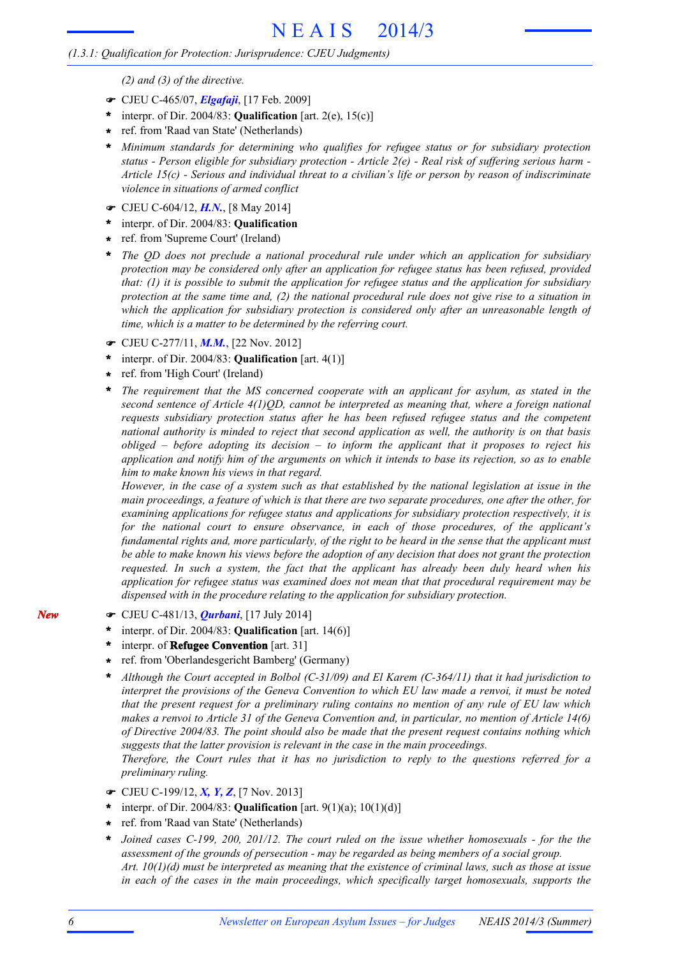*(2) and (3) of the directive.*

- ! CJEU C-465/07, *Elgafaji*, [17 Feb. 2009]
- interpr. of Dir. 2004/83: **Qualification** [art. 2(e), 15(c)] **\***
- ref. from 'Raad van State' (Netherlands) **\***
- *Minimum standards for determining who qualifies for refugee status or for subsidiary protection* **\*** status - Person eligible for subsidiary protection - Article  $2(e)$  - Real risk of suffering serious harm -*Article 15(c) - Serious and individual threat to a civilian's life or person by reason of indiscriminate violence in situations of armed conflict*
- ! CJEU C-604/12, *H.N.*, [8 May 2014]
- interpr. of Dir. 2004/83: **Qualification \***
- ref. from 'Supreme Court' (Ireland) **\***
- *The QD does not preclude a national procedural rule under which an application for subsidiary protection may be considered only after an application for refugee status has been refused, provided that: (1) it is possible to submit the application for refugee status and the application for subsidiary* protection at the same time and,  $(2)$  the national procedural rule does not give rise to a situation in *which the application for subsidiary protection is considered only after an unreasonable length of time, which is a matter to be determined by the referring court.* **\***
- ! CJEU C-277/11, *M.M.*, [22 Nov. 2012]
- interpr. of Dir. 2004/83: **Qualification** [art. 4(1)] **\***
- ref. from 'High Court' (Ireland) **\***
- *The requirement that the MS concerned cooperate with an applicant for asylum, as stated in the second sentence of Article 4(1)QD, cannot be interpreted as meaning that, where a foreign national requests subsidiary protection status after he has been refused refugee status and the competent national authority is minded to reject that second application as well, the authority is on that basis obliged – before adopting its decision – to inform the applicant that it proposes to reject his* application and notify him of the arguments on which it intends to base its rejection, so as to enable *him to make known his views in that regard.* **\***

However, in the case of a system such as that established by the national legislation at issue in the main proceedings, a feature of which is that there are two separate procedures, one after the other, for *examining applications for refugee status and applications for subsidiary protection respectively, it is for the national court to ensure observance, in each of those procedures, of the applicant's* fundamental rights and, more particularly, of the right to be heard in the sense that the applicant must be able to make known his views before the adoption of any decision that does not grant the protection *requested. In such a system, the fact that the applicant has already been duly heard when his application for refugee status was examined does not mean that that procedural requirement may be dispensed with in the procedure relating to the application for subsidiary protection.*

- ! CJEU C-481/13, *Qurbani*, [17 July 2014]
- interpr. of Dir. 2004/83: **Qualification** [art. 14(6)] **\***
- interpr. of **Refugee Convention** [art. 31] **\***
- ref. from 'Oberlandesgericht Bamberg' (Germany) **\***
- *Although the Court accepted in Bolbol (C-31/09) and El Karem (C-364/11) that it had jurisdiction to interpret the provisions of the Geneva Convention to which EU law made a renvoi, it must be noted that the present request for a preliminary ruling contains no mention of any rule of EU law which* makes a renvoi to Article 31 of the Geneva Convention and, in particular, no mention of Article 14(6) *of Directive 2004/83. The point should also be made that the present request contains nothing which suggests that the latter provision is relevant in the case in the main proceedings.* **\***

*Therefore, the Court rules that it has no jurisdiction to reply to the questions referred for a preliminary ruling.*

- ! CJEU C-199/12, *X, Y, Z*, [7 Nov. 2013]
- interpr. of Dir. 2004/83: **Qualification** [art. 9(1)(a); 10(1)(d)] **\***
- ref. from 'Raad van State' (Netherlands) **\***
- *Joined cases C-199, 200, 201/12. The court ruled on the issue whether homosexuals - for the the assessment of the grounds of persecution - may be regarded as being members of a social group.* Art.  $10(1)(d)$  must be interpreted as meaning that the existence of criminal laws, such as those at issue *in each of the cases in the main proceedings, which specifically target homosexuals, supports the* **\***

*New*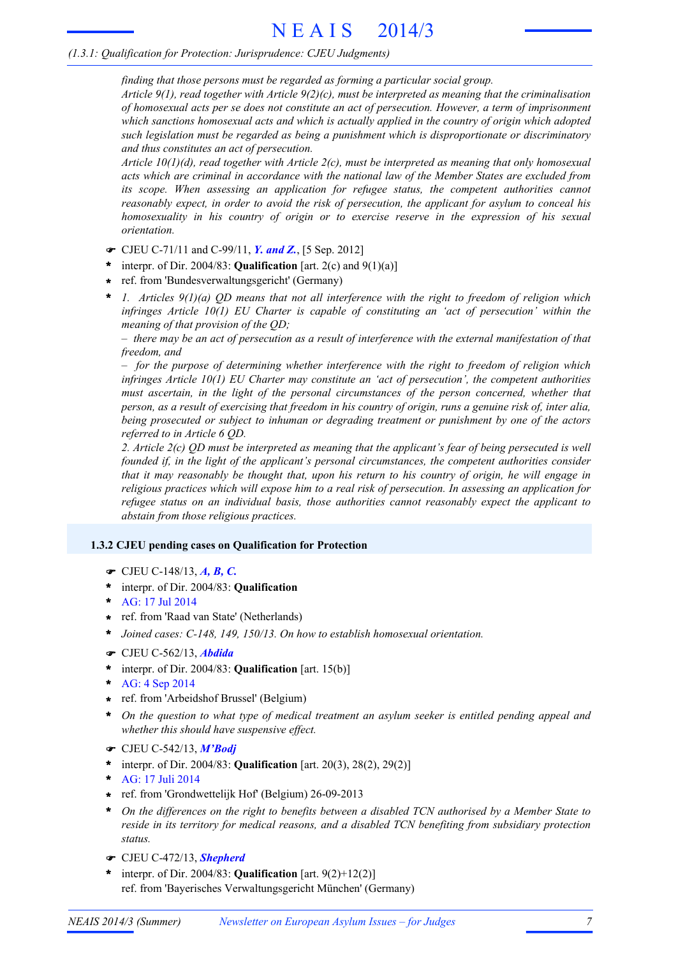*finding that those persons must be regarded as forming a particular social group.*

*Article 9(1), read together with Article 9(2)(c), must be interpreted as meaning that the criminalisation of homosexual acts per se does not constitute an act of persecution. However, a term of imprisonment which sanctions homosexual acts and which is actually applied in the country of origin which adopted such legislation must be regarded as being a punishment which is disproportionate or discriminatory and thus constitutes an act of persecution.*

*Article 10(1)(d), read together with Article 2(c), must be interpreted as meaning that only homosexual acts which are criminal in accordance with the national law of the Member States are excluded from its scope. When assessing an application for refugee status, the competent authorities cannot reasonably expect, in order to avoid the risk of persecution, the applicant for asylum to conceal his homosexuality in his country of origin or to exercise reserve in the expression of his sexual orientation.*

- ! CJEU C-71/11 and C-99/11, *Y. and Z.*, [5 Sep. 2012]
- interpr. of Dir. 2004/83: **Qualification** [art. 2(c) and 9(1)(a)] **\***
- ref. from 'Bundesverwaltungsgericht' (Germany) **\***
- *1. Articles 9(1)(a) QD means that not all interference with the right to freedom of religion which infringes Article 10(1) EU Charter is capable of constituting an 'act of persecution' within the meaning of that provision of the QD;* **\***

 $-$  there may be an act of persecution as a result of interference with the external manifestation of that *freedom, and*

*– for the purpose of determining whether interference with the right to freedom of religion which infringes Article 10(1) EU Charter may constitute an 'act of persecution', the competent authorities must ascertain, in the light of the personal circumstances of the person concerned, whether that* person, as a result of exercising that freedom in his country of origin, runs a genuine risk of, inter alia, *being prosecuted or subject to inhuman or degrading treatment or punishment by one of the actors referred to in Article 6 QD.*

2. Article  $2(c)$  OD must be interpreted as meaning that the applicant's fear of being persecuted is well *founded if, in the light of the applicant's personal circumstances, the competent authorities consider* that it may reasonably be thought that, upon his return to his country of origin, he will engage in *religious practices which will expose him to a real risk of persecution. In assessing an application for refugee status on an individual basis, those authorities cannot reasonably expect the applicant to abstain from those religious practices.*

# **1.3.2 CJEU pending cases on Qualification for Protection**

- ! CJEU C-148/13, *A, B, C.*
- interpr. of Dir. 2004/83: **Qualification \***
- AG: 17 Jul 2014 **\***
- ref. from 'Raad van State' (Netherlands) **\***
- **\*** *Joined cases: C-148, 149, 150/13. On how to establish homosexual orientation.*
- ! CJEU C-562/13, *Abdida*
- interpr. of Dir. 2004/83: **Qualification** [art. 15(b)] **\***
- AG: 4 Sep 2014 **\***
- ref. from 'Arbeidshof Brussel' (Belgium) **\***
- *On the question to what type of medical treatment an asylum seeker is entitled pending appeal and whether this should have suspensive effect.* **\***
- ! CJEU C-542/13, *M'Bodj*
- interpr. of Dir. 2004/83: **Qualification** [art. 20(3), 28(2), 29(2)] **\***
- AG: 17 Juli 2014 **\***
- ref. from 'Grondwettelijk Hof' (Belgium) 26-09-2013 **\***
- \* On the differences on the right to benefits between a disabled TCN authorised by a Member State to *reside in its territory for medical reasons, and a disabled TCN benefiting from subsidiary protection status.*
- ! CJEU C-472/13, *Shepherd*
- interpr. of Dir. 2004/83: **Qualification** [art. 9(2)+12(2)] ref. from 'Bayerisches Verwaltungsgericht München' (Germany) **\***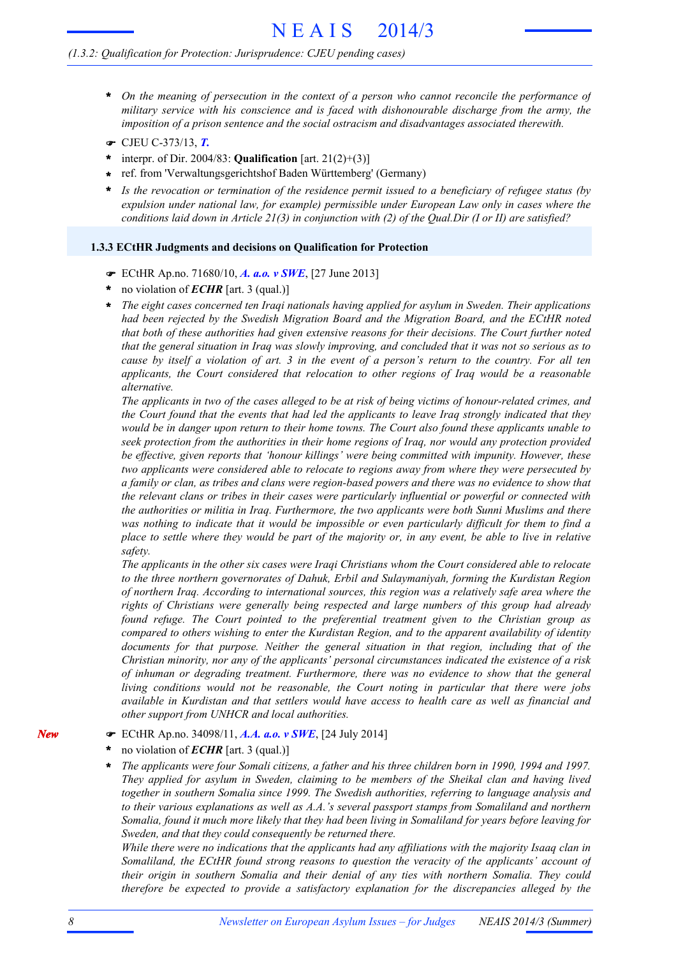#### *(1.3.2: Qualification for Protection: Jurisprudence: CJEU pending cases)*

- *On the meaning of persecution in the context of a person who cannot reconcile the performance of* **\*** *military service with his conscience and is faced with dishonourable discharge from the army, the imposition of a prison sentence and the social ostracism and disadvantages associated therewith.*
- ! CJEU C-373/13, *T.*
- interpr. of Dir. 2004/83: **Qualification** [art. 21(2)+(3)] **\***
- ref. from 'Verwaltungsgerichtshof Baden Württemberg' (Germany) **\***
- *Is the revocation or termination of the residence permit issued to a beneficiary of refugee status (by expulsion under national law, for example) permissible under European Law only in cases where the conditions laid down in Article 21(3) in conjunction with (2) of the Qual.Dir (I or II) are satisfied?* **\***

#### **1.3.3 ECtHR Judgments and decisions on Qualification for Protection**

- ! ECtHR Ap.no. 71680/10, *A. a.o. v SWE*, [27 June 2013]
- no violation of *ECHR* [art. 3 (qual.)] **\***
- *The eight cases concerned ten Iraqi nationals having applied for asylum in Sweden. Their applications had been rejected by the Swedish Migration Board and the Migration Board, and the ECtHR noted that both of these authorities had given extensive reasons for their decisions. The Court further noted* that the general situation in Iraq was slowly improving, and concluded that it was not so serious as to cause by itself a violation of art. 3 in the event of a person's return to the country. For all ten *applicants, the Court considered that relocation to other regions of Iraq would be a reasonable alternative.* **\***

The applicants in two of the cases alleged to be at risk of being victims of honour-related crimes, and the Court found that the events that had led the applicants to leave Iraq strongly indicated that they would be in danger upon return to their home towns. The Court also found these applicants unable to *seek protection from the authorities in their home regions of Iraq, nor would any protection provided be effective, given reports that 'honour killings' were being committed with impunity. However, these two applicants were considered able to relocate to regions away from where they were persecuted by* a family or clan, as tribes and clans were region-based powers and there was no evidence to show that *the relevant clans or tribes in their cases were particularly influential or powerful or connected with the authorities or militia in Iraq. Furthermore, the two applicants were both Sunni Muslims and there* was nothing to indicate that it would be impossible or even particularly difficult for them to find a place to settle where they would be part of the majority or, in any event, be able to live in relative *safety.*

*The applicants in the other six cases were Iraqi Christians whom the Court considered able to relocate to the three northern governorates of Dahuk, Erbil and Sulaymaniyah, forming the Kurdistan Region of northern Iraq. According to international sources, this region was a relatively safe area where the rights of Christians were generally being respected and large numbers of this group had already found refuge. The Court pointed to the preferential treatment given to the Christian group as compared to others wishing to enter the Kurdistan Region, and to the apparent availability of identity documents for that purpose. Neither the general situation in that region, including that of the Christian minority, nor any of the applicants' personal circumstances indicated the existence of a risk of inhuman or degrading treatment. Furthermore, there was no evidence to show that the general living conditions would not be reasonable, the Court noting in particular that there were jobs available in Kurdistan and that settlers would have access to health care as well as financial and other support from UNHCR and local authorities.*

- ! ECtHR Ap.no. 34098/11, *A.A. a.o. v SWE*, [24 July 2014]
- no violation of *ECHR* [art. 3 (qual.)] **\***
- The applicants were four Somali citizens, a father and his three children born in 1990, 1994 and 1997. *They applied for asylum in Sweden, claiming to be members of the Sheikal clan and having lived together in southern Somalia since 1999. The Swedish authorities, referring to language analysis and to their various explanations as well as A.A.'s several passport stamps from Somaliland and northern* Somalia, found it much more likely that they had been living in Somaliland for years before leaving for *Sweden, and that they could consequently be returned there.* **\***

*While there were no indications that the applicants had any affiliations with the majority Isaaq clan in Somaliland, the ECtHR found strong reasons to question the veracity of the applicants' account of their origin in southern Somalia and their denial of any ties with northern Somalia. They could therefore be expected to provide a satisfactory explanation for the discrepancies alleged by the*

*New*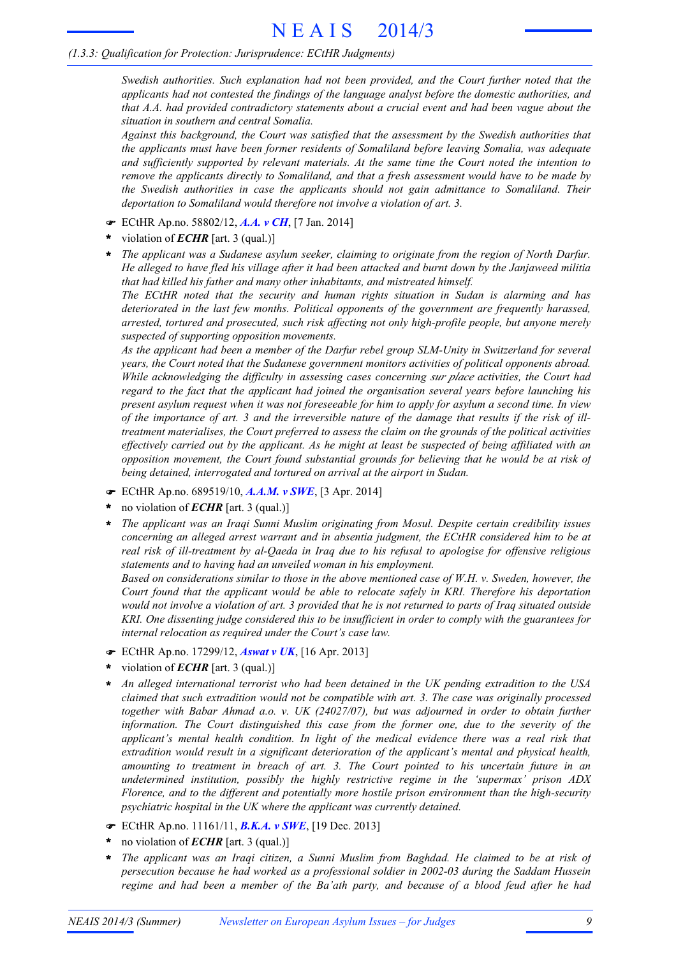*Swedish authorities. Such explanation had not been provided, and the Court further noted that the applicants had not contested the findings of the language analyst before the domestic authorities, and that A.A. had provided contradictory statements about a crucial event and had been vague about the situation in southern and central Somalia.*

*Against this background, the Court was satisfied that the assessment by the Swedish authorities that the applicants must have been former residents of Somaliland before leaving Somalia, was adequate and sufficiently supported by relevant materials. At the same time the Court noted the intention to remove the applicants directly to Somaliland, and that a fresh assessment would have to be made by the Swedish authorities in case the applicants should not gain admittance to Somaliland. Their deportation to Somaliland would therefore not involve a violation of art. 3.*

- ! ECtHR Ap.no. 58802/12, *A.A. v CH*, [7 Jan. 2014]
- violation of *ECHR* [art. 3 (qual.)] **\***
- *The applicant was a Sudanese asylum seeker, claiming to originate from the region of North Darfur.* He alleged to have fled his village after it had been attacked and burnt down by the Janjaweed militia *that had killed his father and many other inhabitants, and mistreated himself.* **\***

*The ECtHR noted that the security and human rights situation in Sudan is alarming and has deteriorated in the last few months. Political opponents of the government are frequently harassed, arrested, tortured and prosecuted, such risk affecting not only high-profile people, but anyone merely suspected of supporting opposition movements.*

*As the applicant had been a member of the Darfur rebel group SLM-Unity in Switzerland for several years, the Court noted that the Sudanese government monitors activities of political opponents abroad. While acknowledging the difficulty in assessing cases concerning sur place activities, the Court had regard to the fact that the applicant had joined the organisation several years before launching his* present asylum request when it was not foreseeable for him to apply for asylum a second time. In view of the importance of art. 3 and the irreversible nature of the damage that results if the risk of ill*treatment materialises, the Court preferred to assess the claim on the grounds of the political activities* effectively carried out by the applicant. As he might at least be suspected of being affiliated with an *opposition movement, the Court found substantial grounds for believing that he would be at risk of being detained, interrogated and tortured on arrival at the airport in Sudan.*

- ! ECtHR Ap.no. 689519/10, *A.A.M. v SWE*, [3 Apr. 2014]
- no violation of *ECHR* [art. 3 (qual.)] **\***
- *The applicant was an Iraqi Sunni Muslim originating from Mosul. Despite certain credibility issues concerning an alleged arrest warrant and in absentia judgment, the ECtHR considered him to be at real risk of ill-treatment by al-Qaeda in Iraq due to his refusal to apologise for offensive religious statements and to having had an unveiled woman in his employment.* **\***

*Based on considerations similar to those in the above mentioned case of W.H. v. Sweden, however, the Court found that the applicant would be able to relocate safely in KRI. Therefore his deportation* would not involve a violation of art. 3 provided that he is not returned to parts of Iraq situated outside *KRI. One dissenting judge considered this to be insufficient in order to comply with the guarantees for internal relocation as required under the Court's case law.*

- ! ECtHR Ap.no. 17299/12, *Aswat v UK*, [16 Apr. 2013]
- violation of *ECHR* [art. 3 (qual.)] **\***
- *An alleged international terrorist who had been detained in the UK pending extradition to the USA claimed that such extradition would not be compatible with art. 3. The case was originally processed together with Babar Ahmad a.o. v. UK (24027/07), but was adjourned in order to obtain further information. The Court distinguished this case from the former one, due to the severity of the applicant's mental health condition. In light of the medical evidence there was a real risk that extradition would result in a significant deterioration of the applicant's mental and physical health, amounting to treatment in breach of art. 3. The Court pointed to his uncertain future in an undetermined institution, possibly the highly restrictive regime in the 'supermax' prison ADX Florence, and to the different and potentially more hostile prison environment than the high-security psychiatric hospital in the UK where the applicant was currently detained.* **\***
- ! ECtHR Ap.no. 11161/11, *B.K.A. v SWE*, [19 Dec. 2013]
- no violation of *ECHR* [art. 3 (qual.)] **\***
- *The applicant was an Iraqi citizen, a Sunni Muslim from Baghdad. He claimed to be at risk of persecution because he had worked as a professional soldier in 2002-03 during the Saddam Hussein regime and had been a member of the Ba'ath party, and because of a blood feud after he had* **\***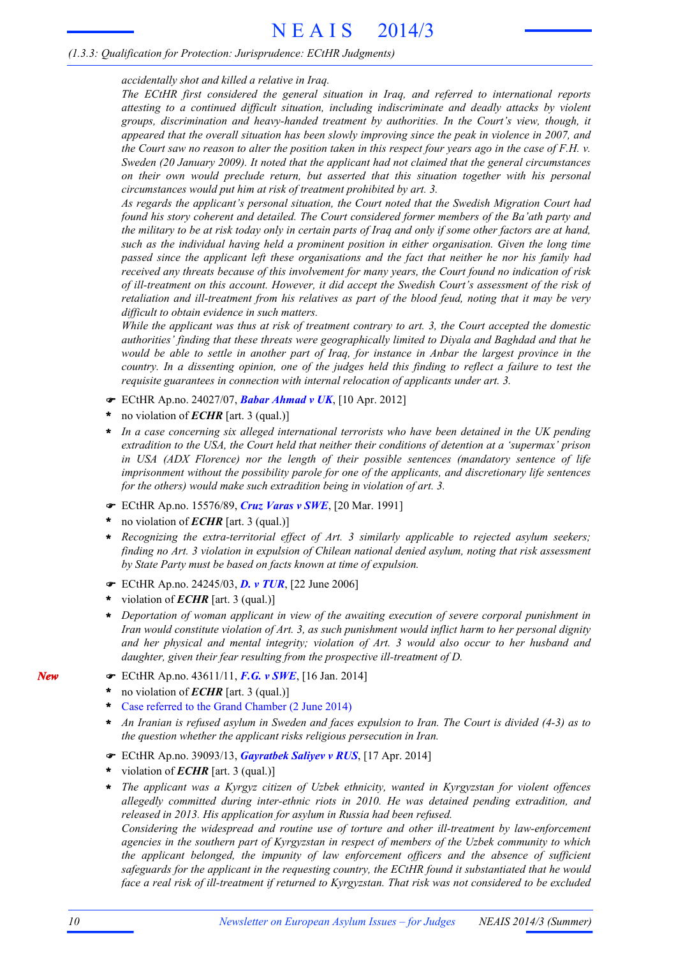*accidentally shot and killed a relative in Iraq.*

*The ECtHR first considered the general situation in Iraq, and referred to international reports attesting to a continued difficult situation, including indiscriminate and deadly attacks by violent groups, discrimination and heavy-handed treatment by authorities. In the Court's view, though, it appeared that the overall situation has been slowly improving since the peak in violence in 2007, and* the Court saw no reason to alter the position taken in this respect four years ago in the case of  $F.H.$   $v.$ *Sweden (20 January 2009). It noted that the applicant had not claimed that the general circumstances on their own would preclude return, but asserted that this situation together with his personal circumstances would put him at risk of treatment prohibited by art. 3.*

*As regards the applicant's personal situation, the Court noted that the Swedish Migration Court had found his story coherent and detailed. The Court considered former members of the Ba'ath party and* the military to be at risk today only in certain parts of Iraq and only if some other factors are at hand, *such as the individual having held a prominent position in either organisation. Given the long time passed since the applicant left these organisations and the fact that neither he nor his family had received any threats because of this involvement for many years, the Court found no indication of risk of ill-treatment on this account. However, it did accept the Swedish Court's assessment of the risk of* retaliation and ill-treatment from his relatives as part of the blood feud, noting that it may be very *difficult to obtain evidence in such matters.*

While the applicant was thus at risk of treatment contrary to art. 3, the Court accepted the domestic *authorities' finding that these threats were geographically limited to Diyala and Baghdad and that he* would be able to settle in another part of Iraq, for instance in Anbar the largest province in the country. In a dissenting opinion, one of the judges held this finding to reflect a failure to test the *requisite guarantees in connection with internal relocation of applicants under art. 3.*

- ! ECtHR Ap.no. 24027/07, *Babar Ahmad v UK*, [10 Apr. 2012]
- no violation of *ECHR* [art. 3 (qual.)] **\***
- *In a case concerning six alleged international terrorists who have been detained in the UK pending extradition to the USA, the Court held that neither their conditions of detention at a 'supermax' prison in USA (ADX Florence) nor the length of their possible sentences (mandatory sentence of life imprisonment without the possibility parole for one of the applicants, and discretionary life sentences for the others) would make such extradition being in violation of art. 3.* **\***
- ! ECtHR Ap.no. 15576/89, *Cruz Varas v SWE*, [20 Mar. 1991]
- no violation of *ECHR* [art. 3 (qual.)] **\***
- *Recognizing the extra-territorial effect of Art. 3 similarly applicable to rejected asylum seekers; finding no Art. 3 violation in expulsion of Chilean national denied asylum, noting that risk assessment by State Party must be based on facts known at time of expulsion.* **\***
- ! ECtHR Ap.no. 24245/03, *D. v TUR*, [22 June 2006]
- violation of *ECHR* [art. 3 (qual.)] **\***
- *Deportation of woman applicant in view of the awaiting execution of severe corporal punishment in Iran would constitute violation of Art. 3, as such punishment would inflict harm to her personal dignity and her physical and mental integrity; violation of Art. 3 would also occur to her husband and daughter, given their fear resulting from the prospective ill-treatment of D.* **\***
- ! ECtHR Ap.no. 43611/11, *F.G. v SWE*, [16 Jan. 2014]
- no violation of *ECHR* [art. 3 (qual.)] **\***
- Case referred to the Grand Chamber (2 June 2014) **\***
- An Iranian is refused asylum in Sweden and faces expulsion to Iran. The Court is divided (4-3) as to *the question whether the applicant risks religious persecution in Iran.* **\***
- ! ECtHR Ap.no. 39093/13, *Gayratbek Saliyev v RUS*, [17 Apr. 2014]
- violation of *ECHR* [art. 3 (qual.)] **\***
- *The applicant was a Kyrgyz citizen of Uzbek ethnicity, wanted in Kyrgyzstan for violent offences allegedly committed during inter-ethnic riots in 2010. He was detained pending extradition, and released in 2013. His application for asylum in Russia had been refused.* **\***

*Considering the widespread and routine use of torture and other ill-treatment by law-enforcement agencies in the southern part of Kyrgyzstan in respect of members of the Uzbek community to which the applicant belonged, the impunity of law enforcement officers and the absence of sufficient safeguards for the applicant in the requesting country, the ECtHR found it substantiated that he would* face a real risk of ill-treatment if returned to Kyrgyzstan. That risk was not considered to be excluded

*New*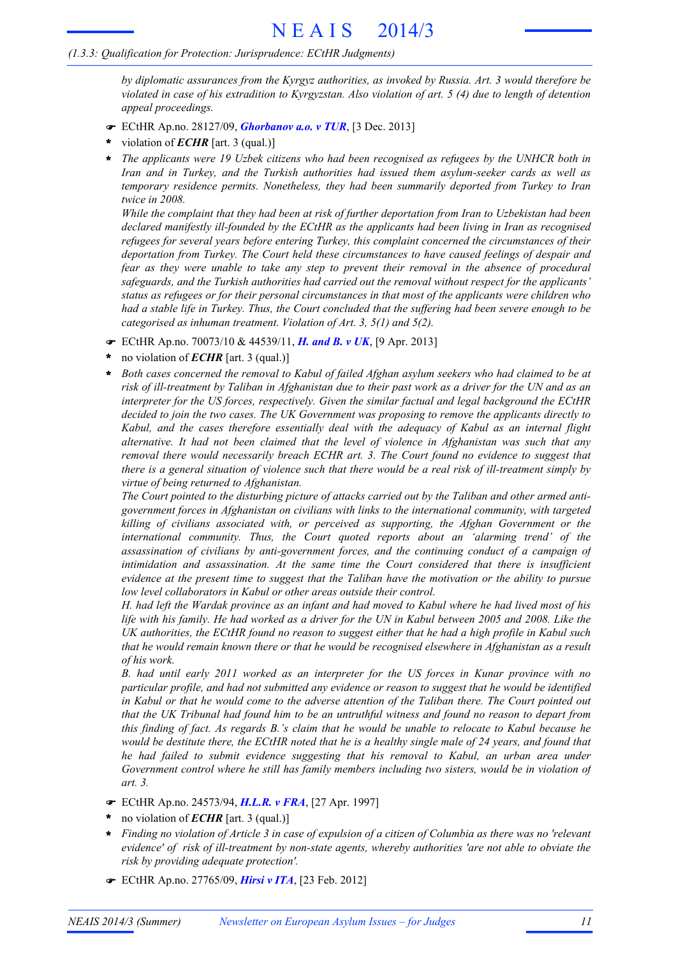*by diplomatic assurances from the Kyrgyz authorities, as invoked by Russia. Art. 3 would therefore be* violated in case of his extradition to Kyrgyzstan. Also violation of art.  $5(4)$  due to length of detention *appeal proceedings.*

- ! ECtHR Ap.no. 28127/09, *Ghorbanov a.o. v TUR*, [3 Dec. 2013]
- violation of *ECHR* [art. 3 (qual.)] **\***
- *The applicants were 19 Uzbek citizens who had been recognised as refugees by the UNHCR both in Iran and in Turkey, and the Turkish authorities had issued them asylum-seeker cards as well as temporary residence permits. Nonetheless, they had been summarily deported from Turkey to Iran twice in 2008.* **\***

While the complaint that they had been at risk of further deportation from Iran to Uzbekistan had been *declared manifestly ill-founded by the ECtHR as the applicants had been living in Iran as recognised refugees for several years before entering Turkey, this complaint concerned the circumstances of their deportation from Turkey. The Court held these circumstances to have caused feelings of despair and fear as they were unable to take any step to prevent their removal in the absence of procedural safeguards, and the Turkish authorities had carried out the removal without respect for the applicants' status as refugees or for their personal circumstances in that most of the applicants were children who* had a stable life in Turkey. Thus, the Court concluded that the suffering had been severe enough to be *categorised as inhuman treatment. Violation of Art. 3, 5(1) and 5(2).*

- ! ECtHR Ap.no. 70073/10 & 44539/11, *H. and B. v UK*, [9 Apr. 2013]
- no violation of *ECHR* [art. 3 (qual.)] **\***
- *Both cases concerned the removal to Kabul of failed Afghan asylum seekers who had claimed to be at* risk of ill-treatment by Taliban in Afghanistan due to their past work as a driver for the UN and as an *interpreter for the US forces, respectively. Given the similar factual and legal background the ECtHR decided to join the two cases. The UK Government was proposing to remove the applicants directly to Kabul, and the cases therefore essentially deal with the adequacy of Kabul as an internal flight alternative. It had not been claimed that the level of violence in Afghanistan was such that any removal there would necessarily breach ECHR art. 3. The Court found no evidence to suggest that* there is a general situation of violence such that there would be a real risk of ill-treatment simply by *virtue of being returned to Afghanistan.* **\***

The Court pointed to the disturbing picture of attacks carried out by the Taliban and other armed anti*government forces in Afghanistan on civilians with links to the international community, with targeted killing of civilians associated with, or perceived as supporting, the Afghan Government or the international community. Thus, the Court quoted reports about an 'alarming trend' of the assassination of civilians by anti-government forces, and the continuing conduct of a campaign of intimidation and assassination. At the same time the Court considered that there is insufficient* evidence at the present time to suggest that the Taliban have the motivation or the ability to pursue *low level collaborators in Kabul or other areas outside their control.*

H, had left the Wardak province as an infant and had moved to Kabul where he had lived most of his life with his family. He had worked as a driver for the UN in Kabul between 2005 and 2008. Like the UK authorities, the ECtHR found no reason to suggest either that he had a high profile in Kabul such that he would remain known there or that he would be recognised elsewhere in Afghanistan as a result *of his work.*

*B. had until early 2011 worked as an interpreter for the US forces in Kunar province with no particular profile, and had not submitted any evidence or reason to suggest that he would be identified* in Kabul or that he would come to the adverse attention of the Taliban there. The Court pointed out that the UK Tribunal had found him to be an untruthful witness and found no reason to depart from this finding of fact. As regards B.'s claim that he would be unable to relocate to Kabul because he would be destitute there, the ECtHR noted that he is a healthy single male of 24 years, and found that *he had failed to submit evidence suggesting that his removal to Kabul, an urban area under Government control where he still has family members including two sisters, would be in violation of art. 3.*

- ! ECtHR Ap.no. 24573/94, *H.L.R. v FRA*, [27 Apr. 1997]
- no violation of *ECHR* [art. 3 (qual.)] **\***
- Finding no violation of Article 3 in case of expulsion of a citizen of Columbia as there was no 'relevant *evidence' of risk of ill-treatment by non-state agents, whereby authorities 'are not able to obviate the risk by providing adequate protection'.* **\***
- ! ECtHR Ap.no. 27765/09, *Hirsi v ITA*, [23 Feb. 2012]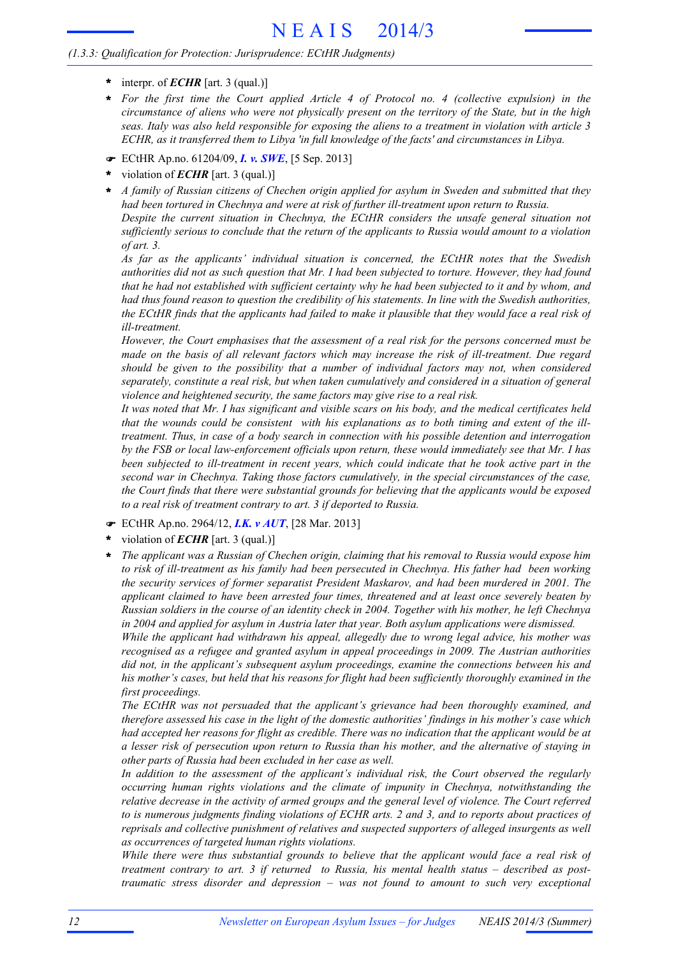# N E A I S 2014/3

#### *(1.3.3: Qualification for Protection: Jurisprudence: ECtHR Judgments)*

- $\text{interpr. of } \mathbf{ECHR}$  [art. 3 (qual.)]
- *For the first time the Court applied Article 4 of Protocol no. 4 (collective expulsion) in the* circumstance of aliens who were not physically present on the territory of the State, but in the high seas. Italy was also held responsible for exposing the aliens to a treatment in violation with article 3 *ECHR, as it transferred them to Libya 'in full knowledge of the facts' and circumstances in Libya.* **\***
- ! ECtHR Ap.no. 61204/09, *I. v. SWE*, [5 Sep. 2013]
- violation of *ECHR* [art. 3 (qual.)] **\***
- *A family of Russian citizens of Chechen origin applied for asylum in Sweden and submitted that they had been tortured in Chechnya and were at risk of further ill-treatment upon return to Russia. Despite the current situation in Chechnya, the ECtHR considers the unsafe general situation not sufficiently serious to conclude that the return of the applicants to Russia would amount to a violation of art. 3.* **\***

*As far as the applicants' individual situation is concerned, the ECtHR notes that the Swedish* authorities did not as such question that Mr. I had been subjected to torture. However, they had found that he had not established with sufficient certainty why he had been subjected to it and by whom, and had thus found reason to question the credibility of his statements. In line with the Swedish authorities, the ECtHR finds that the applicants had failed to make it plausible that they would face a real risk of *ill-treatment.*

*However, the Court emphasises that the assessment of a real risk for the persons concerned must be made on the basis of all relevant factors which may increase the risk of ill-treatment. Due regard should be given to the possibility that a number of individual factors may not, when considered separately, constitute a real risk, but when taken cumulatively and considered in a situation of general violence and heightened security, the same factors may give rise to a real risk.*

It was noted that Mr. I has significant and visible scars on his body, and the medical certificates held that the wounds could be consistent with his explanations as to both timing and extent of the ill*treatment. Thus, in case of a body search in connection with his possible detention and interrogation by the FSB or local law-enforcement officials upon return, these would immediately see that Mr. I has been subjected to ill-treatment in recent years, which could indicate that he took active part in the second war in Chechnya. Taking those factors cumulatively, in the special circumstances of the case, the Court finds that there were substantial grounds for believing that the applicants would be exposed to a real risk of treatment contrary to art. 3 if deported to Russia.*

- ! ECtHR Ap.no. 2964/12, *I.K. v AUT*, [28 Mar. 2013]
- violation of *ECHR* [art. 3 (qual.)] **\***
- *The applicant was a Russian of Chechen origin, claiming that his removal to Russia would expose him to risk of ill-treatment as his family had been persecuted in Chechnya. His father had been working the security services of former separatist President Maskarov, and had been murdered in 2001. The applicant claimed to have been arrested four times, threatened and at least once severely beaten by* Russian soldiers in the course of an identity check in 2004. Together with his mother, he left Chechnya *in 2004 and applied for asylum in Austria later that year. Both asylum applications were dismissed.* **\***

*While the applicant had withdrawn his appeal, allegedly due to wrong legal advice, his mother was recognised as a refugee and granted asylum in appeal proceedings in 2009. The Austrian authorities did not, in the applicant's subsequent asylum proceedings, examine the connections between his and his mother's cases, but held that his reasons for flight had been sufficiently thoroughly examined in the first proceedings.*

*The ECtHR was not persuaded that the applicant's grievance had been thoroughly examined, and therefore assessed his case in the light of the domestic authorities' findings in his mother's case which* had accepted her reasons for flight as credible. There was no indication that the applicant would be at a lesser risk of persecution upon return to Russia than his mother, and the alternative of staying in *other parts of Russia had been excluded in her case as well.*

*In addition to the assessment of the applicant's individual risk, the Court observed the regularly occurring human rights violations and the climate of impunity in Chechnya, notwithstanding the relative decrease in the activity of armed groups and the general level of violence. The Court referred* to is numerous judgments finding violations of ECHR arts. 2 and 3, and to reports about practices of *reprisals and collective punishment of relatives and suspected supporters of alleged insurgents as well as occurrences of targeted human rights violations.*

*While there were thus substantial grounds to believe that the applicant would face a real risk of treatment contrary to art. 3 if returned to Russia, his mental health status – described as posttraumatic stress disorder and depression – was not found to amount to such very exceptional*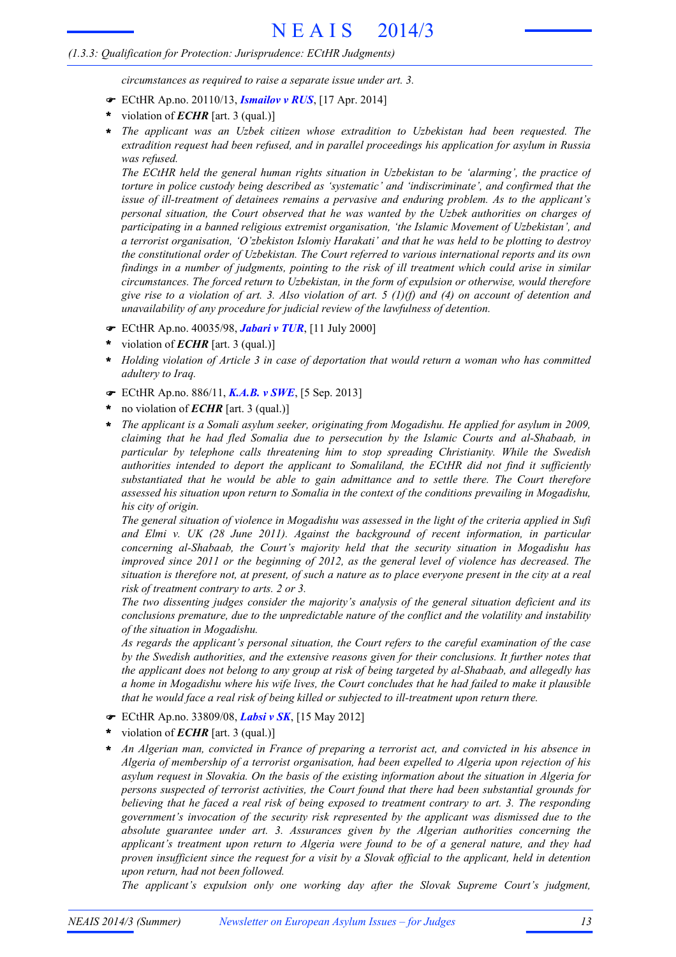*circumstances as required to raise a separate issue under art. 3.*

- ! ECtHR Ap.no. 20110/13, *Ismailov v RUS*, [17 Apr. 2014]
- violation of *ECHR* [art. 3 (qual.)] **\***
- *The applicant was an Uzbek citizen whose extradition to Uzbekistan had been requested. The extradition request had been refused, and in parallel proceedings his application for asylum in Russia was refused.* **\***

*The ECtHR held the general human rights situation in Uzbekistan to be 'alarming', the practice of torture in police custody being described as 'systematic' and 'indiscriminate', and confirmed that the issue of ill-treatment of detainees remains a pervasive and enduring problem. As to the applicant's personal situation, the Court observed that he was wanted by the Uzbek authorities on charges of participating in a banned religious extremist organisation, 'the Islamic Movement of Uzbekistan', and a terrorist organisation, 'O'zbekiston Islomiy Harakati' and that he was held to be plotting to destroy the constitutional order of Uzbekistan. The Court referred to various international reports and its own* findings in a number of judgments, pointing to the risk of ill treatment which could arise in similar *circumstances. The forced return to Uzbekistan, in the form of expulsion or otherwise, would therefore* give rise to a violation of art. 3. Also violation of art. 5 (1)(f) and (4) on account of detention and *unavailability of any procedure for judicial review of the lawfulness of detention.*

- ! ECtHR Ap.no. 40035/98, *Jabari v TUR*, [11 July 2000]
- violation of *ECHR* [art. 3 (qual.)] **\***
- *Holding violation of Article 3 in case of deportation that would return a woman who has committed adultery to Iraq.* **\***
- ! ECtHR Ap.no. 886/11, *K.A.B. v SWE*, [5 Sep. 2013]
- no violation of *ECHR* [art. 3 (qual.)] **\***
- *The applicant is a Somali asylum seeker, originating from Mogadishu. He applied for asylum in 2009, claiming that he had fled Somalia due to persecution by the Islamic Courts and al-Shabaab, in particular by telephone calls threatening him to stop spreading Christianity. While the Swedish authorities intended to deport the applicant to Somaliland, the ECtHR did not find it sufficiently substantiated that he would be able to gain admittance and to settle there. The Court therefore assessed his situation upon return to Somalia in the context of the conditions prevailing in Mogadishu, his city of origin.* **\***

The general situation of violence in Mogadishu was assessed in the light of the criteria applied in Sufi *and Elmi v. UK (28 June 2011). Against the background of recent information, in particular concerning al-Shabaab, the Court's majority held that the security situation in Mogadishu has improved since 2011 or the beginning of 2012, as the general level of violence has decreased. The* situation is therefore not, at present, of such a nature as to place everyone present in the city at a real *risk of treatment contrary to arts. 2 or 3.*

*The two dissenting judges consider the majority's analysis of the general situation deficient and its conclusions premature, due to the unpredictable nature of the conflict and the volatility and instability of the situation in Mogadishu.*

*As regards the applicant's personal situation, the Court refers to the careful examination of the case by the Swedish authorities, and the extensive reasons given for their conclusions. It further notes that* the applicant does not belong to any group at risk of being targeted by al-Shabaab, and allegedly has a home in Mogadishu where his wife lives, the Court concludes that he had failed to make it plausible *that he would face a real risk of being killed or subjected to ill-treatment upon return there.*

- ! ECtHR Ap.no. 33809/08, *Labsi v SK*, [15 May 2012]
- violation of *ECHR* [art. 3 (qual.)] **\***
- *An Algerian man, convicted in France of preparing a terrorist act, and convicted in his absence in Algeria of membership of a terrorist organisation, had been expelled to Algeria upon rejection of his asylum request in Slovakia. On the basis of the existing information about the situation in Algeria for persons suspected of terrorist activities, the Court found that there had been substantial grounds for* believing that he faced a real risk of being exposed to treatment contrary to art. 3. The responding *government's invocation of the security risk represented by the applicant was dismissed due to the absolute guarantee under art. 3. Assurances given by the Algerian authorities concerning the applicant's treatment upon return to Algeria were found to be of a general nature, and they had* proven insufficient since the request for a visit by a Slovak official to the applicant, held in detention *upon return, had not been followed.* **\***

*The applicant's expulsion only one working day after the Slovak Supreme Court's judgment,*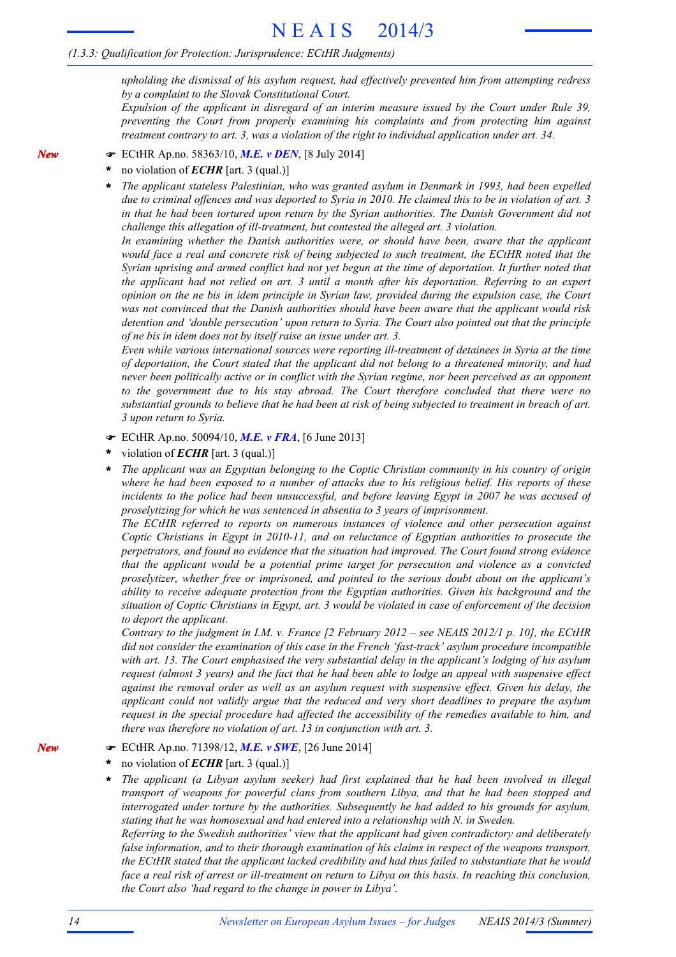*upholding the dismissal of his asylum request, had effectively prevented him from attempting redress by a complaint to the Slovak Constitutional Court.*

*Expulsion of the applicant in disregard of an interim measure issued by the Court under Rule 39, preventing the Court from properly examining his complaints and from protecting him against treatment contrary to art. 3, was a violation of the right to individual application under art. 34.*

- ! ECtHR Ap.no. 58363/10, *M.E. v DEN*, [8 July 2014]
- no violation of *ECHR* [art. 3 (qual.)] **\***
- *The applicant stateless Palestinian, who was granted asylum in Denmark in 1993, had been expelled* due to criminal offences and was deported to Syria in 2010. He claimed this to be in violation of art. 3 *in that he had been tortured upon return by the Syrian authorities. The Danish Government did not challenge this allegation of ill-treatment, but contested the alleged art. 3 violation.* **\***

*In examining whether the Danish authorities were, or should have been, aware that the applicant would face a real and concrete risk of being subjected to such treatment, the ECtHR noted that the* Syrian uprising and armed conflict had not vet begun at the time of deportation. It further noted that *the applicant had not relied on art. 3 until a month after his deportation. Referring to an expert* opinion on the ne bis in idem principle in Syrian law, provided during the expulsion case, the Court *was not convinced that the Danish authorities should have been aware that the applicant would risk detention and 'double persecution' upon return to Syria. The Court also pointed out that the principle of ne bis in idem does not by itself raise an issue under art. 3.*

*Even while various international sources were reporting ill-treatment of detainees in Syria at the time of deportation, the Court stated that the applicant did not belong to a threatened minority, and had never been politically active or in conflict with the Syrian regime, nor been perceived as an opponent to the government due to his stay abroad. The Court therefore concluded that there were no* substantial grounds to believe that he had been at risk of being subjected to treatment in breach of art. *3 upon return to Syria.*

- ! ECtHR Ap.no. 50094/10, *M.E. v FRA*, [6 June 2013]
- violation of *ECHR* [art. 3 (qual.)] **\***
- *The applicant was an Egyptian belonging to the Coptic Christian community in his country of origin* where he had been exposed to a number of attacks due to his religious belief. His reports of these *incidents to the police had been unsuccessful, and before leaving Egypt in 2007 he was accused of proselytizing for which he was sentenced in absentia to 3 years of imprisonment.* **\***

*The ECtHR referred to reports on numerous instances of violence and other persecution against Coptic Christians in Egypt in 2010-11, and on reluctance of Egyptian authorities to prosecute the perpetrators, and found no evidence that the situation had improved. The Court found strong evidence that the applicant would be a potential prime target for persecution and violence as a convicted proselytizer, whether free or imprisoned, and pointed to the serious doubt about on the applicant's ability to receive adequate protection from the Egyptian authorities. Given his background and the* situation of Coptic Christians in Egypt, art. 3 would be violated in case of enforcement of the decision *to deport the applicant.*

Contrary to the judgment in I.M. v. France [2 February  $2012 -$  see NEAIS 2012/1 p. 10], the ECtHR *did not consider the examination of this case in the French 'fast-track' asylum procedure incompatible with art. 13. The Court emphasised the very substantial delay in the applicant's lodging of his asylum* request (almost 3 years) and the fact that he had been able to lodge an appeal with suspensive effect *against the removal order as well as an asylum request with suspensive effect. Given his delay, the applicant could not validly argue that the reduced and very short deadlines to prepare the asylum request in the special procedure had affected the accessibility of the remedies available to him, and there was therefore no violation of art. 13 in conjunction with art. 3.*

*New*

*New*

- ! ECtHR Ap.no. 71398/12, *M.E. v SWE*, [26 June 2014]
- no violation of *ECHR* [art. 3 (qual.)] **\***
- *The applicant (a Libyan asylum seeker) had first explained that he had been involved in illegal transport of weapons for powerful clans from southern Libya, and that he had been stopped and interrogated under torture by the authorities. Subsequently he had added to his grounds for asylum, stating that he was homosexual and had entered into a relationship with N. in Sweden.* **\***

*Referring to the Swedish authorities' view that the applicant had given contradictory and deliberately false information, and to their thorough examination of his claims in respect of the weapons transport, the ECtHR stated that the applicant lacked credibility and had thus failed to substantiate that he would* face a real risk of arrest or ill-treatment on return to Libya on this basis. In reaching this conclusion, *the Court also 'had regard to the change in power in Libya'.*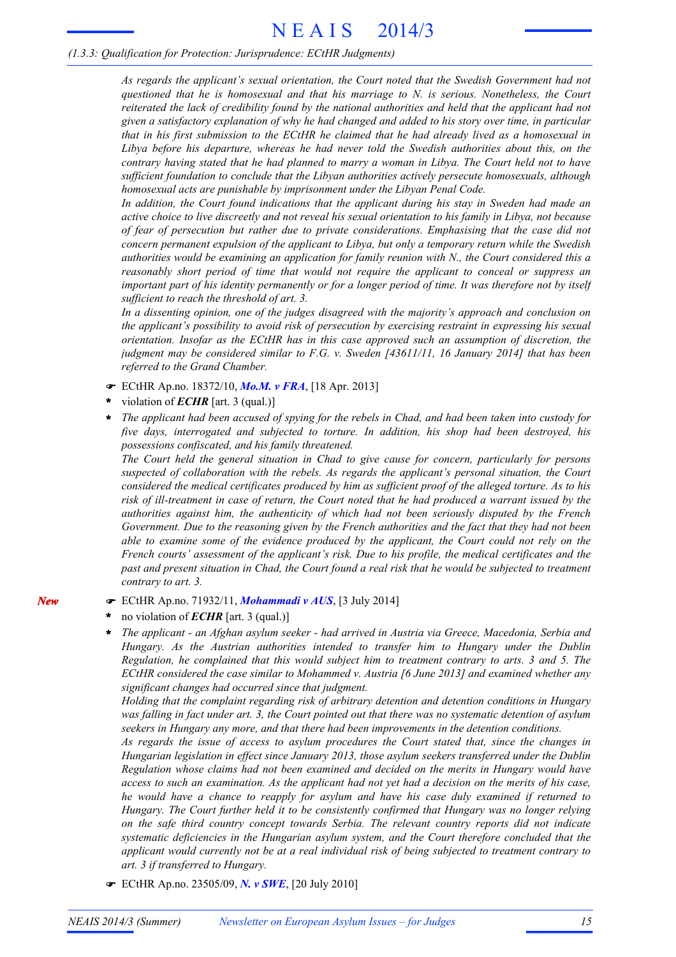*As regards the applicant's sexual orientation, the Court noted that the Swedish Government had not questioned that he is homosexual and that his marriage to N. is serious. Nonetheless, the Court reiterated the lack of credibility found by the national authorities and held that the applicant had not* given a satisfactory explanation of why he had changed and added to his story over time, in particular that in his first submission to the ECtHR he claimed that he had already lived as a homosexual in *Libya before his departure, whereas he had never told the Swedish authorities about this, on the* contrary having stated that he had planned to marry a woman in Libya. The Court held not to have *sufficient foundation to conclude that the Libyan authorities actively persecute homosexuals, although homosexual acts are punishable by imprisonment under the Libyan Penal Code.*

*In addition, the Court found indications that the applicant during his stay in Sweden had made an* active choice to live discreetly and not reveal his sexual orientation to his family in Libya, not because *of fear of persecution but rather due to private considerations. Emphasising that the case did not concern permanent expulsion of the applicant to Libya, but only a temporary return while the Swedish authorities would be examining an application for family reunion with N., the Court considered this a reasonably short period of time that would not require the applicant to conceal or suppress an* important part of his identity permanently or for a longer period of time. It was therefore not by itself *sufficient to reach the threshold of art. 3.*

*In a dissenting opinion, one of the judges disagreed with the majority's approach and conclusion on the applicant's possibility to avoid risk of persecution by exercising restraint in expressing his sexual orientation. Insofar as the ECtHR has in this case approved such an assumption of discretion, the judgment may be considered similar to F.G. v. Sweden [43611/11, 16 January 2014] that has been referred to the Grand Chamber.*

- ! ECtHR Ap.no. 18372/10, *Mo.M. v FRA*, [18 Apr. 2013]
- violation of *ECHR* [art. 3 (qual.)] **\***
- The applicant had been accused of spying for the rebels in Chad, and had been taken into custody for *five days, interrogated and subjected to torture. In addition, his shop had been destroyed, his possessions confiscated, and his family threatened.* **\***

*The Court held the general situation in Chad to give cause for concern, particularly for persons suspected of collaboration with the rebels. As regards the applicant's personal situation, the Court considered the medical certificates produced by him as sufficient proof of the alleged torture. As to his* risk of ill-treatment in case of return, the Court noted that he had produced a warrant issued by the *authorities against him, the authenticity of which had not been seriously disputed by the French* Government. Due to the reasoning given by the French authorities and the fact that they had not been *able to examine some of the evidence produced by the applicant, the Court could not rely on the French courts' assessment of the applicant's risk. Due to his profile, the medical certificates and the* past and present situation in Chad, the Court found a real risk that he would be subjected to treatment *contrary to art. 3.*

- ! ECtHR Ap.no. 71932/11, *Mohammadi v AUS*, [3 July 2014]
- no violation of *ECHR* [art. 3 (qual.)] **\***

*New*

*The applicant - an Afghan asylum seeker - had arrived in Austria via Greece, Macedonia, Serbia and Hungary. As the Austrian authorities intended to transfer him to Hungary under the Dublin Regulation, he complained that this would subject him to treatment contrary to arts. 3 and 5. The ECtHR considered the case similar to Mohammed v. Austria [6 June 2013] and examined whether any significant changes had occurred since that judgment.* **\***

*Holding that the complaint regarding risk of arbitrary detention and detention conditions in Hungary* was falling in fact under art. 3, the Court pointed out that there was no systematic detention of asylum *seekers in Hungary any more, and that there had been improvements in the detention conditions.*

*As regards the issue of access to asylum procedures the Court stated that, since the changes in Hungarian legislation in effect since January 2013, those asylum seekers transferred under the Dublin Regulation whose claims had not been examined and decided on the merits in Hungary would have* access to such an examination. As the applicant had not yet had a decision on the merits of his case, *he would have a chance to reapply for asylum and have his case duly examined if returned to Hungary. The Court further held it to be consistently confirmed that Hungary was no longer relying on the safe third country concept towards Serbia. The relevant country reports did not indicate systematic deficiencies in the Hungarian asylum system, and the Court therefore concluded that the applicant would currently not be at a real individual risk of being subjected to treatment contrary to art. 3 if transferred to Hungary.*

! ECtHR Ap.no. 23505/09, *N. v SWE*, [20 July 2010]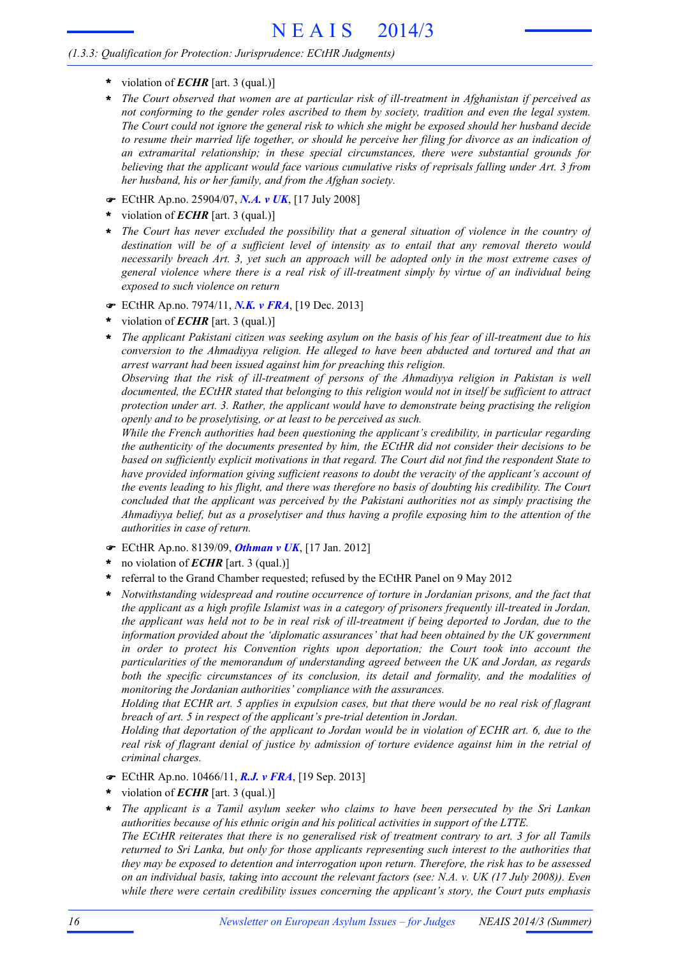- **\*** violation of *ECHR* [art. 3 (qual.)]
- *The Court observed that women are at particular risk of ill-treatment in Afghanistan if perceived as not conforming to the gender roles ascribed to them by society, tradition and even the legal system.* The Court could not ignore the general risk to which she might be exposed should her husband decide to resume their married life together, or should he perceive her filing for divorce as an indication of *an extramarital relationship; in these special circumstances, there were substantial grounds for believing that the applicant would face various cumulative risks of reprisals falling under Art. 3 from her husband, his or her family, and from the Afghan society.* **\***
- ! ECtHR Ap.no. 25904/07, *N.A. v UK*, [17 July 2008]
- violation of *ECHR* [art. 3 (qual.)] **\***
- *The Court has never excluded the possibility that a general situation of violence in the country of destination will be of a sufficient level of intensity as to entail that any removal thereto would necessarily breach Art. 3, yet such an approach will be adopted only in the most extreme cases of general violence where there is a real risk of ill-treatment simply by virtue of an individual being exposed to such violence on return* **\***
- ! ECtHR Ap.no. 7974/11, *N.K. v FRA*, [19 Dec. 2013]
- violation of *ECHR* [art. 3 (qual.)] **\***
- The applicant Pakistani citizen was seeking asylum on the basis of his fear of ill-treatment due to his *conversion to the Ahmadiyya religion. He alleged to have been abducted and tortured and that an arrest warrant had been issued against him for preaching this religion.* **\***

*Observing that the risk of ill-treatment of persons of the Ahmadiyya religion in Pakistan is well documented, the ECtHR stated that belonging to this religion would not in itself be sufficient to attract protection under art. 3. Rather, the applicant would have to demonstrate being practising the religion openly and to be proselytising, or at least to be perceived as such.*

*While the French authorities had been questioning the applicant's credibility, in particular regarding the authenticity of the documents presented by him, the ECtHR did not consider their decisions to be based on sufficiently explicit motivations in that regard. The Court did not find the respondent State to have provided information giving sufficient reasons to doubt the veracity of the applicant's account of* the events leading to his flight, and there was therefore no basis of doubting his credibility. The Court *concluded that the applicant was perceived by the Pakistani authorities not as simply practising the* Ahmadiyya belief, but as a proselytiser and thus having a profile exposing him to the attention of the *authorities in case of return.*

- ! ECtHR Ap.no. 8139/09, *Othman v UK*, [17 Jan. 2012]
- no violation of *ECHR* [art. 3 (qual.)] **\***
- referral to the Grand Chamber requested; refused by the ECtHR Panel on 9 May 2012 **\***
- *Notwithstanding widespread and routine occurrence of torture in Jordanian prisons, and the fact that the applicant as a high profile Islamist was in a category of prisoners frequently ill-treated in Jordan,* the applicant was held not to be in real risk of ill-treatment if being deported to Jordan, due to the *information provided about the 'diplomatic assurances' that had been obtained by the UK government in order to protect his Convention rights upon deportation; the Court took into account the particularities of the memorandum of understanding agreed between the UK and Jordan, as regards both the specific circumstances of its conclusion, its detail and formality, and the modalities of monitoring the Jordanian authorities' compliance with the assurances.* **\***

Holding that ECHR art. 5 applies in expulsion cases, but that there would be no real risk of flagrant *breach of art. 5 in respect of the applicant's pre-trial detention in Jordan.*

Holding that deportation of the applicant to Jordan would be in violation of ECHR art. 6, due to the real risk of flagrant denial of justice by admission of torture evidence against him in the retrial of *criminal charges.*

- ! ECtHR Ap.no. 10466/11, *R.J. v FRA*, [19 Sep. 2013]
- violation of *ECHR* [art. 3 (qual.)] **\***
- *The applicant is a Tamil asylum seeker who claims to have been persecuted by the Sri Lankan authorities because of his ethnic origin and his political activities in support of the LTTE.* The ECtHR reiterates that there is no generalised risk of treatment contrary to art. 3 for all Tamils *returned to Sri Lanka, but only for those applicants representing such interest to the authorities that they may be exposed to detention and interrogation upon return. Therefore, the risk has to be assessed* on an individual basis, taking into account the relevant factors (see: N.A. v. UK (17 July 2008)). Even *while there were certain credibility issues concerning the applicant's story, the Court puts emphasis* **\***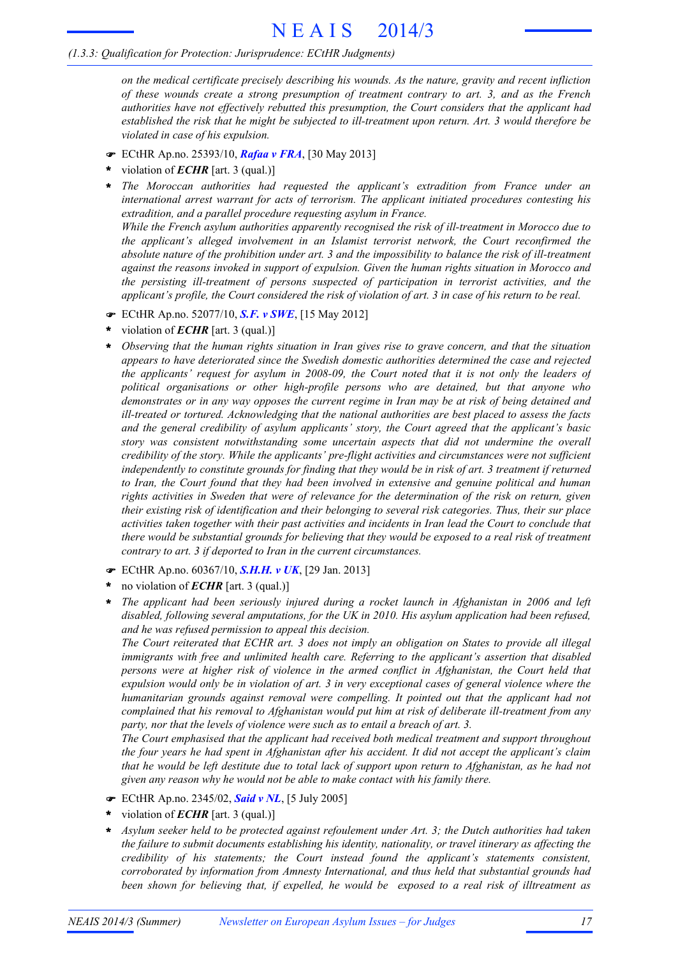*on the medical certificate precisely describing his wounds. As the nature, gravity and recent infliction of these wounds create a strong presumption of treatment contrary to art. 3, and as the French authorities have not effectively rebutted this presumption, the Court considers that the applicant had established the risk that he might be subjected to ill-treatment upon return. Art. 3 would therefore be violated in case of his expulsion.*

- ! ECtHR Ap.no. 25393/10, *Rafaa v FRA*, [30 May 2013]
- violation of *ECHR* [art. 3 (qual.)] **\***
- *The Moroccan authorities had requested the applicant's extradition from France under an international arrest warrant for acts of terrorism. The applicant initiated procedures contesting his extradition, and a parallel procedure requesting asylum in France. While the French asylum authorities apparently recognised the risk of ill-treatment in Morocco due to the applicant's alleged involvement in an Islamist terrorist network, the Court reconfirmed the* absolute nature of the prohibition under art. 3 and the impossibility to balance the risk of ill-treatment **\***

*against the reasons invoked in support of expulsion. Given the human rights situation in Morocco and the persisting ill-treatment of persons suspected of participation in terrorist activities, and the*

- *applicant's profile, the Court considered the risk of violation of art. 3 in case of his return to be real.* ! ECtHR Ap.no. 52077/10, *S.F. v SWE*, [15 May 2012]
- violation of *ECHR* [art. 3 (qual.)] **\***
- *Observing that the human rights situation in Iran gives rise to grave concern, and that the situation appears to have deteriorated since the Swedish domestic authorities determined the case and rejected the applicants' request for asylum in 2008-09, the Court noted that it is not only the leaders of political organisations or other high-profile persons who are detained, but that anyone who* demonstrates or in any way opposes the current regime in Iran may be at risk of being detained and *ill-treated or tortured. Acknowledging that the national authorities are best placed to assess the facts and the general credibility of asylum applicants' story, the Court agreed that the applicant's basic story was consistent notwithstanding some uncertain aspects that did not undermine the overall credibility of the story. While the applicants' pre-flight activities and circumstances were not sufficient* independently to constitute grounds for finding that they would be in risk of art. 3 treatment if returned *to Iran, the Court found that they had been involved in extensive and genuine political and human rights activities in Sweden that were of relevance for the determination of the risk on return, given their existing risk of identification and their belonging to several risk categories. Thus, their sur place* activities taken together with their past activities and incidents in Iran lead the Court to conclude that there would be substantial grounds for believing that they would be exposed to a real risk of treatment *contrary to art. 3 if deported to Iran in the current circumstances.* **\***
- ! ECtHR Ap.no. 60367/10, *S.H.H. v UK*, [29 Jan. 2013]
- no violation of *ECHR* [art. 3 (qual.)] **\***
- *The applicant had been seriously injured during a rocket launch in Afghanistan in 2006 and left disabled, following several amputations, for the UK in 2010. His asylum application had been refused, and he was refused permission to appeal this decision.* **\***

The Court reiterated that ECHR art. 3 does not imply an obligation on States to provide all illegal *immigrants with free and unlimited health care. Referring to the applicant's assertion that disabled persons were at higher risk of violence in the armed conflict in Afghanistan, the Court held that* expulsion would only be in violation of art. 3 in very exceptional cases of general violence where the *humanitarian grounds against removal were compelling. It pointed out that the applicant had not complained that his removal to Afghanistan would put him at risk of deliberate ill-treatment from any party, nor that the levels of violence were such as to entail a breach of art. 3.*

*The Court emphasised that the applicant had received both medical treatment and support throughout* the four years he had spent in Afghanistan after his accident. It did not accept the applicant's claim that he would be left destitute due to total lack of support upon return to Afghanistan, as he had not *given any reason why he would not be able to make contact with his family there.*

- ! ECtHR Ap.no. 2345/02, *Said v NL*, [5 July 2005]
- violation of *ECHR* [art. 3 (qual.)] **\***
- *Asylum seeker held to be protected against refoulement under Art. 3; the Dutch authorities had taken the failure to submit documents establishing his identity, nationality, or travel itinerary as affecting the credibility of his statements; the Court instead found the applicant's statements consistent, corroborated by information from Amnesty International, and thus held that substantial grounds had been shown for believing that, if expelled, he would be exposed to a real risk of illtreatment as* **\***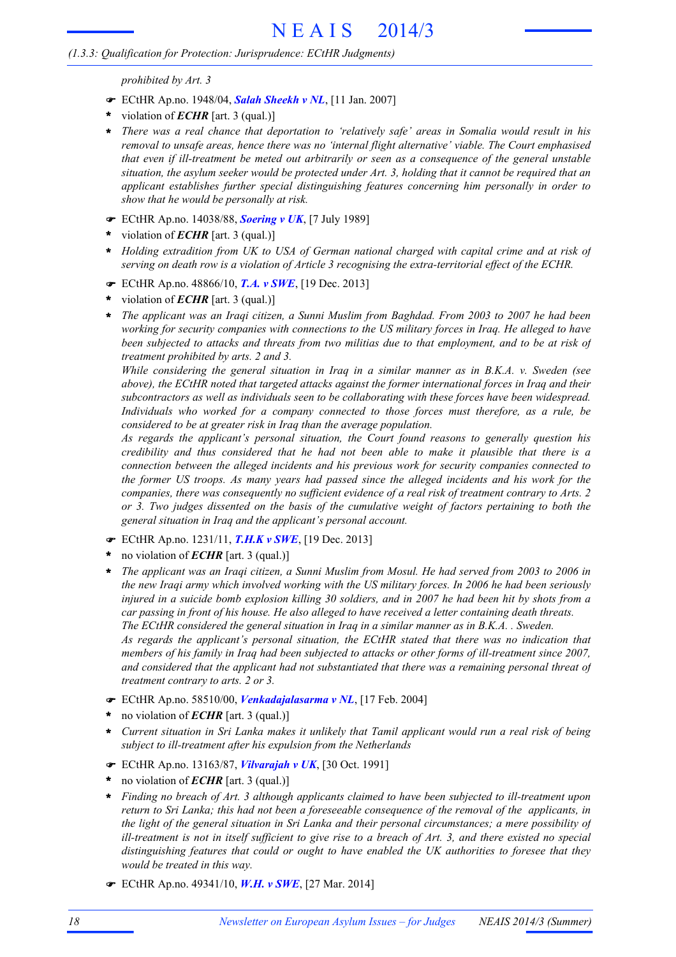*prohibited by Art. 3*

- ! ECtHR Ap.no. 1948/04, *Salah Sheekh v NL*, [11 Jan. 2007]
- violation of *ECHR* [art. 3 (qual.)] **\***
- *There was a real chance that deportation to 'relatively safe' areas in Somalia would result in his removal to unsafe areas, hence there was no 'internal flight alternative' viable. The Court emphasised that even if ill-treatment be meted out arbitrarily or seen as a consequence of the general unstable* situation, the asylum seeker would be protected under Art. 3, holding that it cannot be required that an *applicant establishes further special distinguishing features concerning him personally in order to show that he would be personally at risk.* **\***
- ! ECtHR Ap.no. 14038/88, *Soering v UK*, [7 July 1989]
- violation of *ECHR* [art. 3 (qual.)] **\***
- *Holding extradition from UK to USA of German national charged with capital crime and at risk of serving on death row is a violation of Article 3 recognising the extra-territorial effect of the ECHR.* **\***
- ! ECtHR Ap.no. 48866/10, *T.A. v SWE*, [19 Dec. 2013]
- violation of *ECHR* [art. 3 (qual.)] **\***
- *The applicant was an Iraqi citizen, a Sunni Muslim from Baghdad. From 2003 to 2007 he had been working for security companies with connections to the US military forces in Iraq. He alleged to have* been subjected to attacks and threats from two militias due to that employment, and to be at risk of *treatment prohibited by arts. 2 and 3.* **\***

*While considering the general situation in Iraq in a similar manner as in B.K.A. v. Sweden (see above), the ECtHR noted that targeted attacks against the former international forces in Iraq and their subcontractors as well as individuals seen to be collaborating with these forces have been widespread. Individuals who worked for a company connected to those forces must therefore, as a rule, be considered to be at greater risk in Iraq than the average population.*

*As regards the applicant's personal situation, the Court found reasons to generally question his credibility and thus considered that he had not been able to make it plausible that there is a connection between the alleged incidents and his previous work for security companies connected to the former US troops. As many years had passed since the alleged incidents and his work for the companies, there was consequently no sufficient evidence of a real risk of treatment contrary to Arts. 2 or 3. Two judges dissented on the basis of the cumulative weight of factors pertaining to both the general situation in Iraq and the applicant's personal account.*

- ! ECtHR Ap.no. 1231/11, *T.H.K v SWE*, [19 Dec. 2013]
- no violation of *ECHR* [art. 3 (qual.)] **\***
- The applicant was an Iraqi citizen, a Sunni Muslim from Mosul. He had served from 2003 to 2006 in the new Iraqi army which involved working with the US military forces. In 2006 he had been seriously injured in a suicide bomb explosion killing 30 soldiers, and in 2007 he had been hit by shots from a *car passing in front of his house. He also alleged to have received a letter containing death threats. The ECtHR considered the general situation in Iraq in a similar manner as in B.K.A. . Sweden. As regards the applicant's personal situation, the ECtHR stated that there was no indication that* members of his family in Iraq had been subjected to attacks or other forms of ill-treatment since 2007, *and considered that the applicant had not substantiated that there was a remaining personal threat of treatment contrary to arts. 2 or 3.* **\***
- ! ECtHR Ap.no. 58510/00, *Venkadajalasarma v NL*, [17 Feb. 2004]
- no violation of *ECHR* [art. 3 (qual.)] **\***
- Current situation in Sri Lanka makes it unlikely that Tamil applicant would run a real risk of being *subject to ill-treatment after his expulsion from the Netherlands* **\***
- ! ECtHR Ap.no. 13163/87, *Vilvarajah v UK*, [30 Oct. 1991]
- no violation of *ECHR* [art. 3 (qual.)] **\***
- *Finding no breach of Art. 3 although applicants claimed to have been subjected to ill-treatment upon* return to Sri Lanka; this had not been a foreseeable consequence of the removal of the applicants, in *the light of the general situation in Sri Lanka and their personal circumstances; a mere possibility of* ill-treatment is not in itself sufficient to give rise to a breach of Art. 3, and there existed no special *distinguishing features that could or ought to have enabled the UK authorities to foresee that they would be treated in this way.* **\***
- ! ECtHR Ap.no. 49341/10, *W.H. v SWE*, [27 Mar. 2014]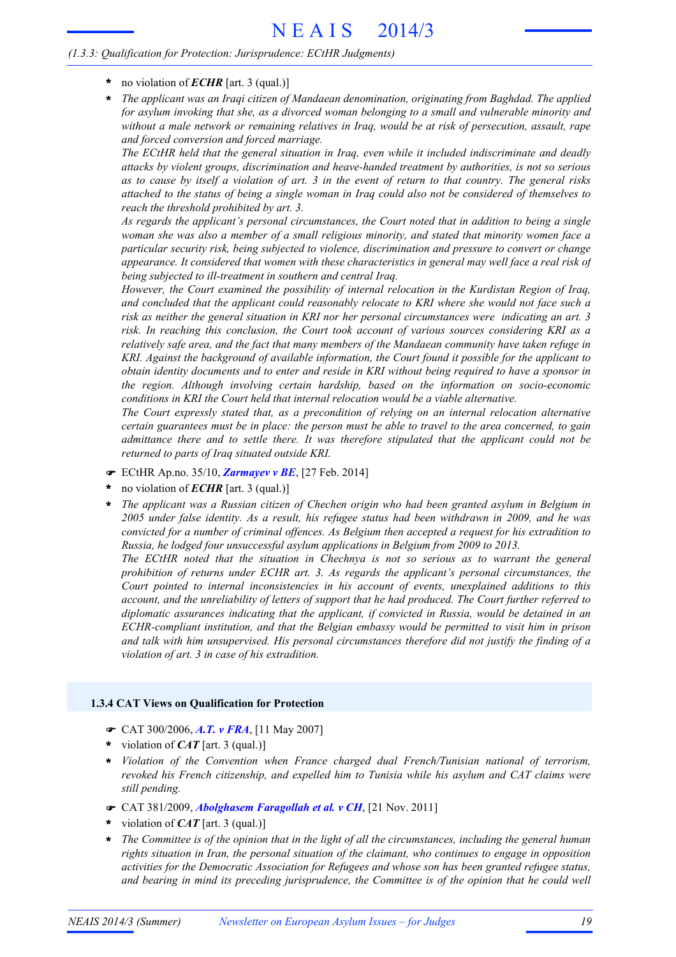- **\*** no violation of *ECHR* [art. 3 (qual.)]
- *The applicant was an Iraqi citizen of Mandaean denomination, originating from Baghdad. The applied for asylum invoking that she, as a divorced woman belonging to a small and vulnerable minority and without a male network or remaining relatives in Iraq, would be at risk of persecution, assault, rape and forced conversion and forced marriage.* **\***

*The ECtHR held that the general situation in Iraq, even while it included indiscriminate and deadly attacks by violent groups, discrimination and heave-handed treatment by authorities, is not so serious* as to cause by itself a violation of art. 3 in the event of return to that country. The general risks attached to the status of being a single woman in Iraq could also not be considered of themselves to *reach the threshold prohibited by art. 3.*

*As regards the applicant's personal circumstances, the Court noted that in addition to being a single woman she was also a member of a small religious minority, and stated that minority women face a particular security risk, being subjected to violence, discrimination and pressure to convert or change appearance. It considered that women with these characteristics in general may well face a real risk of being subjected to ill-treatment in southern and central Iraq.*

*However, the Court examined the possibility of internal relocation in the Kurdistan Region of Iraq, and concluded that the applicant could reasonably relocate to KRI where she would not face such a risk as neither the general situation in KRI nor her personal circumstances were indicating an art. 3 risk. In reaching this conclusion, the Court took account of various sources considering KRI as a relatively safe area, and the fact that many members of the Mandaean community have taken refuge in KRI. Against the background of available information, the Court found it possible for the applicant to* obtain identity documents and to enter and reside in KRI without being required to have a sponsor in *the region. Although involving certain hardship, based on the information on socio-economic conditions in KRI the Court held that internal relocation would be a viable alternative.*

*The Court expressly stated that, as a precondition of relying on an internal relocation alternative* certain guarantees must be in place: the person must be able to travel to the area concerned, to gain *admittance there and to settle there. It was therefore stipulated that the applicant could not be returned to parts of Iraq situated outside KRI.*

- ! ECtHR Ap.no. 35/10, *Zarmayev v BE*, [27 Feb. 2014]
- no violation of *ECHR* [art. 3 (qual.)] **\***
- *The applicant was a Russian citizen of Chechen origin who had been granted asylum in Belgium in 2005 under false identity. As a result, his refugee status had been withdrawn in 2009, and he was convicted for a number of criminal offences. As Belgium then accepted a request for his extradition to Russia, he lodged four unsuccessful asylum applications in Belgium from 2009 to 2013.* **\***

*The ECtHR noted that the situation in Chechnya is not so serious as to warrant the general prohibition of returns under ECHR art. 3. As regards the applicant's personal circumstances, the Court pointed to internal inconsistencies in his account of events, unexplained additions to this account, and the unreliability of letters of support that he had produced. The Court further referred to diplomatic assurances indicating that the applicant, if convicted in Russia, would be detained in an ECHR-compliant institution, and that the Belgian embassy would be permitted to visit him in prison and talk with him unsupervised. His personal circumstances therefore did not justify the finding of a violation of art. 3 in case of his extradition.*

# **1.3.4 CAT Views on Qualification for Protection**

- ! CAT 300/2006, *A.T. v FRA*, [11 May 2007]
- violation of *CAT* [art. 3 (qual.)] **\***
- *Violation of the Convention when France charged dual French/Tunisian national of terrorism, revoked his French citizenship, and expelled him to Tunisia while his asylum and CAT claims were still pending.* **\***
- ! CAT 381/2009, *Abolghasem Faragollah et al. v CH*, [21 Nov. 2011]
- violation of *CAT* [art. 3 (qual.)] **\***
- The Committee is of the opinion that in the light of all the circumstances, including the general human *rights situation in Iran, the personal situation of the claimant, who continues to engage in opposition activities for the Democratic Association for Refugees and whose son has been granted refugee status, and bearing in mind its preceding jurisprudence, the Committee is of the opinion that he could well* **\***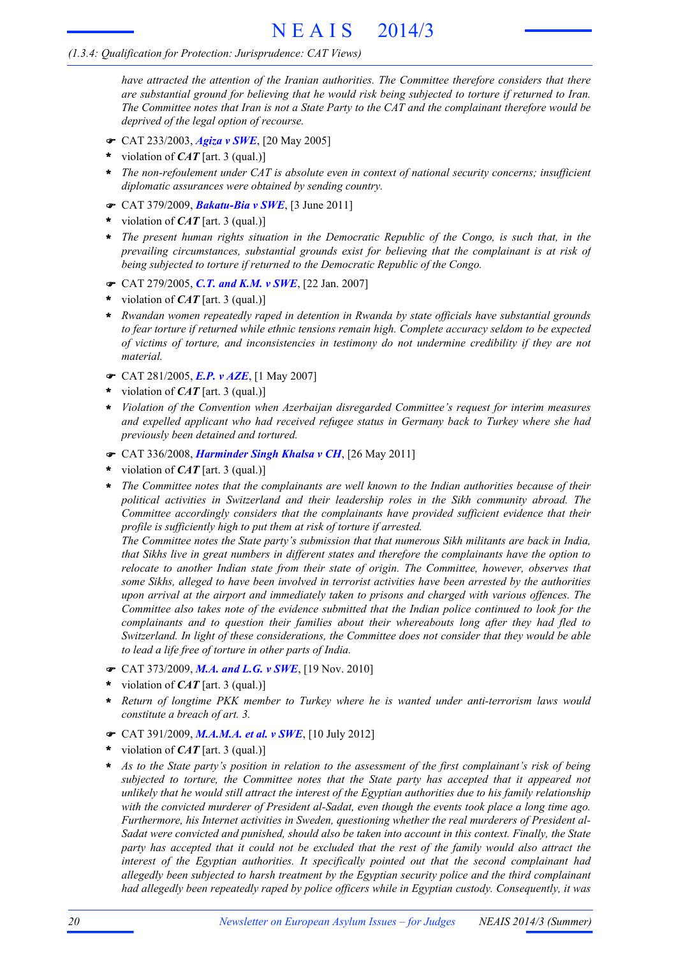# *(1.3.4: Qualification for Protection: Jurisprudence: CAT Views)*

*have attracted the attention of the Iranian authorities. The Committee therefore considers that there are substantial ground for believing that he would risk being subjected to torture if returned to Iran.* The Committee notes that Iran is not a State Party to the CAT and the complainant therefore would be *deprived of the legal option of recourse.*

- ! CAT 233/2003, *Agiza v SWE*, [20 May 2005]
- violation of *CAT* [art. 3 (qual.)] **\***
- *The non-refoulement under CAT is absolute even in context of national security concerns; insufficient diplomatic assurances were obtained by sending country.* **\***
- ! CAT 379/2009, *Bakatu-Bia v SWE*, [3 June 2011]
- violation of *CAT* [art. 3 (qual.)] **\***
- *The present human rights situation in the Democratic Republic of the Congo, is such that, in the* **\*** *prevailing circumstances, substantial grounds exist for believing that the complainant is at risk of being subjected to torture if returned to the Democratic Republic of the Congo.*
- ! CAT 279/2005, *C.T. and K.M. v SWE*, [22 Jan. 2007]
- violation of *CAT* [art. 3 (qual.)] **\***
- *Rwandan women repeatedly raped in detention in Rwanda by state officials have substantial grounds* **\*** *to fear torture if returned while ethnic tensions remain high. Complete accuracy seldom to be expected of victims of torture, and inconsistencies in testimony do not undermine credibility if they are not material.*
- ! CAT 281/2005, *E.P. v AZE*, [1 May 2007]
- violation of *CAT* [art. 3 (qual.)] **\***
- *Violation of the Convention when Azerbaijan disregarded Committee's request for interim measures and expelled applicant who had received refugee status in Germany back to Turkey where she had previously been detained and tortured.* **\***
- ! CAT 336/2008, *Harminder Singh Khalsa v CH*, [26 May 2011]
- violation of *CAT* [art. 3 (qual.)] **\***
- *The Committee notes that the complainants are well known to the Indian authorities because of their political activities in Switzerland and their leadership roles in the Sikh community abroad. The Committee accordingly considers that the complainants have provided sufficient evidence that their profile is sufficiently high to put them at risk of torture if arrested.* **\***

*The Committee notes the State party's submission that that numerous Sikh militants are back in India, that Sikhs live in great numbers in different states and therefore the complainants have the option to relocate to another Indian state from their state of origin. The Committee, however, observes that some Sikhs, alleged to have been involved in terrorist activities have been arrested by the authorities upon arrival at the airport and immediately taken to prisons and charged with various offences. The Committee also takes note of the evidence submitted that the Indian police continued to look for the complainants and to question their families about their whereabouts long after they had fled to Switzerland. In light of these considerations, the Committee does not consider that they would be able to lead a life free of torture in other parts of India.*

- ! CAT 373/2009, *M.A. and L.G. v SWE*, [19 Nov. 2010]
- violation of *CAT* [art. 3 (qual.)] **\***
- *Return of longtime PKK member to Turkey where he is wanted under anti-terrorism laws would constitute a breach of art. 3.* **\***
- ! CAT 391/2009, *M.A.M.A. et al. v SWE*, [10 July 2012]
- violation of *CAT* [art. 3 (qual.)] **\***
- As to the State party's position in relation to the assessment of the first complainant's risk of being *subjected to torture, the Committee notes that the State party has accepted that it appeared not* unlikely that he would still attract the interest of the Egyptian authorities due to his family relationship *with the convicted murderer of President al-Sadat, even though the events took place a long time ago. Furthermore, his Internet activities in Sweden, questioning whether the real murderers of President al-Sadat were convicted and punished, should also be taken into account in this context. Finally, the State* party has accepted that it could not be excluded that the rest of the family would also attract the *interest of the Egyptian authorities. It specifically pointed out that the second complainant had allegedly been subjected to harsh treatment by the Egyptian security police and the third complainant had allegedly been repeatedly raped by police officers while in Egyptian custody. Consequently, it was* **\***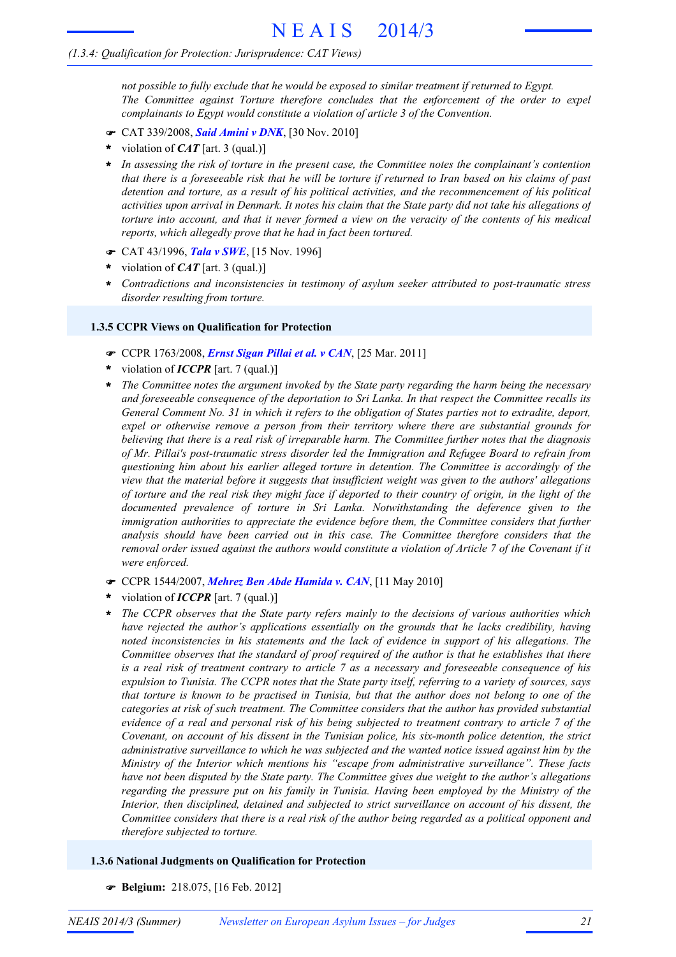# *(1.3.4: Qualification for Protection: Jurisprudence: CAT Views)*

*not possible to fully exclude that he would be exposed to similar treatment if returned to Egypt. The Committee against Torture therefore concludes that the enforcement of the order to expel complainants to Egypt would constitute a violation of article 3 of the Convention.*

- ! CAT 339/2008, *Said Amini v DNK*, [30 Nov. 2010]
- violation of *CAT* [art. 3 (qual.)] **\***
- *In assessing the risk of torture in the present case, the Committee notes the complainant's contention* **\*** that there is a foreseeable risk that he will be torture if returned to Iran based on his claims of past *detention and torture, as a result of his political activities, and the recommencement of his political* activities upon arrival in Denmark. It notes his claim that the State party did not take his allegations of torture into account, and that it never formed a view on the veracity of the contents of his medical *reports, which allegedly prove that he had in fact been tortured.*
- ! CAT 43/1996, *Tala v SWE*, [15 Nov. 1996]
- violation of *CAT* [art. 3 (qual.)] **\***
- *Contradictions and inconsistencies in testimony of asylum seeker attributed to post-traumatic stress disorder resulting from torture.* **\***

#### **1.3.5 CCPR Views on Qualification for Protection**

- ! CCPR 1763/2008, *Ernst Sigan Pillai et al. v CAN*, [25 Mar. 2011]
- violation of *ICCPR* [art. 7 (qual.)] **\***
- *The Committee notes the argument invoked by the State party regarding the harm being the necessary and foreseeable consequence of the deportation to Sri Lanka. In that respect the Committee recalls its* General Comment No. 31 in which it refers to the obligation of States parties not to extradite, deport, *expel or otherwise remove a person from their territory where there are substantial grounds for believing that there is a real risk of irreparable harm. The Committee further notes that the diagnosis of Mr. Pillai's post-traumatic stress disorder led the Immigration and Refugee Board to refrain from questioning him about his earlier alleged torture in detention. The Committee is accordingly of the view that the material before it suggests that insufficient weight was given to the authors' allegations* of torture and the real risk they might face if deported to their country of origin, in the light of the *documented prevalence of torture in Sri Lanka. Notwithstanding the deference given to the immigration authorities to appreciate the evidence before them, the Committee considers that further analysis should have been carried out in this case. The Committee therefore considers that the* removal order issued against the authors would constitute a violation of Article 7 of the Covenant if it *were enforced.* **\***
- ! CCPR 1544/2007, *Mehrez Ben Abde Hamida v. CAN*, [11 May 2010]
- violation of *ICCPR* [art. 7 (qual.)] **\***
- *The CCPR observes that the State party refers mainly to the decisions of various authorities which have rejected the author's applications essentially on the grounds that he lacks credibility, having noted inconsistencies in his statements and the lack of evidence in support of his allegations. The Committee observes that the standard of proof required of the author is that he establishes that there* is a real risk of treatment contrary to article 7 as a necessary and foreseeable consequence of his expulsion to Tunisia. The CCPR notes that the State party itself, referring to a variety of sources, says that torture is known to be practised in Tunisia, but that the author does not belong to one of the *categories at risk of such treatment. The Committee considers that the author has provided substantial* evidence of a real and personal risk of his being subjected to treatment contrary to article 7 of the *Covenant, on account of his dissent in the Tunisian police, his six-month police detention, the strict administrative surveillance to which he was subjected and the wanted notice issued against him by the Ministry of the Interior which mentions his "escape from administrative surveillance". These facts have not been disputed by the State party. The Committee gives due weight to the author's allegations regarding the pressure put on his family in Tunisia. Having been employed by the Ministry of the Interior, then disciplined, detained and subjected to strict surveillance on account of his dissent, the* Committee considers that there is a real risk of the author being regarded as a political opponent and *therefore subjected to torture.* **\***

# **1.3.6 National Judgments on Qualification for Protection**

! **Belgium:** 218.075, [16 Feb. 2012]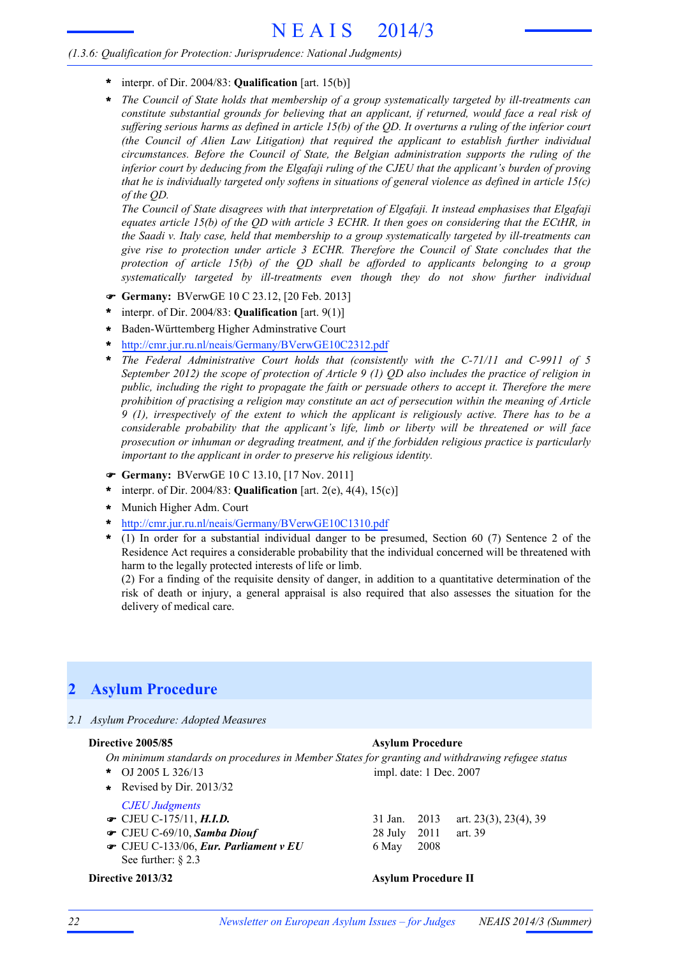- **\*** interpr. of Dir. 2004/83: **Qualification** [art. 15(b)]
- *The Council of State holds that membership of a group systematically targeted by ill-treatments can constitute substantial grounds for believing that an applicant, if returned, would face a real risk of* suffering serious harms as defined in article  $15(b)$  of the QD. It overturns a ruling of the inferior court *(the Council of Alien Law Litigation) that required the applicant to establish further individual circumstances. Before the Council of State, the Belgian administration supports the ruling of the inferior court by deducing from the Elgafaji ruling of the CJEU that the applicant's burden of proving* that he is individually targeted only softens in situations of general violence as defined in article  $15(c)$ *of the QD.* **\***

*The Council of State disagrees with that interpretation of Elgafaji. It instead emphasises that Elgafaji* equates article 15(b) of the QD with article 3 ECHR. It then goes on considering that the ECtHR, in *the Saadi v. Italy case, held that membership to a group systematically targeted by ill-treatments can give rise to protection under article 3 ECHR. Therefore the Council of State concludes that the protection of article 15(b) of the QD shall be afforded to applicants belonging to a group systematically targeted by ill-treatments even though they do not show further individual*

- ! **Germany:** BVerwGE 10 C 23.12, [20 Feb. 2013]
- interpr. of Dir. 2004/83: **Qualification** [art. 9(1)] **\***
- Baden-Württemberg Higher Adminstrative Court **\***
- http://cmr.jur.ru.nl/neais/Germany/BVerwGE10C2312.pdf **\***
- *The Federal Administrative Court holds that (consistently with the C-71/11 and C-9911 of 5* September 2012) the scope of protection of Article 9 (1)  $QD$  also includes the practice of religion in *public, including the right to propagate the faith or persuade others to accept it. Therefore the mere prohibition of practising a religion may constitute an act of persecution within the meaning of Article* 9 (1), irrespectively of the extent to which the applicant is religiously active. There has to be a *considerable probability that the applicant's life, limb or liberty will be threatened or will face prosecution or inhuman or degrading treatment, and if the forbidden religious practice is particularly important to the applicant in order to preserve his religious identity.* **\***
- ! **Germany:** BVerwGE 10 C 13.10, [17 Nov. 2011]
- interpr. of Dir. 2004/83: **Qualification** [art. 2(e), 4(4), 15(c)] **\***
- Munich Higher Adm. Court **\***
- http://cmr.jur.ru.nl/neais/Germany/BVerwGE10C1310.pdf **\***
- (1) In order for a substantial individual danger to be presumed, Section 60 (7) Sentence 2 of the **\*** Residence Act requires a considerable probability that the individual concerned will be threatened with harm to the legally protected interests of life or limb.

(2) For a finding of the requisite density of danger, in addition to a quantitative determination of the risk of death or injury, a general appraisal is also required that also assesses the situation for the delivery of medical care.

# **2 Asylum Procedure**

#### *2.1 Asylum Procedure: Adopted Measures*

#### **Directive 2005/85 Asylum Procedure**

*On minimum standards on procedures in Member States for granting and withdrawing refugee status* OJ 2005 L 326/13 **\*** impl. date: 1 Dec. 2007

**\*** Revised by Dir. 2013/32

# *CJEU Judgments*

- 
- 
- **CJEU C-133/06,** *Eur. Parliament v EU* 6 May 2008 See further: § 2.3

# **■** CJEU C-175/11, *H.I.D.* 31 Jan. 2013 art. 23(3), 23(4), 39 **•** CJEU C-69/10, **Samba Diouf** 28 July 2011 art. 39

**Directive 2013/32 Asylum Procedure II**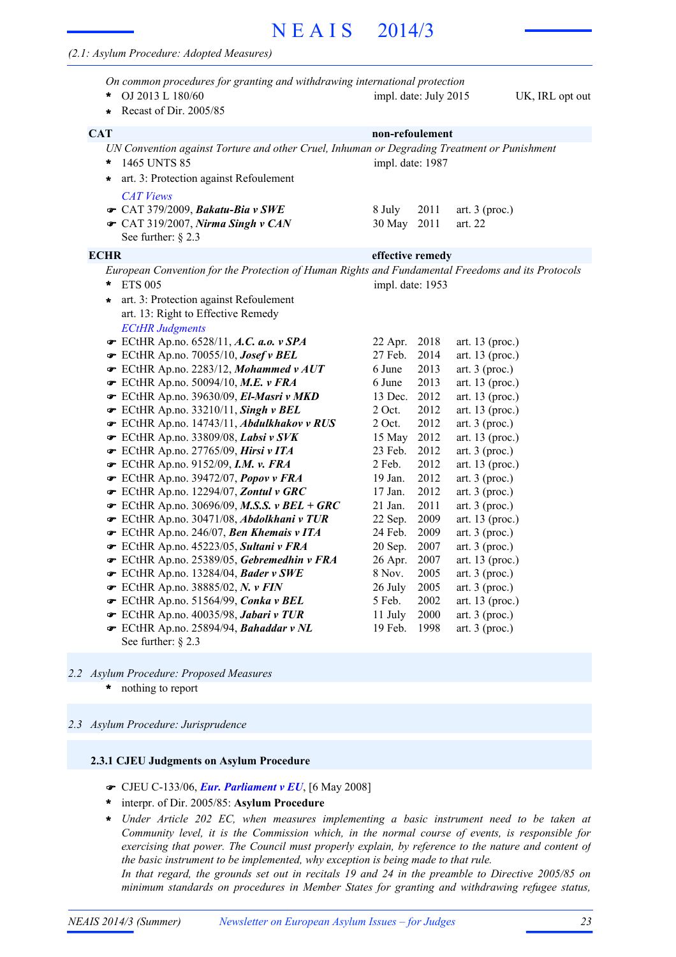# N E A I S 2014/3

#### *(2.1: Asylum Procedure: Adopted Measures)*

|      | On common procedures for granting and withdrawing international protection<br>OJ 2013 L 180/60<br>Recast of Dir. 2005/85<br>$\star$                                                                                                           | impl. date: July 2015 |              |                                     | UK, IRL opt out |
|------|-----------------------------------------------------------------------------------------------------------------------------------------------------------------------------------------------------------------------------------------------|-----------------------|--------------|-------------------------------------|-----------------|
| CAT  |                                                                                                                                                                                                                                               | non-refoulement       |              |                                     |                 |
|      | UN Convention against Torture and other Cruel, Inhuman or Degrading Treatment or Punishment<br>1465 UNTS 85<br>*<br>art. 3: Protection against Refoulement<br>$\ast$<br><b>CAT Views</b>                                                      | impl. date: 1987      |              |                                     |                 |
|      | G CAT 379/2009, Bakatu-Bia v SWE<br>G CAT 319/2007, Nirma Singh v CAN<br>See further: $\S$ 2.3                                                                                                                                                | 8 July<br>30 May      | 2011<br>2011 | art. $3$ (proc.)<br>art. 22         |                 |
| ECHR |                                                                                                                                                                                                                                               | effective remedy      |              |                                     |                 |
|      | European Convention for the Protection of Human Rights and Fundamental Freedoms and its Protocols<br>*<br><b>ETS 005</b><br>art. 3: Protection against Refoulement<br>$\star$<br>art. 13: Right to Effective Remedy<br><b>ECtHR Judgments</b> | impl. date: 1953      |              |                                     |                 |
|      | ECtHR Ap.no. 6528/11, A.C. a.o. $v$ SPA<br>ECtHR Ap.no. 70055/10, Josef v BEL                                                                                                                                                                 | 22 Apr.<br>27 Feb.    | 2018<br>2014 | art. 13 (proc.)<br>art. 13 (proc.)  |                 |
|      | $\bullet$ ECtHR Ap.no. 2283/12, Mohammed v AUT                                                                                                                                                                                                | 6 June                | 2013         | art. $3$ (proc.)                    |                 |
|      | · ECtHR Ap.no. 50094/10, M.E. v FRA                                                                                                                                                                                                           | 6 June                | 2013         | art. 13 (proc.)                     |                 |
|      | ECtHR Ap.no. 39630/09, El-Masri v MKD                                                                                                                                                                                                         | 13 Dec.               | 2012         | art. 13 (proc.)                     |                 |
|      | $\bullet$ ECtHR Ap.no. 33210/11, Singh v BEL                                                                                                                                                                                                  | 2 Oct.                | 2012         | art. 13 (proc.)                     |                 |
|      | ECtHR Ap.no. 14743/11, Abdulkhakov v RUS                                                                                                                                                                                                      | $2$ Oct.              | 2012         | art. $3$ (proc.)                    |                 |
|      | ECtHR Ap.no. 33809/08, Labsi v SVK                                                                                                                                                                                                            | 15 May                | 2012         | art. 13 (proc.)                     |                 |
|      | ECtHR Ap.no. 27765/09, Hirsi v ITA                                                                                                                                                                                                            | 23 Feb.               | 2012         | art. $3$ (proc.)                    |                 |
|      | $\bullet$ ECtHR Ap.no. 9152/09, I.M. v. FRA                                                                                                                                                                                                   | 2 Feb.                | 2012         | art. $13$ (proc.)                   |                 |
|      | ECtHR Ap.no. 39472/07, Popov v FRA                                                                                                                                                                                                            | 19 Jan.               | 2012         | art. $3$ (proc.)                    |                 |
|      | ECtHR Ap.no. 12294/07, Zontul v GRC                                                                                                                                                                                                           | 17 Jan.               | 2012         | art. $3$ (proc.)                    |                 |
|      | $\bullet$ ECtHR Ap.no. 30696/09, M.S.S. v BEL + GRC                                                                                                                                                                                           | 21 Jan.<br>22 Sep.    | 2011<br>2009 | art. $3$ (proc.)<br>art. 13 (proc.) |                 |
|      | ECtHR Ap.no. 30471/08, Abdolkhani v TUR<br>ECtHR Ap.no. 246/07, Ben Khemais v ITA                                                                                                                                                             | 24 Feb.               | 2009         | art. $3$ (proc.)                    |                 |
|      | ECtHR Ap.no. 45223/05, Sultani v FRA                                                                                                                                                                                                          | 20 Sep.               | 2007         | art. $3$ (proc.)                    |                 |
|      | ECtHR Ap.no. 25389/05, Gebremedhin v FRA                                                                                                                                                                                                      | 26 Apr.               | 2007         | art. 13 (proc.)                     |                 |
|      | ECtHR Ap.no. 13284/04, Bader v SWE                                                                                                                                                                                                            | 8 Nov.                | 2005         | art. $3$ (proc.)                    |                 |
|      | ECtHR Ap.no. 38885/02, N. v FIN                                                                                                                                                                                                               | 26 July               | 2005         | art. $3$ (proc.)                    |                 |
|      | ECtHR Ap.no. 51564/99, Conka v BEL                                                                                                                                                                                                            | 5 Feb.                | 2002         | art. 13 (proc.)                     |                 |
|      | ECtHR Ap.no. 40035/98, Jabari v TUR                                                                                                                                                                                                           | 11 July               | 2000         | art. $3$ (proc.)                    |                 |
|      | ECtHR Ap.no. 25894/94, Bahaddar v NL                                                                                                                                                                                                          | 19 Feb.               | 1998         | art. $3$ (proc.)                    |                 |
|      | See further: $\S$ 2.3                                                                                                                                                                                                                         |                       |              |                                     |                 |

- *2.2 Asylum Procedure: Proposed Measures*
	- nothing to report **\***

#### *2.3 Asylum Procedure: Jurisprudence*

# **2.3.1 CJEU Judgments on Asylum Procedure**

- ! CJEU C-133/06, *Eur. Parliament v EU*, [6 May 2008]
- interpr. of Dir. 2005/85: **Asylum Procedure \***
- *Under Article 202 EC, when measures implementing a basic instrument need to be taken at Community level, it is the Commission which, in the normal course of events, is responsible for exercising that power. The Council must properly explain, by reference to the nature and content of the basic instrument to be implemented, why exception is being made to that rule.* **\***

In that regard, the grounds set out in recitals 19 and 24 in the preamble to Directive 2005/85 on *minimum standards on procedures in Member States for granting and withdrawing refugee status,*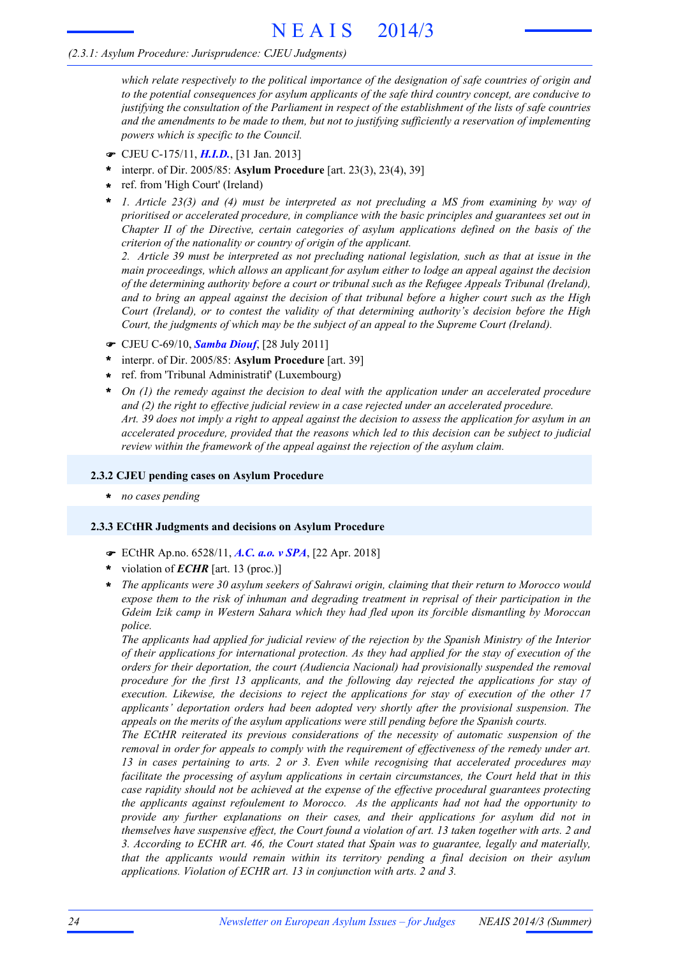*which relate respectively to the political importance of the designation of safe countries of origin and to the potential consequences for asylum applicants of the safe third country concept, are conducive to* justifying the consultation of the Parliament in respect of the establishment of the lists of safe countries *and the amendments to be made to them, but not to justifying sufficiently a reservation of implementing powers which is specific to the Council.*

- ! CJEU C-175/11, *H.I.D.*, [31 Jan. 2013]
- interpr. of Dir. 2005/85: **Asylum Procedure** [art. 23(3), 23(4), 39] **\***
- ref. from 'High Court' (Ireland) **\***
- *1. Article 23(3) and (4) must be interpreted as not precluding a MS from examining by way of prioritised or accelerated procedure, in compliance with the basic principles and guarantees set out in Chapter II of the Directive, certain categories of asylum applications defined on the basis of the criterion of the nationality or country of origin of the applicant.* **\***

2. Article 39 must be interpreted as not precluding national legislation, such as that at issue in the *main proceedings, which allows an applicant for asylum either to lodge an appeal against the decision of the determining authority before a court or tribunal such as the Refugee Appeals Tribunal (Ireland),* and to bring an appeal against the decision of that tribunal before a higher court such as the High *Court (Ireland), or to contest the validity of that determining authority's decision before the High Court, the judgments of which may be the subject of an appeal to the Supreme Court (Ireland).*

- ! CJEU C-69/10, *Samba Diouf*, [28 July 2011]
- interpr. of Dir. 2005/85: **Asylum Procedure** [art. 39] **\***
- ref. from 'Tribunal Administratif' (Luxembourg) **\***
- *On (1) the remedy against the decision to deal with the application under an accelerated procedure and (2) the right to effective judicial review in a case rejected under an accelerated procedure.* Art. 39 does not imply a right to appeal against the decision to assess the application for asylum in an *accelerated procedure, provided that the reasons which led to this decision can be subject to judicial review within the framework of the appeal against the rejection of the asylum claim.* **\***

#### **2.3.2 CJEU pending cases on Asylum Procedure**

**\*** *no cases pending*

#### **2.3.3 ECtHR Judgments and decisions on Asylum Procedure**

- ! ECtHR Ap.no. 6528/11, *A.C. a.o. v SPA*, [22 Apr. 2018]
- violation of *ECHR* [art. 13 (proc.)] **\***
- *The applicants were 30 asylum seekers of Sahrawi origin, claiming that their return to Morocco would expose them to the risk of inhuman and degrading treatment in reprisal of their participation in the Gdeim Izik camp in Western Sahara which they had fled upon its forcible dismantling by Moroccan police.* **\***

*The applicants had applied for judicial review of the rejection by the Spanish Ministry of the Interior of their applications for international protection. As they had applied for the stay of execution of the orders for their deportation, the court (Audiencia Nacional) had provisionally suspended the removal procedure for the first 13 applicants, and the following day rejected the applications for stay of execution. Likewise, the decisions to reject the applications for stay of execution of the other 17 applicants' deportation orders had been adopted very shortly after the provisional suspension. The appeals on the merits of the asylum applications were still pending before the Spanish courts.*

*The ECtHR reiterated its previous considerations of the necessity of automatic suspension of the removal in order for appeals to comply with the requirement of effectiveness of the remedy under art. 13 in cases pertaining to arts. 2 or 3. Even while recognising that accelerated procedures may facilitate the processing of asylum applications in certain circumstances, the Court held that in this case rapidity should not be achieved at the expense of the effective procedural guarantees protecting the applicants against refoulement to Morocco. As the applicants had not had the opportunity to provide any further explanations on their cases, and their applications for asylum did not in* themselves have suspensive effect, the Court found a violation of art. 13 taken together with arts. 2 and *3. According to ECHR art. 46, the Court stated that Spain was to guarantee, legally and materially, that the applicants would remain within its territory pending a final decision on their asylum applications. Violation of ECHR art. 13 in conjunction with arts. 2 and 3.*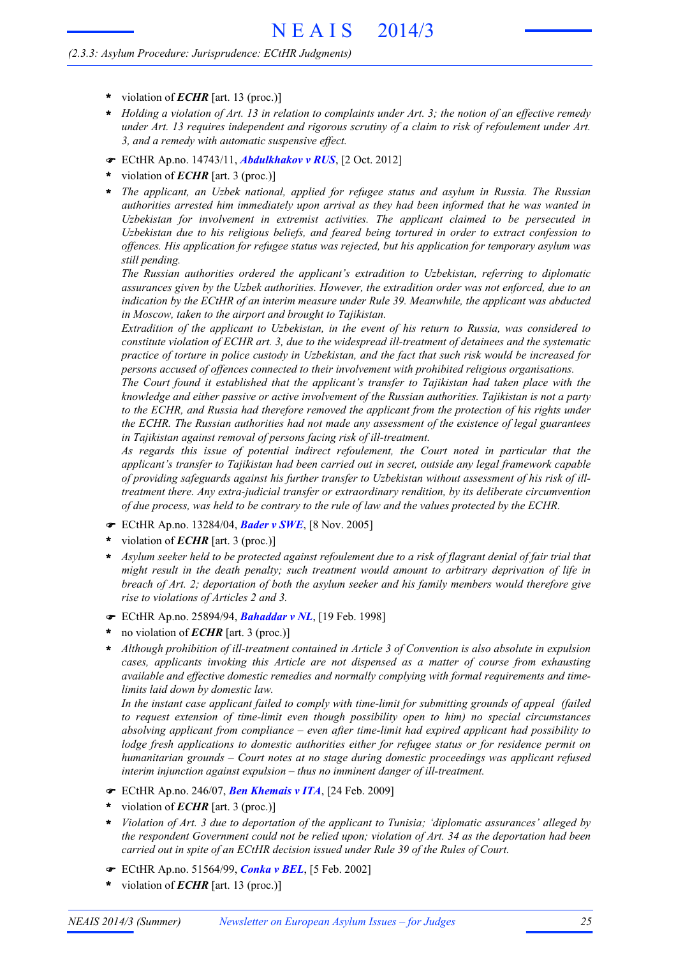- **\*** violation of *ECHR* [art. 13 (proc.)]
- Holding a violation of Art. 13 in relation to complaints under Art. 3; the notion of an effective remedy *under Art. 13 requires independent and rigorous scrutiny of a claim to risk of refoulement under Art. 3, and a remedy with automatic suspensive effect.* **\***
- ! ECtHR Ap.no. 14743/11, *Abdulkhakov v RUS*, [2 Oct. 2012]
- violation of *ECHR* [art. 3 (proc.)] **\***
- *The applicant, an Uzbek national, applied for refugee status and asylum in Russia. The Russian* **\*** *authorities arrested him immediately upon arrival as they had been informed that he was wanted in Uzbekistan for involvement in extremist activities. The applicant claimed to be persecuted in Uzbekistan due to his religious beliefs, and feared being tortured in order to extract confession to offences. His application for refugee status was rejected, but his application for temporary asylum was still pending.*

*The Russian authorities ordered the applicant's extradition to Uzbekistan, referring to diplomatic assurances given by the Uzbek authorities. However, the extradition order was not enforced, due to an indication by the ECtHR of an interim measure under Rule 39. Meanwhile, the applicant was abducted in Moscow, taken to the airport and brought to Tajikistan.*

*Extradition of the applicant to Uzbekistan, in the event of his return to Russia, was considered to constitute violation of ECHR art. 3, due to the widespread ill-treatment of detainees and the systematic* practice of torture in police custody in Uzbekistan, and the fact that such risk would be increased for *persons accused of offences connected to their involvement with prohibited religious organisations.*

*The Court found it established that the applicant's transfer to Tajikistan had taken place with the knowledge and either passive or active involvement of the Russian authorities. Tajikistan is not a party to the ECHR, and Russia had therefore removed the applicant from the protection of his rights under the ECHR. The Russian authorities had not made any assessment of the existence of legal guarantees in Tajikistan against removal of persons facing risk of ill-treatment.*

*As regards this issue of potential indirect refoulement, the Court noted in particular that the applicant's transfer to Tajikistan had been carried out in secret, outside any legal framework capable of providing safeguards against his further transfer to Uzbekistan without assessment of his risk of illtreatment there. Any extra-judicial transfer or extraordinary rendition, by its deliberate circumvention of due process, was held to be contrary to the rule of law and the values protected by the ECHR.*

- ! ECtHR Ap.no. 13284/04, *Bader v SWE*, [8 Nov. 2005]
- violation of *ECHR* [art. 3 (proc.)] **\***
- Asylum seeker held to be protected against refoulement due to a risk of flagrant denial of fair trial that *might result in the death penalty; such treatment would amount to arbitrary deprivation of life in breach of Art. 2; deportation of both the asylum seeker and his family members would therefore give rise to violations of Articles 2 and 3.* **\***
- ! ECtHR Ap.no. 25894/94, *Bahaddar v NL*, [19 Feb. 1998]
- no violation of *ECHR* [art. 3 (proc.)] **\***
- *Although prohibition of ill-treatment contained in Article 3 of Convention is also absolute in expulsion cases, applicants invoking this Article are not dispensed as a matter of course from exhausting available and effective domestic remedies and normally complying with formal requirements and timelimits laid down by domestic law.* **\***

*In the instant case applicant failed to comply with time-limit for submitting grounds of appeal (failed to request extension of time-limit even though possibility open to him) no special circumstances absolving applicant from compliance – even after time-limit had expired applicant had possibility to lodge fresh applications to domestic authorities either for refugee status or for residence permit on humanitarian grounds – Court notes at no stage during domestic proceedings was applicant refused interim injunction against expulsion – thus no imminent danger of ill-treatment.*

- ! ECtHR Ap.no. 246/07, *Ben Khemais v ITA*, [24 Feb. 2009]
- violation of *ECHR* [art. 3 (proc.)] **\***
- *Violation of Art. 3 due to deportation of the applicant to Tunisia; 'diplomatic assurances' alleged by the respondent Government could not be relied upon; violation of Art. 34 as the deportation had been carried out in spite of an ECtHR decision issued under Rule 39 of the Rules of Court.* **\***
- ! ECtHR Ap.no. 51564/99, *Conka v BEL*, [5 Feb. 2002]
- violation of *ECHR* [art. 13 (proc.)] **\***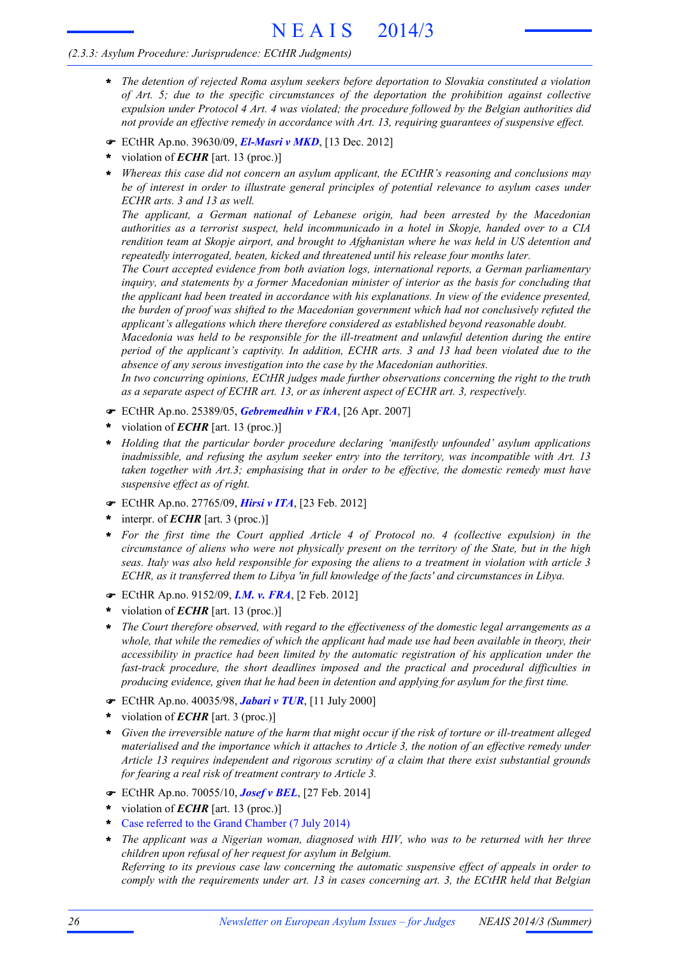# N E A I S 2014/3

### *(2.3.3: Asylum Procedure: Jurisprudence: ECtHR Judgments)*

- *The detention of rejected Roma asylum seekers before deportation to Slovakia constituted a violation* **\*** *of Art. 5; due to the specific circumstances of the deportation the prohibition against collective expulsion under Protocol 4 Art. 4 was violated; the procedure followed by the Belgian authorities did not provide an effective remedy in accordance with Art. 13, requiring guarantees of suspensive effect.*
- ! ECtHR Ap.no. 39630/09, *El-Masri v MKD*, [13 Dec. 2012]
- violation of *ECHR* [art. 13 (proc.)] **\***
- *Whereas this case did not concern an asylum applicant, the ECtHR's reasoning and conclusions may be of interest in order to illustrate general principles of potential relevance to asylum cases under ECHR arts. 3 and 13 as well.* **\***

*The applicant, a German national of Lebanese origin, had been arrested by the Macedonian authorities as a terrorist suspect, held incommunicado in a hotel in Skopje, handed over to a CIA rendition team at Skopje airport, and brought to Afghanistan where he was held in US detention and repeatedly interrogated, beaten, kicked and threatened until his release four months later.*

*The Court accepted evidence from both aviation logs, international reports, a German parliamentary inquiry, and statements by a former Macedonian minister of interior as the basis for concluding that the applicant had been treated in accordance with his explanations. In view of the evidence presented, the burden of proof was shifted to the Macedonian government which had not conclusively refuted the applicant's allegations which there therefore considered as established beyond reasonable doubt.*

*Macedonia was held to be responsible for the ill-treatment and unlawful detention during the entire period of the applicant's captivity. In addition, ECHR arts. 3 and 13 had been violated due to the absence of any serous investigation into the case by the Macedonian authorities.*

*In two concurring opinions, ECtHR judges made further observations concerning the right to the truth as a separate aspect of ECHR art. 13, or as inherent aspect of ECHR art. 3, respectively.*

- ! ECtHR Ap.no. 25389/05, *Gebremedhin v FRA*, [26 Apr. 2007]
- violation of *ECHR* [art. 13 (proc.)] **\***
- *Holding that the particular border procedure declaring 'manifestly unfounded' asylum applications* **\*** *inadmissible, and refusing the asylum seeker entry into the territory, was incompatible with Art. 13 taken together with Art.3; emphasising that in order to be effective, the domestic remedy must have suspensive effect as of right.*
- ! ECtHR Ap.no. 27765/09, *Hirsi v ITA*, [23 Feb. 2012]
- interpr. of *ECHR* [art. 3 (proc.)] **\***
- *For the first time the Court applied Article 4 of Protocol no. 4 (collective expulsion) in the* **\*** circumstance of aliens who were not physically present on the territory of the State, but in the high seas. Italy was also held responsible for exposing the aliens to a treatment in violation with article 3 *ECHR, as it transferred them to Libya 'in full knowledge of the facts' and circumstances in Libya.*
- ! ECtHR Ap.no. 9152/09, *I.M. v. FRA*, [2 Feb. 2012]
- violation of *ECHR* [art. 13 (proc.)] **\***
- *The Court therefore observed, with regard to the effectiveness of the domestic legal arrangements as a* whole, that while the remedies of which the applicant had made use had been available in theory, their *accessibility in practice had been limited by the automatic registration of his application under the fast-track procedure, the short deadlines imposed and the practical and procedural difficulties in producing evidence, given that he had been in detention and applying for asylum for the first time.* **\***
- ! ECtHR Ap.no. 40035/98, *Jabari v TUR*, [11 July 2000]
- violation of *ECHR* [art. 3 (proc.)] **\***
- Given the irreversible nature of the harm that might occur if the risk of torture or ill-treatment alleged *materialised and the importance which it attaches to Article 3, the notion of an effective remedy under Article 13 requires independent and rigorous scrutiny of a claim that there exist substantial grounds for fearing a real risk of treatment contrary to Article 3.* **\***
- ! ECtHR Ap.no. 70055/10, *Josef v BEL*, [27 Feb. 2014]
- violation of *ECHR* [art. 13 (proc.)] **\***
- Case referred to the Grand Chamber (7 July 2014) **\***
- *The applicant was a Nigerian woman, diagnosed with HIV, who was to be returned with her three* **\*** *children upon refusal of her request for asylum in Belgium.*

*Referring to its previous case law concerning the automatic suspensive effect of appeals in order to comply with the requirements under art. 13 in cases concerning art. 3, the ECtHR held that Belgian*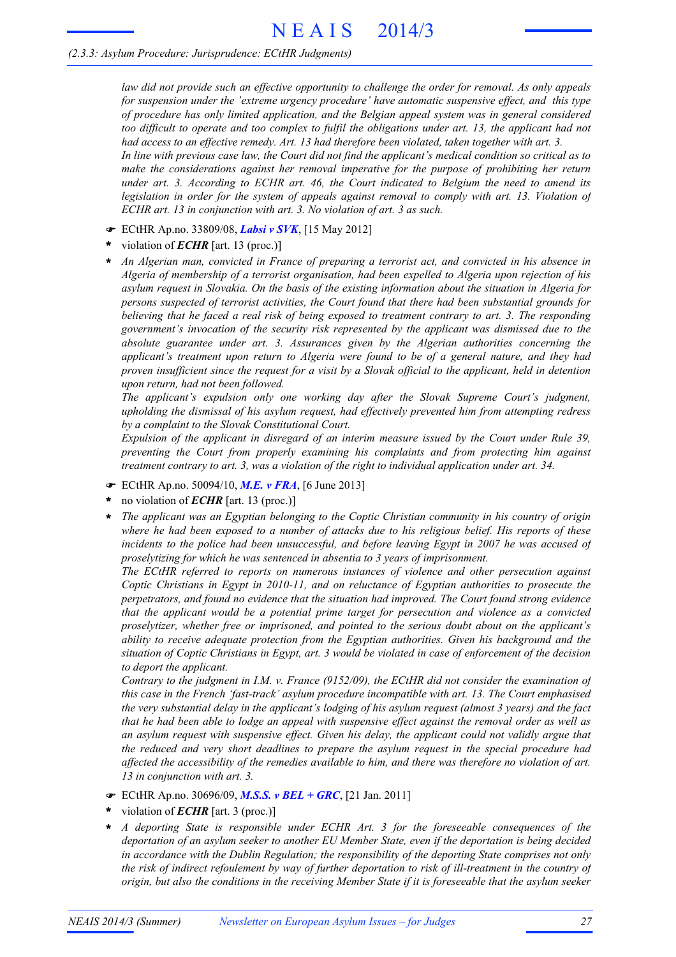*law did not provide such an effective opportunity to challenge the order for removal. As only appeals for suspension under the 'extreme urgency procedure' have automatic suspensive effect, and this type of procedure has only limited application, and the Belgian appeal system was in general considered* too difficult to operate and too complex to fulfil the obligations under art. 13, the applicant had not *had access to an effective remedy. Art. 13 had therefore been violated, taken together with art. 3.* In line with previous case law, the Court did not find the applicant's medical condition so critical as to *make the considerations against her removal imperative for the purpose of prohibiting her return under art. 3. According to ECHR art. 46, the Court indicated to Belgium the need to amend its legislation in order for the system of appeals against removal to comply with art. 13. Violation of*

! ECtHR Ap.no. 33809/08, *Labsi v SVK*, [15 May 2012]

*ECHR art. 13 in conjunction with art. 3. No violation of art. 3 as such.*

- violation of *ECHR* [art. 13 (proc.)] **\***
- *An Algerian man, convicted in France of preparing a terrorist act, and convicted in his absence in Algeria of membership of a terrorist organisation, had been expelled to Algeria upon rejection of his asylum request in Slovakia. On the basis of the existing information about the situation in Algeria for persons suspected of terrorist activities, the Court found that there had been substantial grounds for* believing that he faced a real risk of being exposed to treatment contrary to art. 3. The responding *government's invocation of the security risk represented by the applicant was dismissed due to the absolute guarantee under art. 3. Assurances given by the Algerian authorities concerning the applicant's treatment upon return to Algeria were found to be of a general nature, and they had* proven insufficient since the request for a visit by a Slovak official to the applicant, held in detention *upon return, had not been followed.* **\***

*The applicant's expulsion only one working day after the Slovak Supreme Court's judgment, upholding the dismissal of his asylum request, had effectively prevented him from attempting redress by a complaint to the Slovak Constitutional Court.*

*Expulsion of the applicant in disregard of an interim measure issued by the Court under Rule 39, preventing the Court from properly examining his complaints and from protecting him against treatment contrary to art. 3, was a violation of the right to individual application under art. 34.*

- ! ECtHR Ap.no. 50094/10, *M.E. v FRA*, [6 June 2013]
- no violation of *ECHR* [art. 13 (proc.)] **\***
- *The applicant was an Egyptian belonging to the Coptic Christian community in his country of origin* where he had been exposed to a number of attacks due to his religious belief. His reports of these *incidents to the police had been unsuccessful, and before leaving Egypt in 2007 he was accused of proselytizing for which he was sentenced in absentia to 3 years of imprisonment.* **\***

*The ECtHR referred to reports on numerous instances of violence and other persecution against Coptic Christians in Egypt in 2010-11, and on reluctance of Egyptian authorities to prosecute the perpetrators, and found no evidence that the situation had improved. The Court found strong evidence that the applicant would be a potential prime target for persecution and violence as a convicted proselytizer, whether free or imprisoned, and pointed to the serious doubt about on the applicant's ability to receive adequate protection from the Egyptian authorities. Given his background and the* situation of Coptic Christians in Egypt, art. 3 would be violated in case of enforcement of the decision *to deport the applicant.*

*Contrary to the judgment in I.M. v. France (9152/09), the ECtHR did not consider the examination of this case in the French 'fast-track' asylum procedure incompatible with art. 13. The Court emphasised* the very substantial delay in the applicant's lodging of his asylum request (almost 3 years) and the fact that he had been able to lodge an appeal with suspensive effect against the removal order as well as *an asylum request with suspensive effect. Given his delay, the applicant could not validly argue that the reduced and very short deadlines to prepare the asylum request in the special procedure had affected the accessibility of the remedies available to him, and there was therefore no violation of art. 13 in conjunction with art. 3.*

- ! ECtHR Ap.no. 30696/09, *M.S.S. v BEL + GRC*, [21 Jan. 2011]
- violation of *ECHR* [art. 3 (proc.)] **\***
- *A deporting State is responsible under ECHR Art. 3 for the foreseeable consequences of the deportation of an asylum seeker to another EU Member State, even if the deportation is being decided in accordance with the Dublin Regulation; the responsibility of the deporting State comprises not only* the risk of indirect refoulement by way of further deportation to risk of ill-treatment in the country of origin, but also the conditions in the receiving Member State if it is foreseeable that the asylum seeker **\***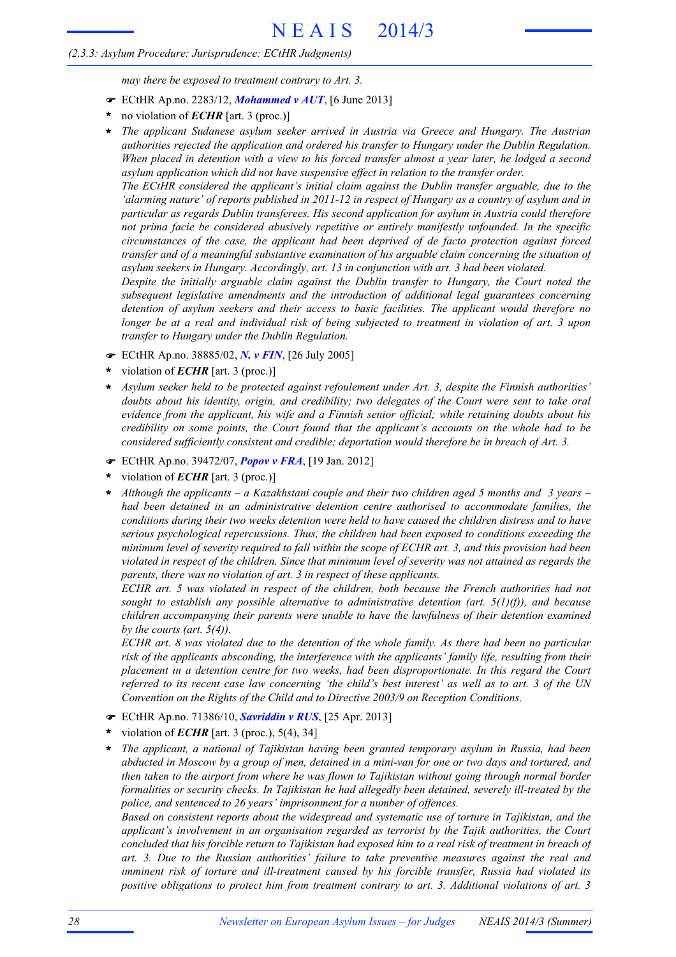*may there be exposed to treatment contrary to Art. 3.*

- ! ECtHR Ap.no. 2283/12, *Mohammed v AUT*, [6 June 2013]
- no violation of *ECHR* [art. 3 (proc.)] **\***
- *The applicant Sudanese asylum seeker arrived in Austria via Greece and Hungary. The Austrian authorities rejected the application and ordered his transfer to Hungary under the Dublin Regulation.* When placed in detention with a view to his forced transfer almost a year later, he lodged a second *asylum application which did not have suspensive effect in relation to the transfer order.* **\***

*The ECtHR considered the applicant's initial claim against the Dublin transfer arguable, due to the* 'alarming nature' of reports published in 2011-12 in respect of Hungary as a country of asylum and in *particular as regards Dublin transferees. His second application for asylum in Austria could therefore not prima facie be considered abusively repetitive or entirely manifestly unfounded. In the specific circumstances of the case, the applicant had been deprived of de facto protection against forced transfer and of a meaningful substantive examination of his arguable claim concerning the situation of asylum seekers in Hungary. Accordingly, art. 13 in conjunction with art. 3 had been violated.*

*Despite the initially arguable claim against the Dublin transfer to Hungary, the Court noted the subsequent legislative amendments and the introduction of additional legal guarantees concerning detention of asylum seekers and their access to basic facilities. The applicant would therefore no* longer be at a real and individual risk of being subjected to treatment in violation of art. 3 upon *transfer to Hungary under the Dublin Regulation.*

- ! ECtHR Ap.no. 38885/02, *N. v FIN*, [26 July 2005]
- violation of *ECHR* [art. 3 (proc.)] **\***
- *Asylum seeker held to be protected against refoulement under Art. 3, despite the Finnish authorities' doubts about his identity, origin, and credibility; two delegates of the Court were sent to take oral evidence from the applicant, his wife and a Finnish senior official; while retaining doubts about his credibility on some points, the Court found that the applicant's accounts on the whole had to be considered sufficiently consistent and credible; deportation would therefore be in breach of Art. 3.* **\***
- ! ECtHR Ap.no. 39472/07, *Popov v FRA*, [19 Jan. 2012]
- violation of *ECHR* [art. 3 (proc.)] **\***
- *Although the applicants – a Kazakhstani couple and their two children aged 5 months and 3 years – had been detained in an administrative detention centre authorised to accommodate families, the conditions during their two weeks detention were held to have caused the children distress and to have serious psychological repercussions. Thus, the children had been exposed to conditions exceeding the* minimum level of severity required to fall within the scope of ECHR art. 3, and this provision had been violated in respect of the children. Since that minimum level of severity was not attained as regards the *parents, there was no violation of art. 3 in respect of these applicants.* **\***

*ECHR art. 5 was violated in respect of the children, both because the French authorities had not sought to establish any possible alternative to administrative detention (art. 5(1)(f)), and because children accompanying their parents were unable to have the lawfulness of their detention examined by the courts (art. 5(4)).*

ECHR art. 8 was violated due to the detention of the whole family. As there had been no particular *risk of the applicants absconding, the interference with the applicants' family life, resulting from their placement in a detention centre for two weeks, had been disproportionate. In this regard the Court* referred to its recent case law concerning 'the child's best interest' as well as to art. 3 of the UN *Convention on the Rights of the Child and to Directive 2003/9 on Reception Conditions.*

- ! ECtHR Ap.no. 71386/10, *Savriddin v RUS*, [25 Apr. 2013]
- violation of *ECHR* [art. 3 (proc.), 5(4), 34] **\***
- *The applicant, a national of Tajikistan having been granted temporary asylum in Russia, had been* abducted in Moscow by a group of men, detained in a mini-van for one or two days and tortured, and *then taken to the airport from where he was flown to Tajikistan without going through normal border formalities or security checks. In Tajikistan he had allegedly been detained, severely ill-treated by the police, and sentenced to 26 years' imprisonment for a number of offences.* **\***

*Based on consistent reports about the widespread and systematic use of torture in Tajikistan, and the applicant's involvement in an organisation regarded as terrorist by the Tajik authorities, the Court* concluded that his forcible return to Tajikistan had exposed him to a real risk of treatment in breach of *art. 3. Due to the Russian authorities' failure to take preventive measures against the real and imminent risk of torture and ill-treatment caused by his forcible transfer, Russia had violated its positive obligations to protect him from treatment contrary to art. 3. Additional violations of art. 3*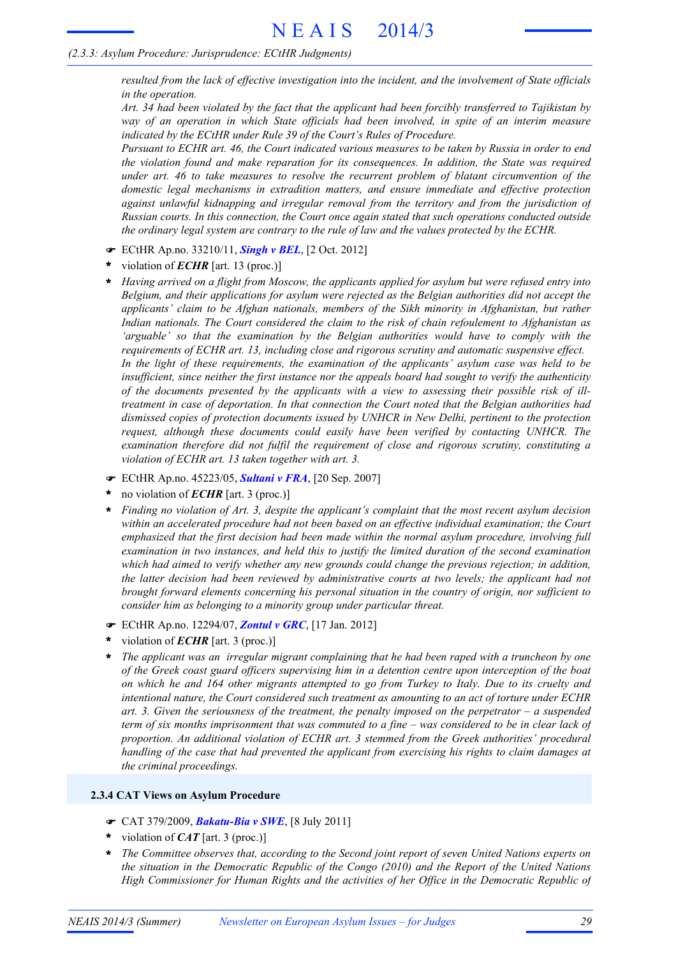*resulted from the lack of effective investigation into the incident, and the involvement of State officials in the operation.*

Art. 34 had been violated by the fact that the applicant had been forcibly transferred to Tajikistan by *way of an operation in which State officials had been involved, in spite of an interim measure indicated by the ECtHR under Rule 39 of the Court's Rules of Procedure.*

Pursuant to ECHR art. 46, the Court indicated various measures to be taken by Russia in order to end *the violation found and make reparation for its consequences. In addition, the State was required under art. 46 to take measures to resolve the recurrent problem of blatant circumvention of the domestic legal mechanisms in extradition matters, and ensure immediate and effective protection against unlawful kidnapping and irregular removal from the territory and from the jurisdiction of Russian courts. In this connection, the Court once again stated that such operations conducted outside the ordinary legal system are contrary to the rule of law and the values protected by the ECHR.*

- ! ECtHR Ap.no. 33210/11, *Singh v BEL*, [2 Oct. 2012]
- violation of *ECHR* [art. 13 (proc.)] **\***
- *Having arrived on a flight from Moscow, the applicants applied for asylum but were refused entry into Belgium, and their applications for asylum were rejected as the Belgian authorities did not accept the applicants' claim to be Afghan nationals, members of the Sikh minority in Afghanistan, but rather Indian nationals. The Court considered the claim to the risk of chain refoulement to Afghanistan as 'arguable' so that the examination by the Belgian authorities would have to comply with the requirements of ECHR art. 13, including close and rigorous scrutiny and automatic suspensive effect. In the light of these requirements, the examination of the applicants' asylum case was held to be insufficient, since neither the first instance nor the appeals board had sought to verify the authenticity of the documents presented by the applicants with a view to assessing their possible risk of illtreatment in case of deportation. In that connection the Court noted that the Belgian authorities had dismissed copies of protection documents issued by UNHCR in New Delhi, pertinent to the protection request, although these documents could easily have been verified by contacting UNHCR. The examination therefore did not fulfil the requirement of close and rigorous scrutiny, constituting a violation of ECHR art. 13 taken together with art. 3.* **\***
- ! ECtHR Ap.no. 45223/05, *Sultani v FRA*, [20 Sep. 2007]
- no violation of *ECHR* [art. 3 (proc.)] **\***
- *Finding no violation of Art. 3, despite the applicant's complaint that the most recent asylum decision within an accelerated procedure had not been based on an effective individual examination; the Court emphasized that the first decision had been made within the normal asylum procedure, involving full examination in two instances, and held this to justify the limited duration of the second examination which had aimed to verify whether any new grounds could change the previous rejection; in addition, the latter decision had been reviewed by administrative courts at two levels; the applicant had not brought forward elements concerning his personal situation in the country of origin, nor sufficient to consider him as belonging to a minority group under particular threat.* **\***
- ! ECtHR Ap.no. 12294/07, *Zontul v GRC*, [17 Jan. 2012]
- violation of *ECHR* [art. 3 (proc.)] **\***
- *The applicant was an irregular migrant complaining that he had been raped with a truncheon by one of the Greek coast guard officers supervising him in a detention centre upon interception of the boat* on which he and 164 other migrants attempted to go from Turkey to Italy. Due to its cruelty and *intentional nature, the Court considered such treatment as amounting to an act of torture under ECHR art. 3. Given the seriousness of the treatment, the penalty imposed on the perpetrator – a suspended* term of six months imprisonment that was commuted to a fine - was considered to be in clear lack of *proportion. An additional violation of ECHR art. 3 stemmed from the Greek authorities' procedural handling of the case that had prevented the applicant from exercising his rights to claim damages at the criminal proceedings.* **\***

#### **2.3.4 CAT Views on Asylum Procedure**

- ! CAT 379/2009, *Bakatu-Bia v SWE*, [8 July 2011]
- violation of *CAT* [art. 3 (proc.)] **\***
- *The Committee observes that, according to the Second joint report of seven United Nations experts on the situation in the Democratic Republic of the Congo (2010) and the Report of the United Nations High Commissioner for Human Rights and the activities of her Office in the Democratic Republic of* **\***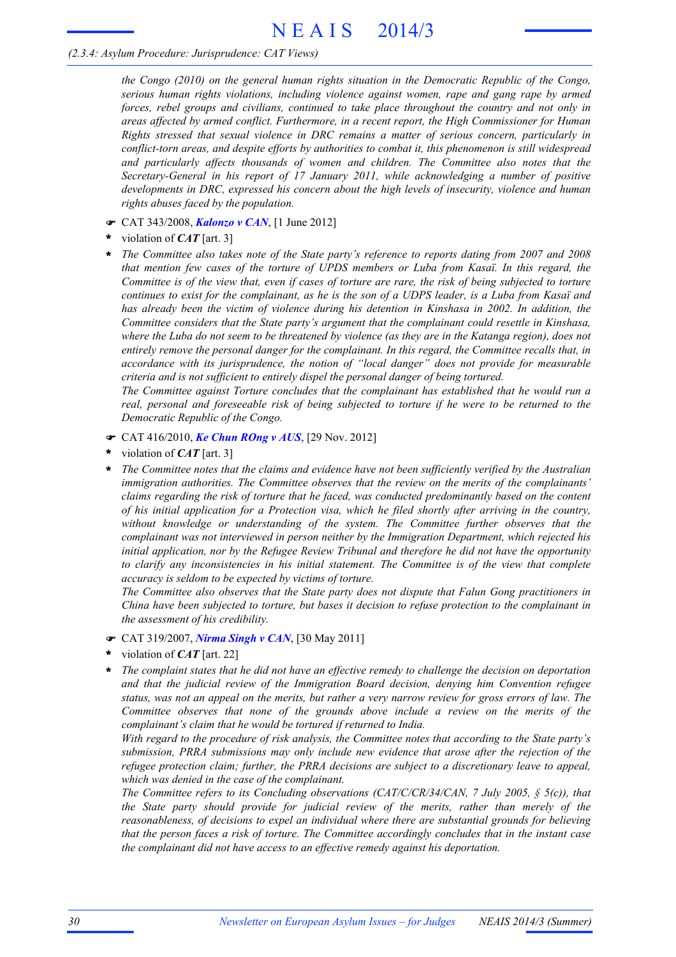### *(2.3.4: Asylum Procedure: Jurisprudence: CAT Views)*

*the Congo (2010) on the general human rights situation in the Democratic Republic of the Congo, serious human rights violations, including violence against women, rape and gang rape by armed forces, rebel groups and civilians, continued to take place throughout the country and not only in areas affected by armed conflict. Furthermore, in a recent report, the High Commissioner for Human Rights stressed that sexual violence in DRC remains a matter of serious concern, particularly in conflict-torn areas, and despite efforts by authorities to combat it, this phenomenon is still widespread and particularly affects thousands of women and children. The Committee also notes that the Secretary-General in his report of 17 January 2011, while acknowledging a number of positive developments in DRC, expressed his concern about the high levels of insecurity, violence and human rights abuses faced by the population.*

- ! CAT 343/2008, *Kalonzo v CAN*, [1 June 2012]
- violation of *CAT* [art. 3] **\***
- *The Committee also takes note of the State party's reference to reports dating from 2007 and 2008 that mention few cases of the torture of UPDS members or Luba from Kasaï. In this regard, the* Committee is of the view that, even if cases of torture are rare, the risk of being subjected to torture continues to exist for the complainant, as he is the son of a UDPS leader, is a Luba from Kasaï and *has already been the victim of violence during his detention in Kinshasa in 2002. In addition, the Committee considers that the State party's argument that the complainant could resettle in Kinshasa,* where the Luba do not seem to be threatened by violence (as they are in the Katanga region), does not *entirely remove the personal danger for the complainant. In this regard, the Committee recalls that, in accordance with its jurisprudence, the notion of "local danger" does not provide for measurable criteria and is not sufficient to entirely dispel the personal danger of being tortured.* **\***

*The Committee against Torture concludes that the complainant has established that he would run a real, personal and foreseeable risk of being subjected to torture if he were to be returned to the Democratic Republic of the Congo.*

- ! CAT 416/2010, *Ke Chun ROng v AUS*, [29 Nov. 2012]
- violation of *CAT* [art. 3] **\***
- *The Committee notes that the claims and evidence have not been sufficiently verified by the Australian immigration authorities. The Committee observes that the review on the merits of the complainants' claims regarding the risk of torture that he faced, was conducted predominantly based on the content of his initial application for a Protection visa, which he filed shortly after arriving in the country, without knowledge or understanding of the system. The Committee further observes that the complainant was not interviewed in person neither by the Immigration Department, which rejected his initial application, nor by the Refugee Review Tribunal and therefore he did not have the opportunity to clarify any inconsistencies in his initial statement. The Committee is of the view that complete accuracy is seldom to be expected by victims of torture.* **\***

*The Committee also observes that the State party does not dispute that Falun Gong practitioners in China have been subjected to torture, but bases it decision to refuse protection to the complainant in the assessment of his credibility.*

- ! CAT 319/2007, *Nirma Singh v CAN*, [30 May 2011]
- violation of *CAT* [art. 22] **\***
- *The complaint states that he did not have an effective remedy to challenge the decision on deportation and that the judicial review of the Immigration Board decision, denying him Convention refugee* status, was not an appeal on the merits, but rather a very narrow review for gross errors of law. The *Committee observes that none of the grounds above include a review on the merits of the complainant's claim that he would be tortured if returned to India.* **\***

*With regard to the procedure of risk analysis, the Committee notes that according to the State party's submission, PRRA submissions may only include new evidence that arose after the rejection of the refugee protection claim; further, the PRRA decisions are subject to a discretionary leave to appeal, which was denied in the case of the complainant.*

*The Committee refers to its Concluding observations (CAT/C/CR/34/CAN, 7 July 2005, § 5(c)), that the State party should provide for judicial review of the merits, rather than merely of the reasonableness, of decisions to expel an individual where there are substantial grounds for believing that the person faces a risk of torture. The Committee accordingly concludes that in the instant case the complainant did not have access to an effective remedy against his deportation.*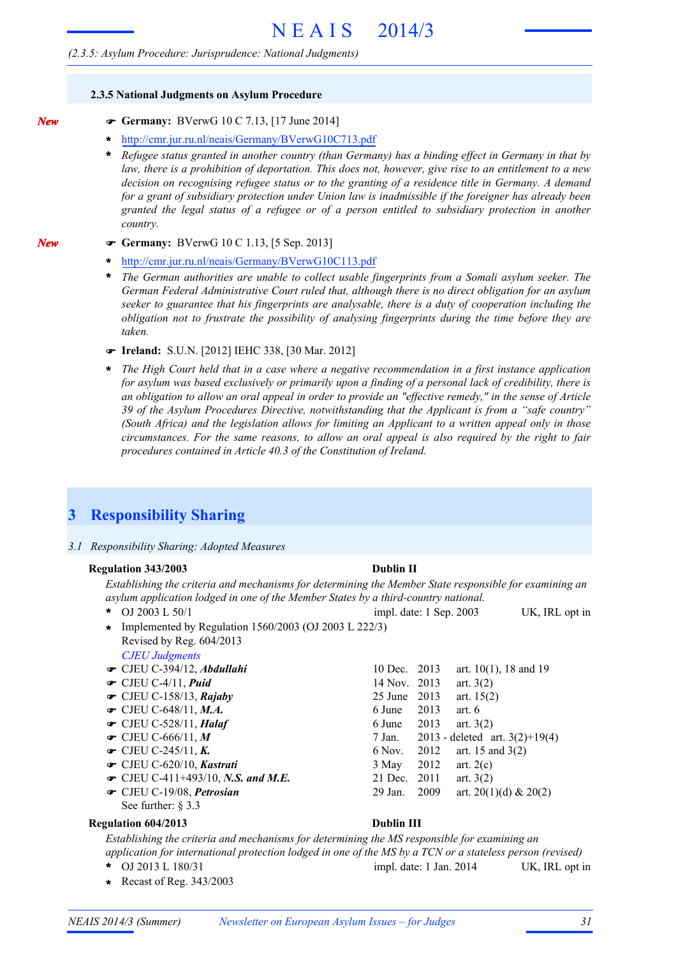#### **2.3.5 National Judgments on Asylum Procedure**

*New*

*New*

- ! **Germany:** BVerwG 10 C 7.13, [17 June 2014]
- **\*** http://cmr.jur.ru.nl/neais/Germany/BVerwG10C713.pdf
- \* Refugee status granted in another country (than Germany) has a binding effect in Germany in that by law, there is a prohibition of deportation. This does not, however, give rise to an entitlement to a new *decision on recognising refugee status or to the granting of a residence title in Germany. A demand for a grant of subsidiary protection under Union law is inadmissible if the foreigner has already been granted the legal status of a refugee or of a person entitled to subsidiary protection in another country.*
- ! **Germany:** BVerwG 10 C 1.13, [5 Sep. 2013]
	- **\*** http://cmr.jur.ru.nl/neais/Germany/BVerwG10C113.pdf
	- *The German authorities are unable to collect usable fingerprints from a Somali asylum seeker. The German Federal Administrative Court ruled that, although there is no direct obligation for an asylum seeker to guarantee that his fingerprints are analysable, there is a duty of cooperation including the obligation not to frustrate the possibility of analysing fingerprints during the time before they are taken.* **\***
	- ! **Ireland:** S.U.N. [2012] IEHC 338, [30 Mar. 2012]
	- *The High Court held that in a case where a negative recommendation in a first instance application* for asylum was based exclusively or primarily upon a finding of a personal lack of credibility, there is an obligation to allow an oral appeal in order to provide an "effective remedy," in the sense of Article *39 of the Asylum Procedures Directive, notwithstanding that the Applicant is from a "safe country" (South Africa) and the legislation allows for limiting an Applicant to a written appeal only in those circumstances. For the same reasons, to allow an oral appeal is also required by the right to fair procedures contained in Article 40.3 of the Constitution of Ireland.* **\***

# **3 Responsibility Sharing**

*3.1 Responsibility Sharing: Adopted Measures*

#### **Regulation 343/2003 Dublin II**

#### *Establishing the criteria and mechanisms for determining the Member State responsible for examining an asylum application lodged in one of the Member States by a third-country national.*

- OJ 2003 L 50/1 UK, IRL opt in impl. date: 1 Sep. 2003 *CJEU Judgments* \* OJ 2003 L 50/1 Implemented by Regulation 1560/2003 (OJ 2003 L 222/3) **\*** Revised by Reg. 604/2013
- **■** CJEU C-394/12, *Abdullahi* 10 Dec. 2013 art. 10(1), 18 and 19 **■** CJEU C-4/11, *Puid* 14 Nov. 2013 art. 3(2) CJEU C-158/13, *Rajaby* 25 June 2013 art. 15(2) !  $\bullet$  CJEU C-648/11, *M.A.* 6 June 2013 art. 6  $\bullet$  CJEU C-528/11, *Halaf* 6 June 2013 art. 3(2) 7 Jan. 2013 - deleted art. 3(2)+19(4) **■** CJEU C-245/11, *K***.** 6 Nov. 2012 art. 15 and 3(2) CJEU C-620/10, *Kastrati* 3 May 2012 art. 2(c) ! • CJEU C-411+493/10, *N.S. and M.E.* 21 Dec. 2011 art. 3(2)  $\bullet$  CJEU C-19/08, *Petrosian* 29 Jan. 2009 art. 20(1)(d) & 20(2)  $\bullet$  CJEU C-666/11, M
- See further: § 3.3

#### **Regulation 604/2013 Dublin III**

*Establishing the criteria and mechanisms for determining the MS responsible for examining an*

- 
- **\*** Recast of Reg. 343/2003

*application for international protection lodged in one of the MS by a TCN or a stateless person (revised)*

OJ 2013 L 180/31 UK, IRL opt in **\*** impl. date: 1 Jan. 2014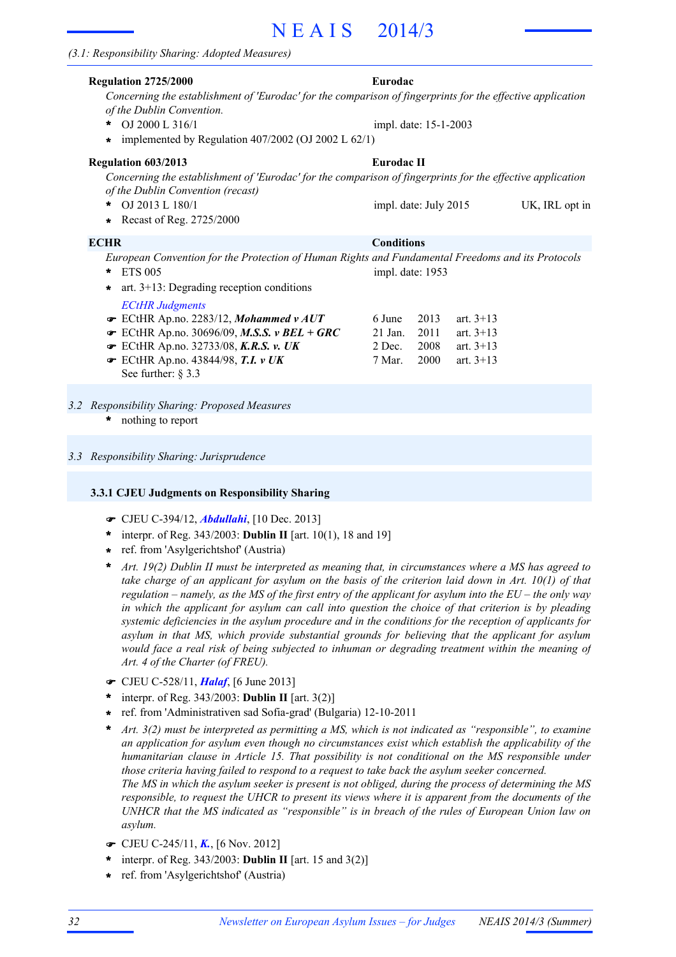# N E A I S 2014/3

| <b>Regulation 2725/2000</b>                                                                                                                     | Eurodac               |      |             |                |
|-------------------------------------------------------------------------------------------------------------------------------------------------|-----------------------|------|-------------|----------------|
| Concerning the establishment of 'Eurodac' for the comparison of fingerprints for the effective application<br>of the Dublin Convention.         |                       |      |             |                |
| OJ 2000 L 316/1<br>$\star$                                                                                                                      | impl. date: 15-1-2003 |      |             |                |
| implemented by Regulation $407/2002$ (OJ 2002 L $62/1$ )<br>$\star$                                                                             |                       |      |             |                |
| Regulation 603/2013                                                                                                                             | Eurodac II            |      |             |                |
| Concerning the establishment of 'Eurodac' for the comparison of fingerprints for the effective application<br>of the Dublin Convention (recast) |                       |      |             |                |
| OJ 2013 L 180/1<br>$\ast$                                                                                                                       | impl. date: July 2015 |      |             | UK, IRL opt in |
| Recast of Reg. 2725/2000<br>$\star$                                                                                                             |                       |      |             |                |
| <b>ECHR</b>                                                                                                                                     | <b>Conditions</b>     |      |             |                |
| European Convention for the Protection of Human Rights and Fundamental Freedoms and its Protocols                                               |                       |      |             |                |
| <b>ETS 005</b><br>$\ast$                                                                                                                        | impl. date: 1953      |      |             |                |
| art. $3+13$ : Degrading reception conditions<br>$\star$                                                                                         |                       |      |             |                |
| <b>ECtHR Judgments</b>                                                                                                                          |                       |      |             |                |
| $\bullet$ ECtHR Ap.no. 2283/12, Mohammed v AUT                                                                                                  | 6 June                | 2013 | art. $3+13$ |                |
| ECtHR Ap.no. 30696/09, M.S.S. v BEL + GRC                                                                                                       | $21$ Jan.             | 2011 | art. $3+13$ |                |
| ECtHR Ap.no. 32733/08, K.R.S. v. UK                                                                                                             | 2 Dec.                | 2008 | art. $3+13$ |                |
| $\bullet$ ECtHR Ap.no. 43844/98, T.I. v UK                                                                                                      | 7 Mar.                | 2000 | art. $3+13$ |                |
| See further: $\S$ 3.3                                                                                                                           |                       |      |             |                |
|                                                                                                                                                 |                       |      |             |                |
| 3.2 Responsibility Sharing: Proposed Measures<br>$\ast$                                                                                         |                       |      |             |                |
| nothing to report                                                                                                                               |                       |      |             |                |

*3.3 Responsibility Sharing: Jurisprudence*

#### **3.3.1 CJEU Judgments on Responsibility Sharing**

- ! CJEU C-394/12, *Abdullahi*, [10 Dec. 2013]
- interpr. of Reg. 343/2003: **Dublin II** [art. 10(1), 18 and 19] **\***
- ref. from 'Asylgerichtshof' (Austria) **\***
- Art. 19(2) Dublin II must be interpreted as meaning that, in circumstances where a MS has agreed to take charge of an applicant for asylum on the basis of the criterion laid down in Art.  $10(1)$  of that regulation – namely, as the MS of the first entry of the applicant for asylum into the  $EU$  – the only way in which the applicant for asylum can call into question the choice of that criterion is by pleading *systemic deficiencies in the asylum procedure and in the conditions for the reception of applicants for asylum in that MS, which provide substantial grounds for believing that the applicant for asylum would face a real risk of being subjected to inhuman or degrading treatment within the meaning of Art. 4 of the Charter (of FREU).* **\***
- ! CJEU C-528/11, *Halaf*, [6 June 2013]
- interpr. of Reg. 343/2003: **Dublin II** [art. 3(2)] **\***
- ref. from 'Administrativen sad Sofia-grad' (Bulgaria) 12-10-2011 **\***
- *Art. 3(2) must be interpreted as permitting a MS, which is not indicated as "responsible", to examine an application for asylum even though no circumstances exist which establish the applicability of the humanitarian clause in Article 15. That possibility is not conditional on the MS responsible under those criteria having failed to respond to a request to take back the asylum seeker concerned.* The MS in which the asylum seeker is present is not obliged, during the process of determining the MS responsible, to request the UHCR to present its views where it is apparent from the documents of the *UNHCR that the MS indicated as "responsible" is in breach of the rules of European Union law on asylum.* **\***
- ! CJEU C-245/11, *K.*, [6 Nov. 2012]
- interpr. of Reg. 343/2003: **Dublin II** [art. 15 and 3(2)] **\***
- ref. from 'Asylgerichtshof' (Austria) **\***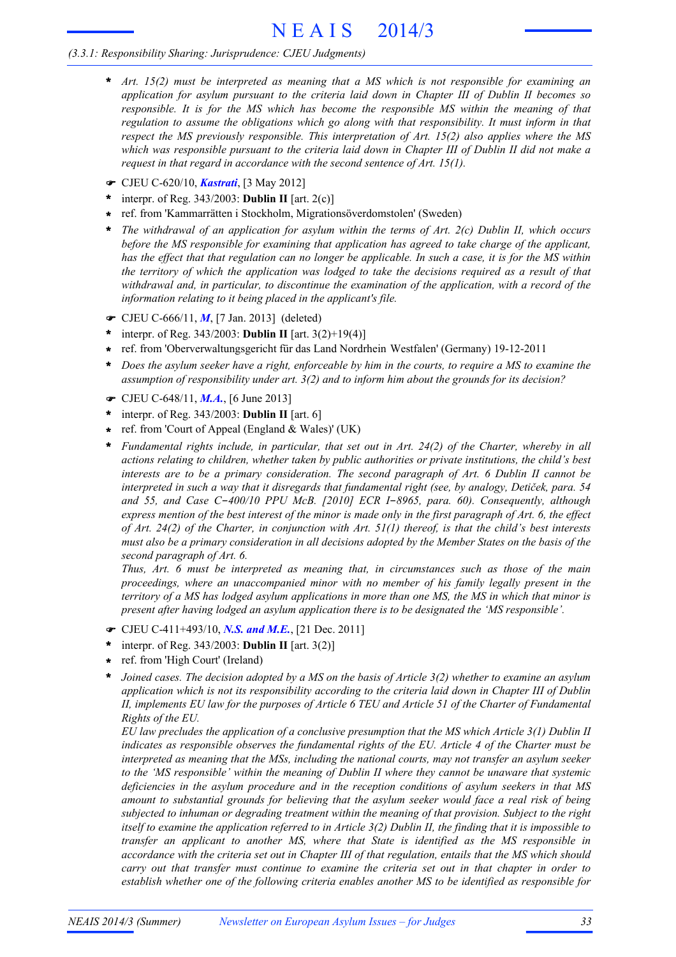# N E A I S 2014/3

### *(3.3.1: Responsibility Sharing: Jurisprudence: CJEU Judgments)*

- *Art. 15(2) must be interpreted as meaning that a MS which is not responsible for examining an application for asylum pursuant to the criteria laid down in Chapter III of Dublin II becomes so responsible. It is for the MS which has become the responsible MS within the meaning of that regulation to assume the obligations which go along with that responsibility. It must inform in that respect the MS previously responsible. This interpretation of Art. 15(2) also applies where the MS* which was responsible pursuant to the criteria laid down in Chapter III of Dublin II did not make a *request in that regard in accordance with the second sentence of Art. 15(1).* **\***
- ! CJEU C-620/10, *Kastrati*, [3 May 2012]
- interpr. of Reg. 343/2003: **Dublin II** [art. 2(c)] **\***
- ref. from 'Kammarrätten i Stockholm, Migrationsöverdomstolen' (Sweden) **\***
- *The withdrawal of an application for asylum within the terms of Art. 2(c) Dublin II, which occurs before the MS responsible for examining that application has agreed to take charge of the applicant,* has the effect that that regulation can no longer be applicable. In such a case, it is for the MS within the territory of which the application was lodged to take the decisions required as a result of that *withdrawal and, in particular, to discontinue the examination of the application, with a record of the information relating to it being placed in the applicant's file.* **\***
- ! CJEU C-666/11, *M*, [7 Jan. 2013] (deleted)
- interpr. of Reg. 343/2003: **Dublin II** [art. 3(2)+19(4)] **\***
- ref. from 'Oberverwaltungsgericht für das Land Nordrhein Westfalen' (Germany) 19-12-2011 **\***
- Does the asylum seeker have a right, enforceable by him in the courts, to require a MS to examine the *assumption of responsibility under art. 3(2) and to inform him about the grounds for its decision?* **\***
- ! CJEU C-648/11, *M.A.*, [6 June 2013]
- interpr. of Reg. 343/2003: **Dublin II** [art. 6] **\***
- ref. from 'Court of Appeal (England & Wales)' (UK) **\***
- *Fundamental rights include, in particular, that set out in Art. 24(2) of the Charter, whereby in all actions relating to children, whether taken by public authorities or private institutions, the child's best interests are to be a primary consideration. The second paragraph of Art. 6 Dublin II cannot be* interpreted in such a way that it disregards that fundamental right (see, by analogy, Detiček, para. 54 *and 55, and Case C*-*400/10 PPU McB. [2010] ECR I*-*8965, para. 60). Consequently, although* express mention of the best interest of the minor is made only in the first paragraph of Art. 6, the effect of Art. 24(2) of the Charter, in conjunction with Art.  $51(1)$  thereof, is that the child's best interests must also be a primary consideration in all decisions adopted by the Member States on the basis of the *second paragraph of Art. 6.* **\***

*Thus, Art. 6 must be interpreted as meaning that, in circumstances such as those of the main proceedings, where an unaccompanied minor with no member of his family legally present in the* territory of a MS has lodged asylum applications in more than one MS, the MS in which that minor is *present after having lodged an asylum application there is to be designated the 'MS responsible'.*

- ! CJEU C-411+493/10, *N.S. and M.E.*, [21 Dec. 2011]
- interpr. of Reg. 343/2003: **Dublin II** [art. 3(2)] **\***
- ref. from 'High Court' (Ireland) **\***
- Joined cases. The decision adopted by a MS on the basis of Article  $3(2)$  whether to examine an asylum *application which is not its responsibility according to the criteria laid down in Chapter III of Dublin* II, implements EU law for the purposes of Article 6 TEU and Article 51 of the Charter of Fundamental *Rights of the EU.* **\***

*EU law precludes the application of a conclusive presumption that the MS which Article 3(1) Dublin II indicates as responsible observes the fundamental rights of the EU. Article 4 of the Charter must be interpreted as meaning that the MSs, including the national courts, may not transfer an asylum seeker to the 'MS responsible' within the meaning of Dublin II where they cannot be unaware that systemic deficiencies in the asylum procedure and in the reception conditions of asylum seekers in that MS amount to substantial grounds for believing that the asylum seeker would face a real risk of being subjected to inhuman or degrading treatment within the meaning of that provision. Subject to the right* itself to examine the application referred to in Article  $3(2)$  Dublin II, the finding that it is impossible to *transfer an applicant to another MS, where that State is identified as the MS responsible in* accordance with the criteria set out in Chapter III of that regulation, entails that the MS which should *carry out that transfer must continue to examine the criteria set out in that chapter in order to establish whether one of the following criteria enables another MS to be identified as responsible for*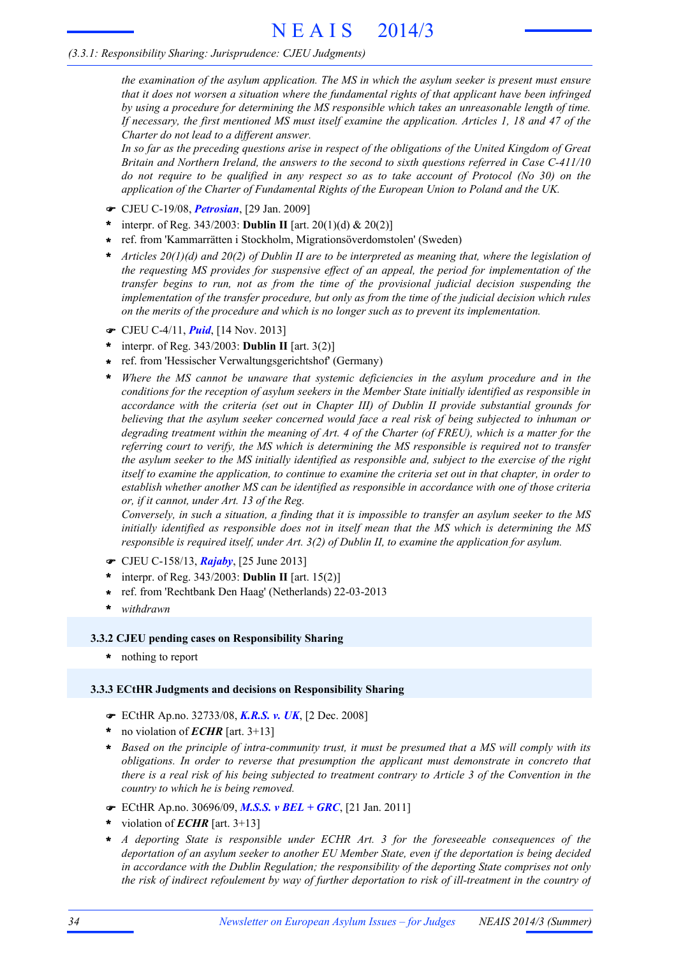# *(3.3.1: Responsibility Sharing: Jurisprudence: CJEU Judgments)*

*the examination of the asylum application. The MS in which the asylum seeker is present must ensure that it does not worsen a situation where the fundamental rights of that applicant have been infringed by using a procedure for determining the MS responsible which takes an unreasonable length of time.* If necessary, the first mentioned MS must itself examine the application. Articles 1, 18 and 47 of the *Charter do not lead to a different answer.*

In so far as the preceding questions arise in respect of the obligations of the United Kingdom of Great *Britain and Northern Ireland, the answers to the second to sixth questions referred in Case C-411/10* do not require to be qualified in any respect so as to take account of Protocol ( $No$  30) on the *application of the Charter of Fundamental Rights of the European Union to Poland and the UK.*

- ! CJEU C-19/08, *Petrosian*, [29 Jan. 2009]
- interpr. of Reg. 343/2003: **Dublin II** [art. 20(1)(d) & 20(2)] **\***
- ref. from 'Kammarrätten i Stockholm, Migrationsöverdomstolen' (Sweden) **\***
- Articles  $20(1)(d)$  and  $20(2)$  of Dublin II are to be interpreted as meaning that, where the legislation of *the requesting MS provides for suspensive effect of an appeal, the period for implementation of the transfer begins to run, not as from the time of the provisional judicial decision suspending the implementation of the transfer procedure, but only as from the time of the judicial decision which rules on the merits of the procedure and which is no longer such as to prevent its implementation.* **\***
- ! CJEU C-4/11, *Puid*, [14 Nov. 2013]
- interpr. of Reg. 343/2003: **Dublin II** [art. 3(2)] **\***
- ref. from 'Hessischer Verwaltungsgerichtshof' (Germany) **\***
- *Where the MS cannot be unaware that systemic deficiencies in the asylum procedure and in the conditions for the reception of asylum seekers in the Member State initially identified as responsible in accordance with the criteria (set out in Chapter III) of Dublin II provide substantial grounds for believing that the asylum seeker concerned would face a real risk of being subjected to inhuman or* degrading treatment within the meaning of Art. 4 of the Charter (of FREU), which is a matter for the *referring court to verify, the MS which is determining the MS responsible is required not to transfer* the asylum seeker to the MS initially identified as responsible and, subject to the exercise of the right itself to examine the application, to continue to examine the criteria set out in that chapter, in order to *establish whether another MS can be identified as responsible in accordance with one of those criteria or, if it cannot, under Art. 13 of the Reg.* **\***

Conversely, in such a situation, a finding that it is impossible to transfer an asylum seeker to the MS *initially identified as responsible does not in itself mean that the MS which is determining the MS responsible is required itself, under Art. 3(2) of Dublin II, to examine the application for asylum.*

- ! CJEU C-158/13, *Rajaby*, [25 June 2013]
- interpr. of Reg. 343/2003: **Dublin II** [art. 15(2)] **\***
- ref. from 'Rechtbank Den Haag' (Netherlands) 22-03-2013 **\***
- **\*** *withdrawn*

# **3.3.2 CJEU pending cases on Responsibility Sharing**

**\*** nothing to report

# **3.3.3 ECtHR Judgments and decisions on Responsibility Sharing**

- ! ECtHR Ap.no. 32733/08, *K.R.S. v. UK*, [2 Dec. 2008]
- no violation of *ECHR* [art. 3+13] **\***
- \* Based on the principle of intra-community trust, it must be presumed that a MS will comply with its *obligations. In order to reverse that presumption the applicant must demonstrate in concreto that* there is a real risk of his being subjected to treatment contrary to Article 3 of the Convention in the *country to which he is being removed.*
- ! ECtHR Ap.no. 30696/09, *M.S.S. v BEL + GRC*, [21 Jan. 2011]
- violation of *ECHR* [art. 3+13] **\***
- *A deporting State is responsible under ECHR Art. 3 for the foreseeable consequences of the deportation of an asylum seeker to another EU Member State, even if the deportation is being decided in accordance with the Dublin Regulation; the responsibility of the deporting State comprises not only* the risk of indirect refoulement by way of further deportation to risk of ill-treatment in the country of **\***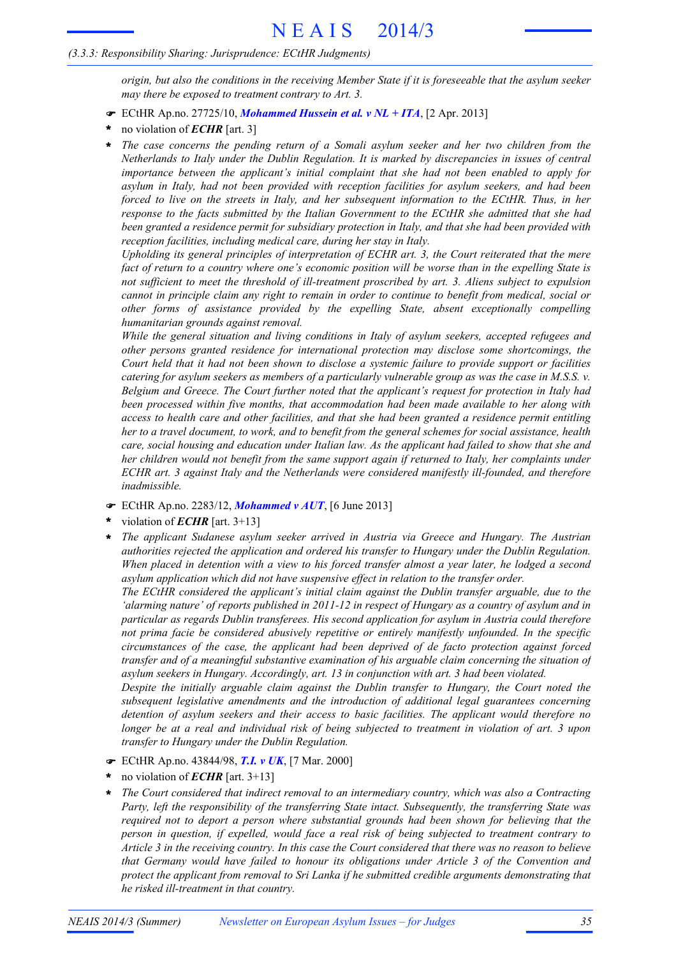### *(3.3.3: Responsibility Sharing: Jurisprudence: ECtHR Judgments)*

origin, but also the conditions in the receiving Member State if it is foreseeable that the asylum seeker *may there be exposed to treatment contrary to Art. 3.*

- ! ECtHR Ap.no. 27725/10, *Mohammed Hussein et al. v NL + ITA*, [2 Apr. 2013]
- no violation of *ECHR* [art. 3] **\***
- *The case concerns the pending return of a Somali asylum seeker and her two children from the Netherlands to Italy under the Dublin Regulation. It is marked by discrepancies in issues of central importance between the applicant's initial complaint that she had not been enabled to apply for asylum in Italy, had not been provided with reception facilities for asylum seekers, and had been forced to live on the streets in Italy, and her subsequent information to the ECtHR. Thus, in her response to the facts submitted by the Italian Government to the ECtHR she admitted that she had been granted a residence permit for subsidiary protection in Italy, and that she had been provided with reception facilities, including medical care, during her stay in Italy.* **\***

*Upholding its general principles of interpretation of ECHR art. 3, the Court reiterated that the mere* fact of return to a country where one's economic position will be worse than in the expelling State is *not sufficient to meet the threshold of ill-treatment proscribed by art. 3. Aliens subject to expulsion* cannot in principle claim any right to remain in order to continue to benefit from medical, social or *other forms of assistance provided by the expelling State, absent exceptionally compelling humanitarian grounds against removal.*

*While the general situation and living conditions in Italy of asylum seekers, accepted refugees and other persons granted residence for international protection may disclose some shortcomings, the* Court held that it had not been shown to disclose a systemic failure to provide support or facilities catering for asylum seekers as members of a particularly vulnerable group as was the case in  $M.S.S.$   $v.$ *Belgium and Greece. The Court further noted that the applicant's request for protection in Italy had been processed within five months, that accommodation had been made available to her along with access to health care and other facilities, and that she had been granted a residence permit entitling* her to a travel document, to work, and to benefit from the general schemes for social assistance, health care, social housing and education under Italian law. As the applicant had failed to show that she and *her children would not benefit from the same support again if returned to Italy, her complaints under ECHR art. 3 against Italy and the Netherlands were considered manifestly ill-founded, and therefore inadmissible.*

- ! ECtHR Ap.no. 2283/12, *Mohammed v AUT*, [6 June 2013]
- violation of *ECHR* [art. 3+13] **\***
- *The applicant Sudanese asylum seeker arrived in Austria via Greece and Hungary. The Austrian authorities rejected the application and ordered his transfer to Hungary under the Dublin Regulation.* When placed in detention with a view to his forced transfer almost a year later, he lodged a second *asylum application which did not have suspensive effect in relation to the transfer order.* **\***

*The ECtHR considered the applicant's initial claim against the Dublin transfer arguable, due to the* 'alarming nature' of reports published in 2011-12 in respect of Hungary as a country of asylum and in *particular as regards Dublin transferees. His second application for asylum in Austria could therefore not prima facie be considered abusively repetitive or entirely manifestly unfounded. In the specific circumstances of the case, the applicant had been deprived of de facto protection against forced transfer and of a meaningful substantive examination of his arguable claim concerning the situation of asylum seekers in Hungary. Accordingly, art. 13 in conjunction with art. 3 had been violated.*

*Despite the initially arguable claim against the Dublin transfer to Hungary, the Court noted the subsequent legislative amendments and the introduction of additional legal guarantees concerning detention of asylum seekers and their access to basic facilities. The applicant would therefore no* longer be at a real and individual risk of being subjected to treatment in violation of art. 3 upon *transfer to Hungary under the Dublin Regulation.*

- ! ECtHR Ap.no. 43844/98, *T.I. v UK*, [7 Mar. 2000]
- no violation of *ECHR* [art. 3+13] **\***
- *The Court considered that indirect removal to an intermediary country, which was also a Contracting Party, left the responsibility of the transferring State intact. Subsequently, the transferring State was required not to deport a person where substantial grounds had been shown for believing that the person in question, if expelled, would face a real risk of being subjected to treatment contrary to* Article 3 in the receiving country. In this case the Court considered that there was no reason to believe *that Germany would have failed to honour its obligations under Article 3 of the Convention and protect the applicant from removal to Sri Lanka if he submitted credible arguments demonstrating that he risked ill-treatment in that country.* **\***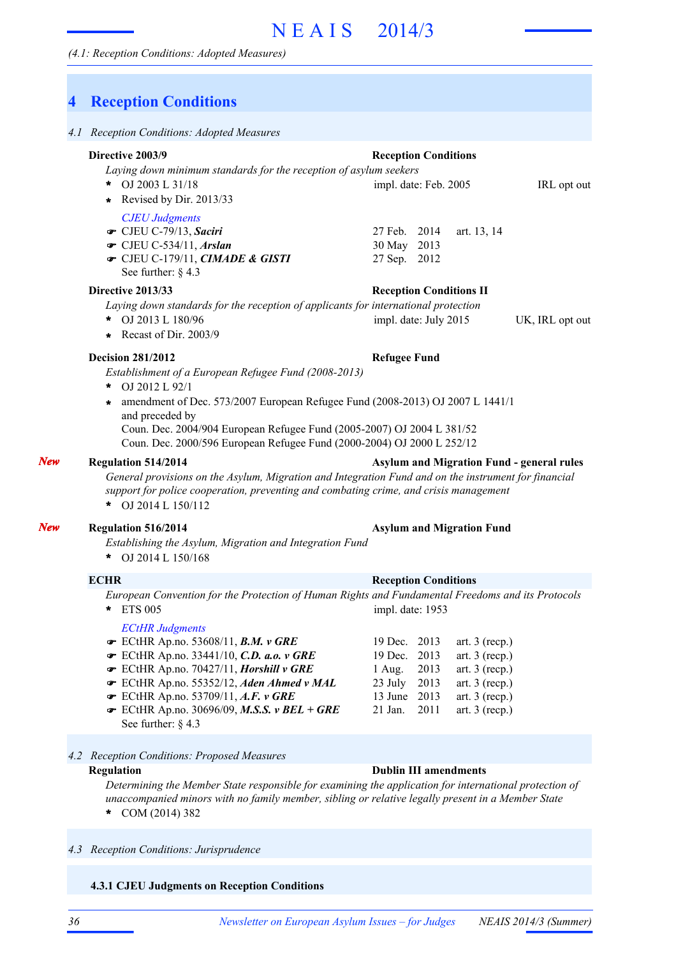# **4 Reception Conditions**

| Directive 2003/9                                                                                                                                                                                                                                                       | <b>Reception Conditions</b>                                |
|------------------------------------------------------------------------------------------------------------------------------------------------------------------------------------------------------------------------------------------------------------------------|------------------------------------------------------------|
| Laying down minimum standards for the reception of asylum seekers<br>OJ 2003 L 31/18<br>*<br>Revised by Dir. 2013/33<br>*                                                                                                                                              | impl. date: Feb. 2005<br>IRL opt out                       |
| <b>CJEU Judgments</b><br>CJEU C-79/13, Saciri<br>$\bullet$ CJEU C-534/11, Arslan<br>The CJEU C-179/11, CIMADE & GISTI<br>See further: $§$ 4.3                                                                                                                          | 27 Feb. 2014<br>art. 13, 14<br>30 May 2013<br>27 Sep. 2012 |
| Directive 2013/33                                                                                                                                                                                                                                                      | <b>Reception Conditions II</b>                             |
| Laying down standards for the reception of applicants for international protection<br>OJ 2013 L 180/96<br>*.<br>Recast of Dir. 2003/9<br>$\star$                                                                                                                       | impl. date: July 2015<br>UK, IRL opt out                   |
| <b>Decision 281/2012</b>                                                                                                                                                                                                                                               | <b>Refugee Fund</b>                                        |
| OJ 2012 L 92/1<br>amendment of Dec. 573/2007 European Refugee Fund (2008-2013) OJ 2007 L 1441/1<br>and preceded by<br>Coun. Dec. 2004/904 European Refugee Fund (2005-2007) OJ 2004 L 381/52<br>Coun. Dec. 2000/596 European Refugee Fund (2000-2004) OJ 2000 L 252/12 |                                                            |
|                                                                                                                                                                                                                                                                        |                                                            |
| <b>Regulation 514/2014</b><br>General provisions on the Asylum, Migration and Integration Fund and on the instrument for financial<br>support for police cooperation, preventing and combating crime, and crisis management<br>* OJ 2014 L $150/112$                   | <b>Asylum and Migration Fund - general rules</b>           |
| <b>Regulation 516/2014</b><br>Establishing the Asylum, Migration and Integration Fund<br>* OJ 2014 L $150/168$                                                                                                                                                         | <b>Asylum and Migration Fund</b>                           |
| <b>ECHR</b>                                                                                                                                                                                                                                                            | <b>Reception Conditions</b>                                |
| European Convention for the Protection of Human Rights and Fundamental Freedoms and its Protocols<br>* ETS 005                                                                                                                                                         | impl. date: 1953                                           |

### **Regulation Dublin III amendments**

*Determining the Member State responsible for examining the application for international protection of unaccompanied minors with no family member, sibling or relative legally present in a Member State* COM (2014) 382 **\***

#### *4.3 Reception Conditions: Jurisprudence*

**4.3.1 CJEU Judgments on Reception Conditions**

*New*

*New*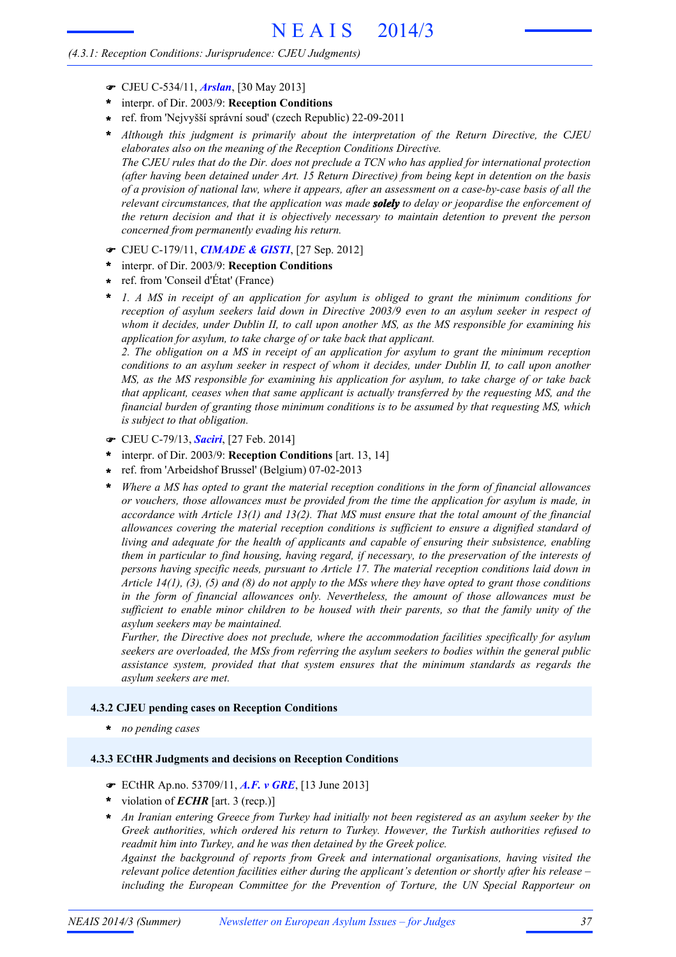### *(4.3.1: Reception Conditions: Jurisprudence: CJEU Judgments)*

- ! CJEU C-534/11, *Arslan*, [30 May 2013]
- interpr. of Dir. 2003/9: **Reception Conditions \***
- ref. from 'Nejvyšší správní soud' (czech Republic) 22-09-2011 **\***
- *Although this judgment is primarily about the interpretation of the Return Directive, the CJEU elaborates also on the meaning of the Reception Conditions Directive.* The CJEU rules that do the Dir. does not preclude a TCN who has applied for international protection **\***

*(after having been detained under Art. 15 Return Directive) from being kept in detention on the basis* of a provision of national law, where it appears, after an assessment on a case-by-case basis of all the *relevant circumstances, that the application was made solely to delay or jeopardise the enforcement of the return decision and that it is objectively necessary to maintain detention to prevent the person concerned from permanently evading his return.*

- ! CJEU C-179/11, *CIMADE & GISTI*, [27 Sep. 2012]
- interpr. of Dir. 2003/9: **Reception Conditions \***
- ref. from 'Conseil d'État' (France) **\***
- *1. A MS in receipt of an application for asylum is obliged to grant the minimum conditions for reception of asylum seekers laid down in Directive 2003/9 even to an asylum seeker in respect of whom it decides, under Dublin II, to call upon another MS, as the MS responsible for examining his application for asylum, to take charge of or take back that applicant.* **\***

*2. The obligation on a MS in receipt of an application for asylum to grant the minimum reception* conditions to an asylum seeker in respect of whom it decides, under Dublin II, to call upon another *MS, as the MS responsible for examining his application for asylum, to take charge of or take back that applicant, ceases when that same applicant is actually transferred by the requesting MS, and the financial burden of granting those minimum conditions is to be assumed by that requesting MS, which is subject to that obligation.*

- ! CJEU C-79/13, *Saciri*, [27 Feb. 2014]
- interpr. of Dir. 2003/9: **Reception Conditions** [art. 13, 14] **\***
- ref. from 'Arbeidshof Brussel' (Belgium) 07-02-2013 **\***
- *Where a MS has opted to grant the material reception conditions in the form of financial allowances or vouchers, those allowances must be provided from the time the application for asylum is made, in accordance with Article 13(1) and 13(2). That MS must ensure that the total amount of the financial allowances covering the material reception conditions is sufficient to ensure a dignified standard of living and adequate for the health of applicants and capable of ensuring their subsistence, enabling them in particular to find housing, having regard, if necessary, to the preservation of the interests of persons having specific needs, pursuant to Article 17. The material reception conditions laid down in* Article 14(1), (3), (5) and (8) do not apply to the MSs where they have opted to grant those conditions *in the form of financial allowances only. Nevertheless, the amount of those allowances must be* sufficient to enable minor children to be housed with their parents, so that the family unity of the *asylum seekers may be maintained.* **\***

*Further, the Directive does not preclude, where the accommodation facilities specifically for asylum seekers are overloaded, the MSs from referring the asylum seekers to bodies within the general public assistance system, provided that that system ensures that the minimum standards as regards the asylum seekers are met.*

#### **4.3.2 CJEU pending cases on Reception Conditions**

**\*** *no pending cases*

#### **4.3.3 ECtHR Judgments and decisions on Reception Conditions**

- ! ECtHR Ap.no. 53709/11, *A.F. v GRE*, [13 June 2013]
- \* violation of *ECHR* [art. 3 (recp.)]
- *An Iranian entering Greece from Turkey had initially not been registered as an asylum seeker by the Greek authorities, which ordered his return to Turkey. However, the Turkish authorities refused to readmit him into Turkey, and he was then detained by the Greek police.* **\***

*Against the background of reports from Greek and international organisations, having visited the relevant police detention facilities either during the applicant's detention or shortly after his release – including the European Committee for the Prevention of Torture, the UN Special Rapporteur on*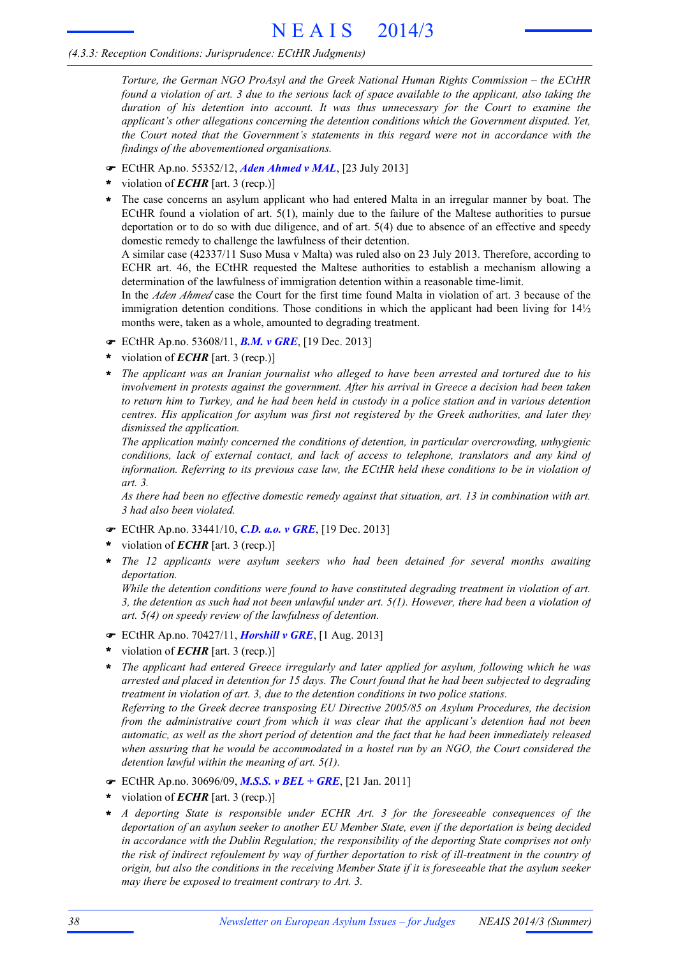# *(4.3.3: Reception Conditions: Jurisprudence: ECtHR Judgments)*

*Torture, the German NGO ProAsyl and the Greek National Human Rights Commission – the ECtHR* found a violation of art. 3 due to the serious lack of space available to the applicant, also taking the *duration of his detention into account. It was thus unnecessary for the Court to examine the applicant's other allegations concerning the detention conditions which the Government disputed. Yet, the Court noted that the Government's statements in this regard were not in accordance with the findings of the abovementioned organisations.*

- ! ECtHR Ap.no. 55352/12, *Aden Ahmed v MAL*, [23 July 2013]
- violation of *ECHR* [art. 3 (recp.)] **\***
- The case concerns an asylum applicant who had entered Malta in an irregular manner by boat. The ECtHR found a violation of art. 5(1), mainly due to the failure of the Maltese authorities to pursue deportation or to do so with due diligence, and of art. 5(4) due to absence of an effective and speedy domestic remedy to challenge the lawfulness of their detention. **\***

A similar case (42337/11 Suso Musa v Malta) was ruled also on 23 July 2013. Therefore, according to ECHR art. 46, the ECtHR requested the Maltese authorities to establish a mechanism allowing a determination of the lawfulness of immigration detention within a reasonable time-limit.

In the *Aden Ahmed* case the Court for the first time found Malta in violation of art. 3 because of the immigration detention conditions. Those conditions in which the applicant had been living for  $14\frac{1}{2}$ months were, taken as a whole, amounted to degrading treatment.

- ! ECtHR Ap.no. 53608/11, *B.M. v GRE*, [19 Dec. 2013]
- violation of *ECHR* [art. 3 (recp.)] **\***
- *The applicant was an Iranian journalist who alleged to have been arrested and tortured due to his involvement in protests against the government. After his arrival in Greece a decision had been taken* to return him to Turkey, and he had been held in custody in a police station and in various detention *centres. His application for asylum was first not registered by the Greek authorities, and later they dismissed the application.* **\***

*The application mainly concerned the conditions of detention, in particular overcrowding, unhygienic conditions, lack of external contact, and lack of access to telephone, translators and any kind of information. Referring to its previous case law, the ECtHR held these conditions to be in violation of art. 3.*

*As there had been no effective domestic remedy against that situation, art. 13 in combination with art. 3 had also been violated.*

- ! ECtHR Ap.no. 33441/10, *C.D. a.o. v GRE*, [19 Dec. 2013]
- violation of *ECHR* [art. 3 (recp.)] **\***
- *The 12 applicants were asylum seekers who had been detained for several months awaiting deportation.* **\***

*While the detention conditions were found to have constituted degrading treatment in violation of art.* 3, the detention as such had not been unlawful under art.  $5(1)$ . However, there had been a violation of *art. 5(4) on speedy review of the lawfulness of detention.*

- ! ECtHR Ap.no. 70427/11, *Horshill v GRE*, [1 Aug. 2013]
- violation of *ECHR* [art. 3 (recp.)] **\***
- *The applicant had entered Greece irregularly and later applied for asylum, following which he was* arrested and placed in detention for 15 days. The Court found that he had been subjected to degrading *treatment in violation of art. 3, due to the detention conditions in two police stations. Referring to the Greek decree transposing EU Directive 2005/85 on Asylum Procedures, the decision from the administrative court from which it was clear that the applicant's detention had not been* automatic, as well as the short period of detention and the fact that he had been immediately released **\***

*when assuring that he would be accommodated in a hostel run by an NGO, the Court considered the*

! ECtHR Ap.no. 30696/09, *M.S.S. v BEL + GRE*, [21 Jan. 2011]

*detention lawful within the meaning of art. 5(1).*

- violation of *ECHR* [art. 3 (recp.)] **\***
- *A deporting State is responsible under ECHR Art. 3 for the foreseeable consequences of the deportation of an asylum seeker to another EU Member State, even if the deportation is being decided in accordance with the Dublin Regulation; the responsibility of the deporting State comprises not only* the risk of indirect refoulement by way of further deportation to risk of ill-treatment in the country of origin, but also the conditions in the receiving Member State if it is foreseeable that the asylum seeker *may there be exposed to treatment contrary to Art. 3.* **\***